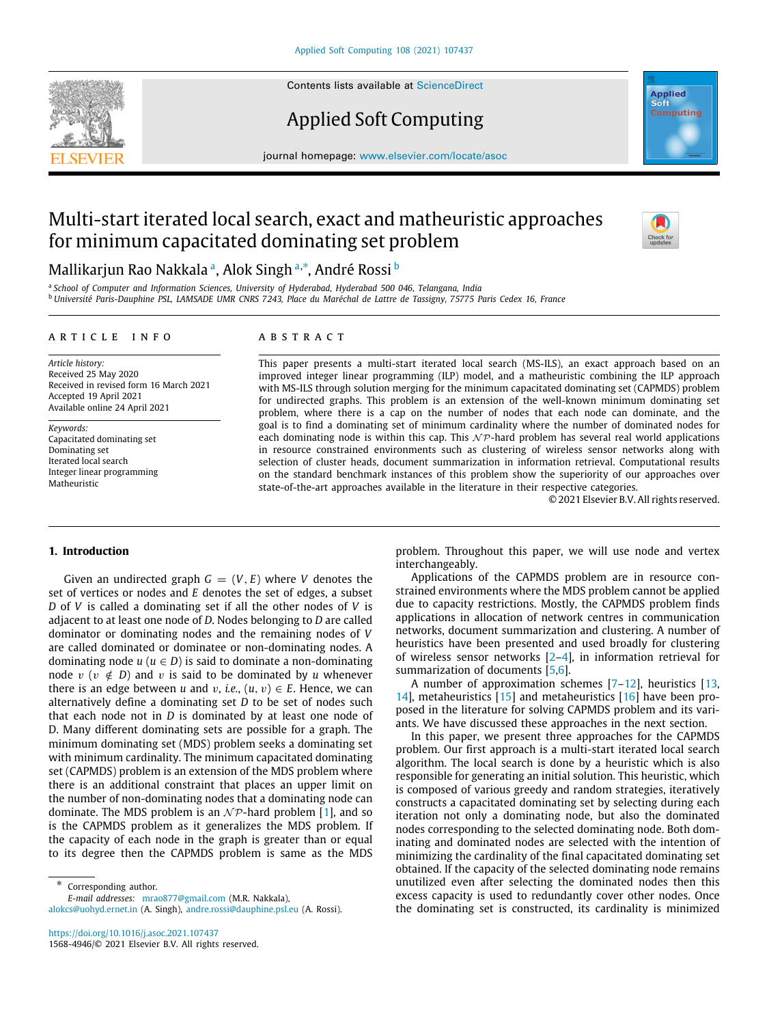Contents lists available at [ScienceDirect](http://www.elsevier.com/locate/asoc)

# Applied Soft Computing

journal homepage: [www.elsevier.com/locate/asoc](http://www.elsevier.com/locate/asoc)

# Multi-start iterated local search, exact and matheuristic approaches for minimum capacitated dominating set problem

## M[a](#page-0-0)llikarjun Rao Nakkala ª, Alok Singh ª<sup>,</sup>\*, André Rossi <sup>[b](#page-0-2)</sup>

<span id="page-0-2"></span><span id="page-0-0"></span>a *School of Computer and Information Sciences, University of Hyderabad, Hyderabad 500 046, Telangana, India* <sup>b</sup> *Université Paris-Dauphine PSL, LAMSADE UMR CNRS 7243, Place du Maréchal de Lattre de Tassigny, 75775 Paris Cedex 16, France*

## ARTICLE INFO

*Article history:* Received 25 May 2020 Received in revised form 16 March 2021 Accepted 19 April 2021 Available online 24 April 2021

*Keywords:* Capacitated dominating set Dominating set Iterated local search Integer linear programming Matheuristic

## a b s t r a c t

This paper presents a multi-start iterated local search (MS-ILS), an exact approach based on an improved integer linear programming (ILP) model, and a matheuristic combining the ILP approach with MS-ILS through solution merging for the minimum capacitated dominating set (CAPMDS) problem for undirected graphs. This problem is an extension of the well-known minimum dominating set problem, where there is a cap on the number of nodes that each node can dominate, and the goal is to find a dominating set of minimum cardinality where the number of dominated nodes for each dominating node is within this cap. This  $N \mathcal{P}$ -hard problem has several real world applications in resource constrained environments such as clustering of wireless sensor networks along with selection of cluster heads, document summarization in information retrieval. Computational results on the standard benchmark instances of this problem show the superiority of our approaches over state-of-the-art approaches available in the literature in their respective categories.

© 2021 Elsevier B.V. All rights reserved.

## **1. Introduction**

Given an undirected graph  $G = (V, E)$  where *V* denotes the set of vertices or nodes and *E* denotes the set of edges, a subset *D* of *V* is called a dominating set if all the other nodes of *V* is adjacent to at least one node of *D*. Nodes belonging to *D* are called dominator or dominating nodes and the remaining nodes of *V* are called dominated or dominatee or non-dominating nodes. A dominating node  $u (u \in D)$  is said to dominate a non-dominating node  $v$  ( $v \notin D$ ) and  $v$  is said to be dominated by  $u$  whenever there is an edge between *u* and *v*, *i.e.*,  $(u, v) \in E$ . Hence, we can alternatively define a dominating set *D* to be set of nodes such that each node not in *D* is dominated by at least one node of D. Many different dominating sets are possible for a graph. The minimum dominating set (MDS) problem seeks a dominating set with minimum cardinality. The minimum capacitated dominating set (CAPMDS) problem is an extension of the MDS problem where there is an additional constraint that places an upper limit on the number of non-dominating nodes that a dominating node can dominate. The MDS problem is an  $N\mathcal{P}$ -hard problem [\[1](#page-18-0)], and so is the CAPMDS problem as it generalizes the MDS problem. If the capacity of each node in the graph is greater than or equal to its degree then the CAPMDS problem is same as the MDS

<span id="page-0-1"></span>∗ Corresponding author.

*E-mail addresses:* [mrao877@gmail.com](mailto:mrao877@gmail.com) (M.R. Nakkala),

[alokcs@uohyd.ernet.in](mailto:alokcs@uohyd.ernet.in) (A. Singh), [andre.rossi@dauphine.psl.eu](mailto:andre.rossi@dauphine.psl.eu) (A. Rossi).

<https://doi.org/10.1016/j.asoc.2021.107437> 1568-4946/© 2021 Elsevier B.V. All rights reserved.

problem. Throughout this paper, we will use node and vertex interchangeably.

Applications of the CAPMDS problem are in resource constrained environments where the MDS problem cannot be applied due to capacity restrictions. Mostly, the CAPMDS problem finds applications in allocation of network centres in communication networks, document summarization and clustering. A number of heuristics have been presented and used broadly for clustering of wireless sensor networks [[2–](#page-18-1)[4](#page-18-2)], in information retrieval for summarization of documents [[5](#page-18-3)[,6](#page-18-4)].

A number of approximation schemes [[7–](#page-18-5)[12](#page-18-6)], heuristics [\[13,](#page-18-7) [14](#page-18-8)], metaheuristics [[15\]](#page-18-9) and metaheuristics [[16](#page-18-10)] have been proposed in the literature for solving CAPMDS problem and its variants. We have discussed these approaches in the next section.

In this paper, we present three approaches for the CAPMDS problem. Our first approach is a multi-start iterated local search algorithm. The local search is done by a heuristic which is also responsible for generating an initial solution. This heuristic, which is composed of various greedy and random strategies, iteratively constructs a capacitated dominating set by selecting during each iteration not only a dominating node, but also the dominated nodes corresponding to the selected dominating node. Both dominating and dominated nodes are selected with the intention of minimizing the cardinality of the final capacitated dominating set obtained. If the capacity of the selected dominating node remains unutilized even after selecting the dominated nodes then this excess capacity is used to redundantly cover other nodes. Once the dominating set is constructed, its cardinality is minimized



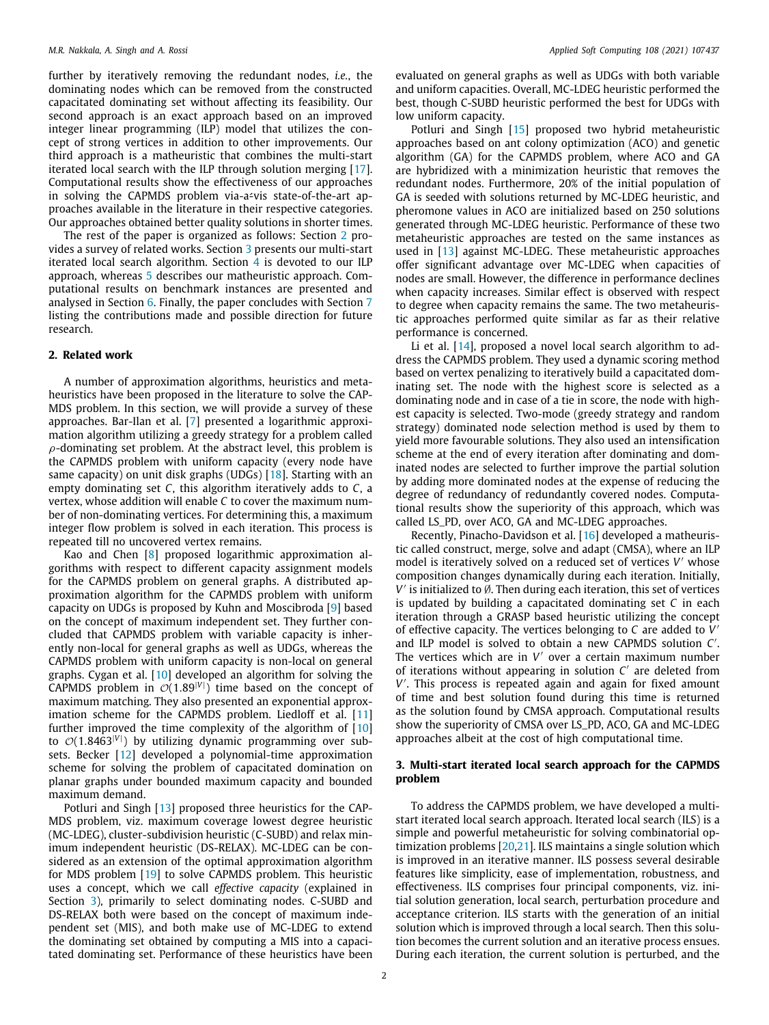further by iteratively removing the redundant nodes, *i.e.*, the dominating nodes which can be removed from the constructed capacitated dominating set without affecting its feasibility. Our second approach is an exact approach based on an improved integer linear programming (ILP) model that utilizes the concept of strong vertices in addition to other improvements. Our third approach is a matheuristic that combines the multi-start iterated local search with the ILP through solution merging [\[17\]](#page-18-11). Computational results show the effectiveness of our approaches in solving the CAPMDS problem via-a<u>evis state-of-the-art</u> approaches available in the literature in their respective categories. Our approaches obtained better quality solutions in shorter times.

The rest of the paper is organized as follows: Section [2](#page-1-0) provides a survey of related works. Section [3](#page-1-1) presents our multi-start iterated local search algorithm. Section [4](#page-5-0) is devoted to our ILP approach, whereas [5](#page-7-0) describes our matheuristic approach. Computational results on benchmark instances are presented and analysed in Section [6.](#page-7-1) Finally, the paper concludes with Section [7](#page-17-0) listing the contributions made and possible direction for future research.

## **2. Related work**

<span id="page-1-0"></span>A number of approximation algorithms, heuristics and metaheuristics have been proposed in the literature to solve the CAP-MDS problem. In this section, we will provide a survey of these approaches. Bar-Ilan et al. [\[7\]](#page-18-5) presented a logarithmic approximation algorithm utilizing a greedy strategy for a problem called  $\rho$ -dominating set problem. At the abstract level, this problem is the CAPMDS problem with uniform capacity (every node have same capacity) on unit disk graphs (UDGs) [[18](#page-18-12)]. Starting with an empty dominating set *C*, this algorithm iteratively adds to *C*, a vertex, whose addition will enable *C* to cover the maximum number of non-dominating vertices. For determining this, a maximum integer flow problem is solved in each iteration. This process is repeated till no uncovered vertex remains.

Kao and Chen [[8\]](#page-18-13) proposed logarithmic approximation algorithms with respect to different capacity assignment models for the CAPMDS problem on general graphs. A distributed approximation algorithm for the CAPMDS problem with uniform capacity on UDGs is proposed by Kuhn and Moscibroda [\[9](#page-18-14)] based on the concept of maximum independent set. They further concluded that CAPMDS problem with variable capacity is inherently non-local for general graphs as well as UDGs, whereas the CAPMDS problem with uniform capacity is non-local on general graphs. Cygan et al. [\[10\]](#page-18-15) developed an algorithm for solving the CAPMDS problem in  $\mathcal{O}(1.89^{|V|})$  time based on the concept of maximum matching. They also presented an exponential approximation scheme for the CAPMDS problem. Liedloff et al. [\[11\]](#page-18-16) further improved the time complexity of the algorithm of  $[10]$ to  $\mathcal{O}(1.8463^{|V|})$  by utilizing dynamic programming over subsets. Becker [\[12](#page-18-6)] developed a polynomial-time approximation scheme for solving the problem of capacitated domination on planar graphs under bounded maximum capacity and bounded maximum demand.

Potluri and Singh [\[13\]](#page-18-7) proposed three heuristics for the CAP-MDS problem, viz. maximum coverage lowest degree heuristic (MC-LDEG), cluster-subdivision heuristic (C-SUBD) and relax minimum independent heuristic (DS-RELAX). MC-LDEG can be considered as an extension of the optimal approximation algorithm for MDS problem [[19](#page-18-17)] to solve CAPMDS problem. This heuristic uses a concept, which we call *effective capacity* (explained in Section [3\)](#page-1-1), primarily to select dominating nodes. C-SUBD and DS-RELAX both were based on the concept of maximum independent set (MIS), and both make use of MC-LDEG to extend the dominating set obtained by computing a MIS into a capacitated dominating set. Performance of these heuristics have been evaluated on general graphs as well as UDGs with both variable and uniform capacities. Overall, MC-LDEG heuristic performed the best, though C-SUBD heuristic performed the best for UDGs with low uniform capacity.

Potluri and Singh [\[15\]](#page-18-9) proposed two hybrid metaheuristic approaches based on ant colony optimization (ACO) and genetic algorithm (GA) for the CAPMDS problem, where ACO and GA are hybridized with a minimization heuristic that removes the redundant nodes. Furthermore, 20% of the initial population of GA is seeded with solutions returned by MC-LDEG heuristic, and pheromone values in ACO are initialized based on 250 solutions generated through MC-LDEG heuristic. Performance of these two metaheuristic approaches are tested on the same instances as used in [\[13\]](#page-18-7) against MC-LDEG. These metaheuristic approaches offer significant advantage over MC-LDEG when capacities of nodes are small. However, the difference in performance declines when capacity increases. Similar effect is observed with respect to degree when capacity remains the same. The two metaheuristic approaches performed quite similar as far as their relative performance is concerned.

Li et al. [\[14](#page-18-8)], proposed a novel local search algorithm to address the CAPMDS problem. They used a dynamic scoring method based on vertex penalizing to iteratively build a capacitated dominating set. The node with the highest score is selected as a dominating node and in case of a tie in score, the node with highest capacity is selected. Two-mode (greedy strategy and random strategy) dominated node selection method is used by them to yield more favourable solutions. They also used an intensification scheme at the end of every iteration after dominating and dominated nodes are selected to further improve the partial solution by adding more dominated nodes at the expense of reducing the degree of redundancy of redundantly covered nodes. Computational results show the superiority of this approach, which was called LS\_PD, over ACO, GA and MC-LDEG approaches.

Recently, Pinacho-Davidson et al. [\[16](#page-18-10)] developed a matheuristic called construct, merge, solve and adapt (CMSA), where an ILP model is iteratively solved on a reduced set of vertices *V* ′ whose composition changes dynamically during each iteration. Initially, *V*' is initialized to Ø. Then during each iteration, this set of vertices is updated by building a capacitated dominating set *C* in each iteration through a GRASP based heuristic utilizing the concept of effective capacity. The vertices belonging to *C* are added to *V* ′ and ILP model is solved to obtain a new CAPMDS solution *C* ′ . The vertices which are in V' over a certain maximum number of iterations without appearing in solution *C* ′ are deleted from V'. This process is repeated again and again for fixed amount of time and best solution found during this time is returned as the solution found by CMSA approach. Computational results show the superiority of CMSA over LS\_PD, ACO, GA and MC-LDEG approaches albeit at the cost of high computational time.

## **3. Multi-start iterated local search approach for the CAPMDS problem**

<span id="page-1-1"></span>To address the CAPMDS problem, we have developed a multistart iterated local search approach. Iterated local search (ILS) is a simple and powerful metaheuristic for solving combinatorial optimization problems [\[20,](#page-18-18)[21](#page-18-19)]. ILS maintains a single solution which is improved in an iterative manner. ILS possess several desirable features like simplicity, ease of implementation, robustness, and effectiveness. ILS comprises four principal components, viz. initial solution generation, local search, perturbation procedure and acceptance criterion. ILS starts with the generation of an initial solution which is improved through a local search. Then this solution becomes the current solution and an iterative process ensues. During each iteration, the current solution is perturbed, and the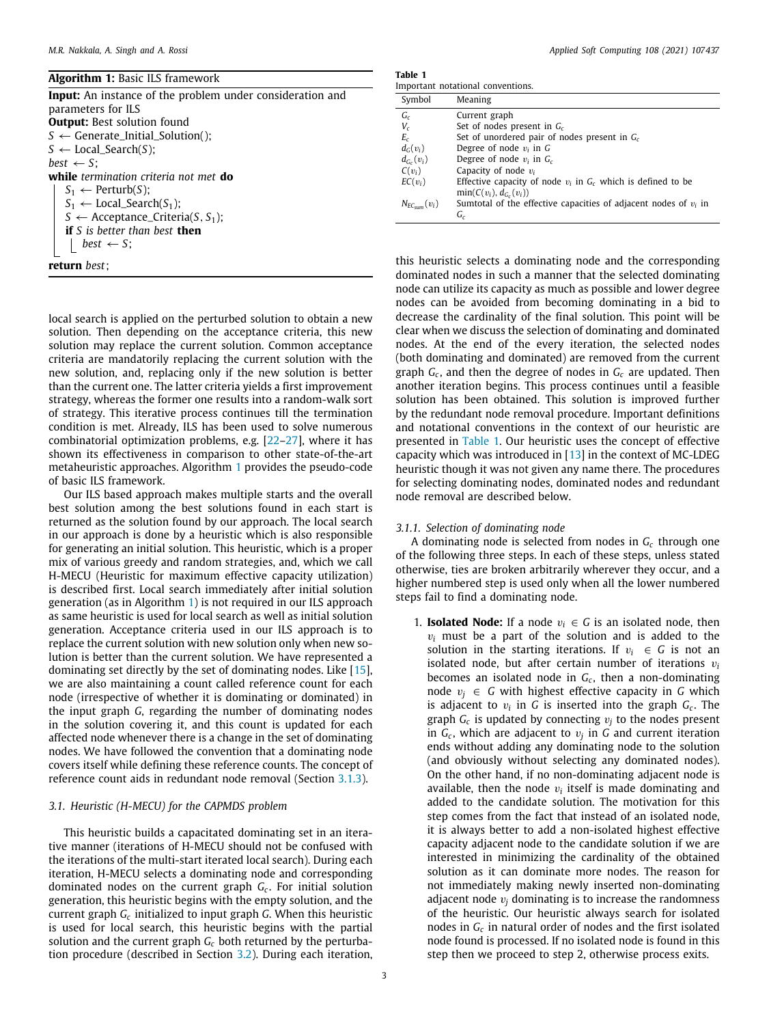<span id="page-2-0"></span>

| <b>Algorithm 1: Basic ILS framework</b>                   |
|-----------------------------------------------------------|
| Input: An instance of the problem under consideration and |
| parameters for ILS                                        |
| <b>Output:</b> Best solution found                        |
| $S \leftarrow$ Generate_Initial_Solution();               |
| $S \leftarrow$ Local_Search(S);                           |
| best $\leftarrow$ S:                                      |
| while termination criteria not met do                     |
| $S_1 \leftarrow$ Perturb(S);                              |
| $S_1 \leftarrow$ Local_Search(S <sub>1</sub> );           |
| $S \leftarrow$ Acceptance_Criteria(S, S <sub>1</sub> );   |
| <b>if</b> S is better than best <b>then</b>               |
| best $\leftarrow$ S:                                      |
| <b>return</b> best:                                       |

local search is applied on the perturbed solution to obtain a new solution. Then depending on the acceptance criteria, this new solution may replace the current solution. Common acceptance criteria are mandatorily replacing the current solution with the new solution, and, replacing only if the new solution is better than the current one. The latter criteria yields a first improvement strategy, whereas the former one results into a random-walk sort of strategy. This iterative process continues till the termination condition is met. Already, ILS has been used to solve numerous combinatorial optimization problems, e.g. [\[22](#page-18-20)[–27](#page-18-21)], where it has shown its effectiveness in comparison to other state-of-the-art metaheuristic approaches. Algorithm [1](#page-2-0) provides the pseudo-code of basic ILS framework.

Our ILS based approach makes multiple starts and the overall best solution among the best solutions found in each start is returned as the solution found by our approach. The local search in our approach is done by a heuristic which is also responsible for generating an initial solution. This heuristic, which is a proper mix of various greedy and random strategies, and, which we call H-MECU (Heuristic for maximum effective capacity utilization) is described first. Local search immediately after initial solution generation (as in Algorithm [1](#page-2-0)) is not required in our ILS approach as same heuristic is used for local search as well as initial solution generation. Acceptance criteria used in our ILS approach is to replace the current solution with new solution only when new solution is better than the current solution. We have represented a dominating set directly by the set of dominating nodes. Like [\[15\]](#page-18-9), we are also maintaining a count called reference count for each node (irrespective of whether it is dominating or dominated) in the input graph *G*, regarding the number of dominating nodes in the solution covering it, and this count is updated for each affected node whenever there is a change in the set of dominating nodes. We have followed the convention that a dominating node covers itself while defining these reference counts. The concept of reference count aids in redundant node removal (Section [3.1.3](#page-3-0)).

## *3.1. Heuristic (H-MECU) for the CAPMDS problem*

This heuristic builds a capacitated dominating set in an iterative manner (iterations of H-MECU should not be confused with the iterations of the multi-start iterated local search). During each iteration, H-MECU selects a dominating node and corresponding dominated nodes on the current graph *G<sup>c</sup>* . For initial solution generation, this heuristic begins with the empty solution, and the current graph *G<sup>c</sup>* initialized to input graph *G*. When this heuristic is used for local search, this heuristic begins with the partial solution and the current graph *G<sup>c</sup>* both returned by the perturbation procedure (described in Section [3.2](#page-5-1)). During each iteration,

**Table 1**

<span id="page-2-1"></span>

|                     | Important notational conventions.                                  |
|---------------------|--------------------------------------------------------------------|
| Symbol              | Meaning                                                            |
| $G_c$               | Current graph                                                      |
| $V_c$               | Set of nodes present in $G_c$                                      |
| $E_c$               | Set of unordered pair of nodes present in $G_c$                    |
| $d_G(v_i)$          | Degree of node $v_i$ in G                                          |
| $d_{G_c}(v_i)$      | Degree of node $v_i$ in $G_c$                                      |
| $C(v_i)$            | Capacity of node $v_i$                                             |
| $EC(v_i)$           | Effective capacity of node $v_i$ in $G_c$ which is defined to be   |
|                     | $min(C(v_i), d_{G_c}(v_i))$                                        |
| $N_{EC_{cum}}(v_i)$ | Sumtotal of the effective capacities of adjacent nodes of $v_i$ in |
|                     | G,                                                                 |

this heuristic selects a dominating node and the corresponding dominated nodes in such a manner that the selected dominating node can utilize its capacity as much as possible and lower degree nodes can be avoided from becoming dominating in a bid to decrease the cardinality of the final solution. This point will be clear when we discuss the selection of dominating and dominated nodes. At the end of the every iteration, the selected nodes (both dominating and dominated) are removed from the current graph *G<sup>c</sup>* , and then the degree of nodes in *G<sup>c</sup>* are updated. Then another iteration begins. This process continues until a feasible solution has been obtained. This solution is improved further by the redundant node removal procedure. Important definitions and notational conventions in the context of our heuristic are presented in [Table](#page-2-1) [1.](#page-2-1) Our heuristic uses the concept of effective capacity which was introduced in  $[13]$  $[13]$  $[13]$  in the context of MC-LDEG heuristic though it was not given any name there. The procedures for selecting dominating nodes, dominated nodes and redundant node removal are described below.

## *3.1.1. Selection of dominating node*

<span id="page-2-2"></span>A dominating node is selected from nodes in *G<sup>c</sup>* through one of the following three steps. In each of these steps, unless stated otherwise, ties are broken arbitrarily wherever they occur, and a higher numbered step is used only when all the lower numbered steps fail to find a dominating node.

1. **Isolated Node:** If a node  $v_i \in G$  is an isolated node, then  $v_i$  must be a part of the solution and is added to the solution in the starting iterations. If  $v_i \in G$  is not an isolated node, but after certain number of iterations  $v_i$ becomes an isolated node in *G<sup>c</sup>* , then a non-dominating node  $v_j$  ∈ *G* with highest effective capacity in *G* which is adjacent to  $v_i$  in G is inserted into the graph  $G_c$ . The graph  $G_c$  is updated by connecting  $v_j$  to the nodes present in  $G_c$ , which are adjacent to  $v_j$  in G and current iteration ends without adding any dominating node to the solution (and obviously without selecting any dominated nodes). On the other hand, if no non-dominating adjacent node is available, then the node  $v_i$  itself is made dominating and added to the candidate solution. The motivation for this step comes from the fact that instead of an isolated node, it is always better to add a non-isolated highest effective capacity adjacent node to the candidate solution if we are interested in minimizing the cardinality of the obtained solution as it can dominate more nodes. The reason for not immediately making newly inserted non-dominating adjacent node  $v_i$  dominating is to increase the randomness of the heuristic. Our heuristic always search for isolated nodes in *G<sup>c</sup>* in natural order of nodes and the first isolated node found is processed. If no isolated node is found in this step then we proceed to step 2, otherwise process exits.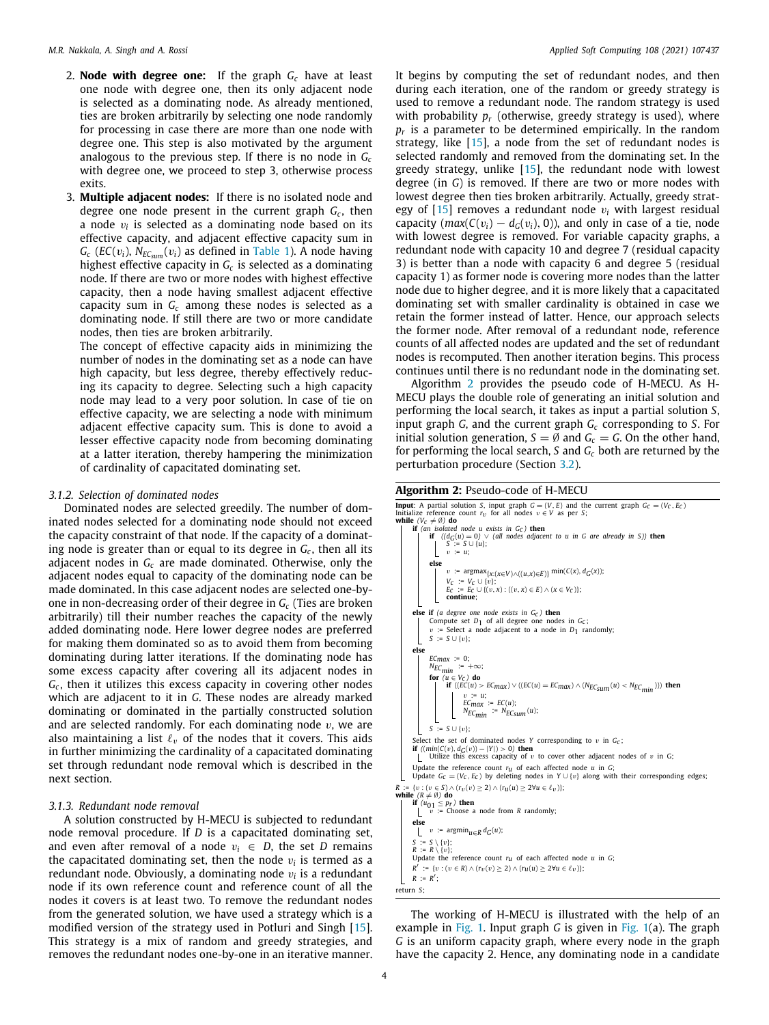- 2. **Node with degree one:** If the graph *G<sup>c</sup>* have at least one node with degree one, then its only adjacent node is selected as a dominating node. As already mentioned, ties are broken arbitrarily by selecting one node randomly for processing in case there are more than one node with degree one. This step is also motivated by the argument analogous to the previous step. If there is no node in *G<sup>c</sup>* with degree one, we proceed to step 3, otherwise process exits.
- 3. **Multiple adjacent nodes:** If there is no isolated node and degree one node present in the current graph *G<sup>c</sup>* , then a node v*<sup>i</sup>* is selected as a dominating node based on its effective capacity, and adjacent effective capacity sum in  $G_c$  (*EC*( $v_i$ ),  $N_{EC_{sum}}(v_i)$  as defined in [Table](#page-2-1) [1\)](#page-2-1). A node having highest effective capacity in  $G_c$  is selected as a dominating node. If there are two or more nodes with highest effective capacity, then a node having smallest adjacent effective capacity sum in *G<sup>c</sup>* among these nodes is selected as a dominating node. If still there are two or more candidate nodes, then ties are broken arbitrarily.

The concept of effective capacity aids in minimizing the number of nodes in the dominating set as a node can have high capacity, but less degree, thereby effectively reducing its capacity to degree. Selecting such a high capacity node may lead to a very poor solution. In case of tie on effective capacity, we are selecting a node with minimum adjacent effective capacity sum. This is done to avoid a lesser effective capacity node from becoming dominating at a latter iteration, thereby hampering the minimization of cardinality of capacitated dominating set.

## *3.1.2. Selection of dominated nodes*

<span id="page-3-2"></span>Dominated nodes are selected greedily. The number of dominated nodes selected for a dominating node should not exceed the capacity constraint of that node. If the capacity of a dominating node is greater than or equal to its degree in *G<sup>c</sup>* , then all its adjacent nodes in *G<sup>c</sup>* are made dominated. Otherwise, only the adjacent nodes equal to capacity of the dominating node can be made dominated. In this case adjacent nodes are selected one-byone in non-decreasing order of their degree in *G<sup>c</sup>* (Ties are broken arbitrarily) till their number reaches the capacity of the newly added dominating node. Here lower degree nodes are preferred for making them dominated so as to avoid them from becoming dominating during latter iterations. If the dominating node has some excess capacity after covering all its adjacent nodes in *Gc* , then it utilizes this excess capacity in covering other nodes which are adjacent to it in *G*. These nodes are already marked dominating or dominated in the partially constructed solution and are selected randomly. For each dominating node  $v$ , we are also maintaining a list  $\ell_v$  of the nodes that it covers. This aids in further minimizing the cardinality of a capacitated dominating set through redundant node removal which is described in the next section.

## *3.1.3. Redundant node removal*

<span id="page-3-0"></span>A solution constructed by H-MECU is subjected to redundant node removal procedure. If *D* is a capacitated dominating set, and even after removal of a node  $v_i \in D$ , the set *D* remains the capacitated dominating set, then the node  $v_i$  is termed as a redundant node. Obviously, a dominating node v*<sup>i</sup>* is a redundant node if its own reference count and reference count of all the nodes it covers is at least two. To remove the redundant nodes from the generated solution, we have used a strategy which is a modified version of the strategy used in Potluri and Singh [\[15\]](#page-18-9). This strategy is a mix of random and greedy strategies, and removes the redundant nodes one-by-one in an iterative manner.

It begins by computing the set of redundant nodes, and then during each iteration, one of the random or greedy strategy is used to remove a redundant node. The random strategy is used with probability  $p_r$  (otherwise, greedy strategy is used), where *pr* is a parameter to be determined empirically. In the random strategy, like [[15](#page-18-9)], a node from the set of redundant nodes is selected randomly and removed from the dominating set. In the greedy strategy, unlike [[15\]](#page-18-9), the redundant node with lowest degree (in *G*) is removed. If there are two or more nodes with lowest degree then ties broken arbitrarily. Actually, greedy strategy of  $[15]$  $[15]$  removes a redundant node  $v_i$  with largest residual capacity ( $max(C(v_i) - d_G(v_i), 0)$ ), and only in case of a tie, node with lowest degree is removed. For variable capacity graphs, a redundant node with capacity 10 and degree 7 (residual capacity 3) is better than a node with capacity 6 and degree 5 (residual capacity 1) as former node is covering more nodes than the latter node due to higher degree, and it is more likely that a capacitated dominating set with smaller cardinality is obtained in case we retain the former instead of latter. Hence, our approach selects the former node. After removal of a redundant node, reference counts of all affected nodes are updated and the set of redundant nodes is recomputed. Then another iteration begins. This process continues until there is no redundant node in the dominating set.

Algorithm [2](#page-3-1) provides the pseudo code of H-MECU. As H-MECU plays the double role of generating an initial solution and performing the local search, it takes as input a partial solution *S*, input graph *G*, and the current graph *G<sup>c</sup>* corresponding to *S*. For initial solution generation,  $S = \emptyset$  and  $G_c = G$ . On the other hand, for performing the local search, *S* and *G<sup>c</sup>* both are returned by the perturbation procedure (Section [3.2](#page-5-1)).

## **Algorithm 2:** Pseudo-code of H-MECU

<span id="page-3-1"></span>

| <b>Input:</b> A partial solution S, input graph $G = (V, E)$ and the current graph $G_C = (V_C, E_C)$<br>Initialize reference count $r_v$ for all nodes $v \in V$ as per S;<br>while $(V_C \neq \emptyset)$ do                                                                   |
|----------------------------------------------------------------------------------------------------------------------------------------------------------------------------------------------------------------------------------------------------------------------------------|
| <b>if</b> (an isolated node u exists in $GC$ ) then<br><b>if</b> $((d_G(u) = 0) \vee (all nodes adjacent to u in G are already in S))$ then<br>$S := S \cup \{u\};$<br>$v := u;$                                                                                                 |
| else                                                                                                                                                                                                                                                                             |
|                                                                                                                                                                                                                                                                                  |
|                                                                                                                                                                                                                                                                                  |
| $\label{eq:2} \begin{array}{ c c } \hline \begin{array}{cccc} &v:=\text{argmax}_{\{X:\{X\in V\}\wedge((u,x)\in E)\}}\min(C(x),d_G(x));\\ &V_C&:=V_C\cup\{v\};\\ &E_C&:=E_C\cup\{(v,x):((v,x)\in E)\wedge(x\in V_C)\};\\ &\text{continuous} \end{array} \end{array}$<br>continue; |
| <b>else if</b> (a degree one node exists in $G_C$ ) <b>then</b>                                                                                                                                                                                                                  |
| Compute set $D_1$ of all degree one nodes in $G_c$ ;                                                                                                                                                                                                                             |
| $v$ := Select a node adjacent to a node in $D_1$ randomly;                                                                                                                                                                                                                       |
| $S := S \cup \{v\};$                                                                                                                                                                                                                                                             |
| else                                                                                                                                                                                                                                                                             |
| $ECmax := 0;$                                                                                                                                                                                                                                                                    |
| $N_{ECmin}$ := $+\infty$ ;                                                                                                                                                                                                                                                       |
| for $(u \in V_C)$ do                                                                                                                                                                                                                                                             |
| if $((\widetilde{EC}(u) > EC_{max}) \vee ((EC(u) = EC_{max}) \wedge (N_{EC_{sum}}(u) < N_{EC_{min}})))$ then<br>$\begin{cases}\nv := u; \\ EC_{max} := EC(u); \\ N_{EC_{min}} := N_{EC_{sum}}(u); \n\end{cases}$                                                                 |
| $S := S \cup \{v\};$                                                                                                                                                                                                                                                             |

Select the set of dominated nodes *Y* corresponding to *v* in  $G_c$ ;<br>**if** ( $(mm(C_v), d_G(v))$  - |*Y*|) > 0) **then**<br>| Utilize this excess capacity of *v* to cover other adjacent nodes of *v* in G; Update the reference count *r<sub>u</sub>* of each affected node *u* in *G*;<br>Update *G<sub>C</sub>* = (*V<sub>C</sub>*, *E<sub>C</sub>*) by deleting nodes in *Y* ∪ {*v*} along with their corresponding edges;  $R := \{v : (v \in S) \land (r_v(v) \geq 2) \land (r_u(u) \geq 2 \forall u \in \ell_v)\};$ <br>while  $(R \neq \emptyset)$  do  $(R \neq \emptyset)$  **do if**  $(u_{01} \leq p_r)$  **then**<br>  $\vert \quad v \quad \text{:} = \text{Choose a node from } R \text{ randomly};$ **else**

```
v := \operatorname{argmin}_{u \in R} d_G(u);
         S := S \{v\};<br>
R := R \{v\};<br>
Update the reference count r<sub>u</sub> of each affected node u in G;
         R<sup>i</sup> := {v : (v ∈ R) ∧ (r<sub>V</sub>(v) ≥ 2) ∧ (r<sub>U</sub>(u) ≥ 2∀u ∈ \ell<sub>v</sub>)};
         R := R';
return S;
```
The working of H-MECU is illustrated with the help of an example in [Fig.](#page-4-0) [1](#page-4-0). Input graph *G* is given in [Fig.](#page-4-0) [1\(](#page-4-0)a). The graph *G* is an uniform capacity graph, where every node in the graph have the capacity 2. Hence, any dominating node in a candidate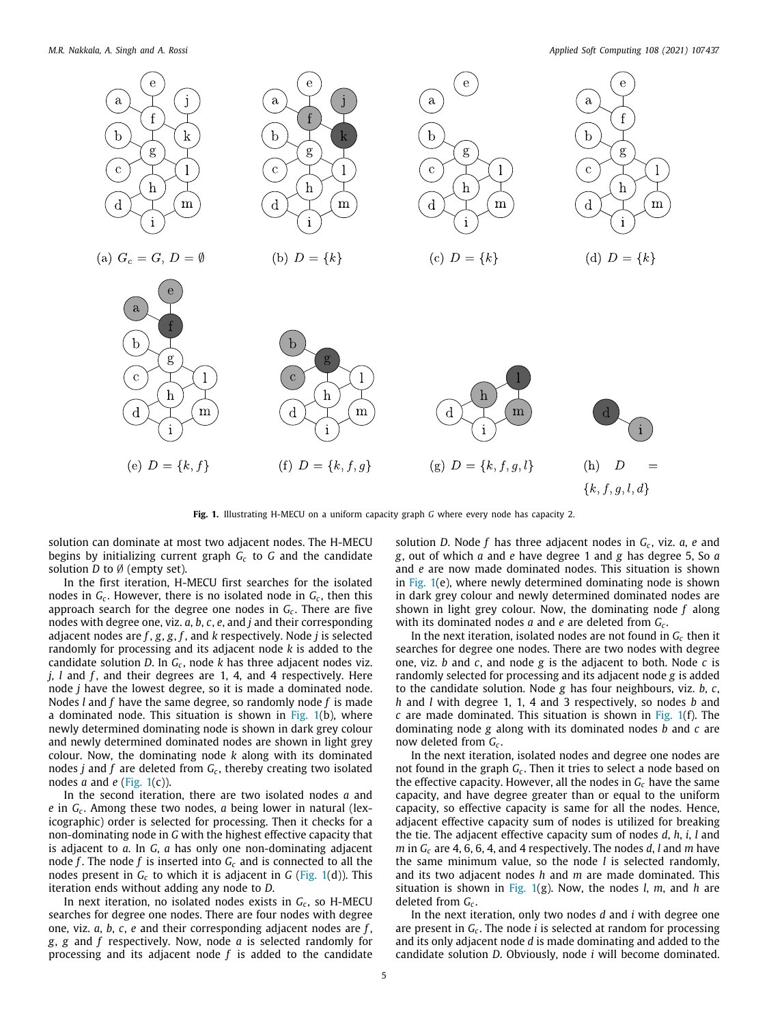*M.R. Nakkala, A. Singh and A. Rossi Applied Soft Computing 108 (2021) 107437*



**Fig. 1.** Illustrating H-MECU on a uniform capacity graph *G* where every node has capacity 2.

<span id="page-4-0"></span>solution can dominate at most two adjacent nodes. The H-MECU begins by initializing current graph *G<sup>c</sup>* to *G* and the candidate solution *D* to Ø (empty set).

In the first iteration, H-MECU first searches for the isolated nodes in *G<sup>c</sup>* . However, there is no isolated node in *G<sup>c</sup>* , then this approach search for the degree one nodes in *G<sup>c</sup>* . There are five nodes with degree one, viz. *a*, *b*, *c*, *e*, and *j* and their corresponding adjacent nodes are *f* , *g*, *g*, *f* , and *k* respectively. Node *j* is selected randomly for processing and its adjacent node *k* is added to the candidate solution *D*. In *G<sup>c</sup>* , node *k* has three adjacent nodes viz. *j*, *l* and *f* , and their degrees are 1, 4, and 4 respectively. Here node *j* have the lowest degree, so it is made a dominated node. Nodes *l* and *f* have the same degree, so randomly node *f* is made a dominated node. This situation is shown in [Fig.](#page-4-0)  $1(b)$  $1(b)$ , where newly determined dominating node is shown in dark grey colour and newly determined dominated nodes are shown in light grey colour. Now, the dominating node *k* along with its dominated nodes *j* and *f* are deleted from *G<sup>c</sup>* , thereby creating two isolated nodes  $a$  and  $e$  [\(Fig.](#page-4-0) [1\(](#page-4-0)c)).

In the second iteration, there are two isolated nodes *a* and *e* in *G<sup>c</sup>* . Among these two nodes, *a* being lower in natural (lexicographic) order is selected for processing. Then it checks for a non-dominating node in *G* with the highest effective capacity that is adjacent to *a*. In *G*, *a* has only one non-dominating adjacent node  $f$ . The node  $f$  is inserted into  $G_c$  and is connected to all the nodes present in  $G_c$  to which it is adjacent in  $G$  [\(Fig.](#page-4-0) [1\(](#page-4-0)d)). This iteration ends without adding any node to *D*.

In next iteration, no isolated nodes exists in *G<sup>c</sup>* , so H-MECU searches for degree one nodes. There are four nodes with degree one, viz. *a*, *b*, *c*, *e* and their corresponding adjacent nodes are *f* , *g*, *g* and *f* respectively. Now, node *a* is selected randomly for processing and its adjacent node *f* is added to the candidate

solution *D*. Node *f* has three adjacent nodes in *G<sup>c</sup>* , viz. *a*, *e* and *g*, out of which *a* and *e* have degree 1 and *g* has degree 5, So *a* and *e* are now made dominated nodes. This situation is shown in [Fig.](#page-4-0)  $1(e)$  $1(e)$ , where newly determined dominating node is shown in dark grey colour and newly determined dominated nodes are shown in light grey colour. Now, the dominating node *f* along with its dominated nodes *a* and *e* are deleted from *G<sup>c</sup>* .

In the next iteration, isolated nodes are not found in  $G_c$  then it searches for degree one nodes. There are two nodes with degree one, viz. *b* and *c*, and node *g* is the adjacent to both. Node *c* is randomly selected for processing and its adjacent node *g* is added to the candidate solution. Node *g* has four neighbours, viz. *b*, *c*, *h* and *l* with degree 1, 1, 4 and 3 respectively, so nodes *b* and *c* are made dominated. This situation is shown in [Fig.](#page-4-0) [1](#page-4-0)(f). The dominating node *g* along with its dominated nodes *b* and *c* are now deleted from *G<sup>c</sup>* .

In the next iteration, isolated nodes and degree one nodes are not found in the graph *G<sup>c</sup>* . Then it tries to select a node based on the effective capacity. However, all the nodes in *G<sup>c</sup>* have the same capacity, and have degree greater than or equal to the uniform capacity, so effective capacity is same for all the nodes. Hence, adjacent effective capacity sum of nodes is utilized for breaking the tie. The adjacent effective capacity sum of nodes *d*, *h*, *i*, *l* and *m* in *G<sup>c</sup>* are 4, 6, 6, 4, and 4 respectively. The nodes *d*, *l* and *m* have the same minimum value, so the node *l* is selected randomly, and its two adjacent nodes *h* and *m* are made dominated. This situation is shown in [Fig.](#page-4-0) [1](#page-4-0)(g). Now, the nodes *l*, *m*, and *h* are deleted from *G<sup>c</sup>* .

In the next iteration, only two nodes *d* and *i* with degree one are present in *G<sup>c</sup>* . The node *i* is selected at random for processing and its only adjacent node *d* is made dominating and added to the candidate solution *D*. Obviously, node *i* will become dominated.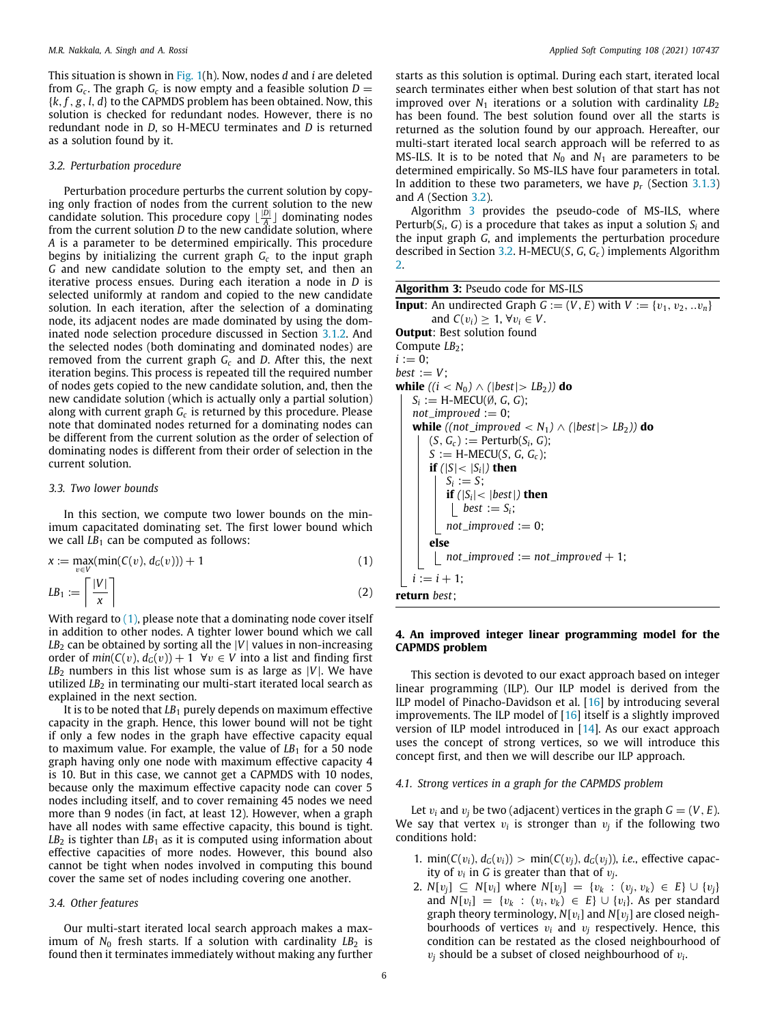This situation is shown in [Fig.](#page-4-0) [1\(](#page-4-0)h). Now, nodes *d* and *i* are deleted from  $G_c$ . The graph  $G_c$  is now empty and a feasible solution  $D =$ {*k*, *f* , *g*, *l*, *d*} to the CAPMDS problem has been obtained. Now, this solution is checked for redundant nodes. However, there is no redundant node in *D*, so H-MECU terminates and *D* is returned as a solution found by it.

## *3.2. Perturbation procedure*

<span id="page-5-1"></span>Perturbation procedure perturbs the current solution by copying only fraction of nodes from the current solution to the new candidate solution. This procedure copy  $\lfloor \frac{|D|}{4} \rfloor$  dominating nodes  $A$ <sup> $A$ </sup> a commuting nearby the current solution *D* to the new candidate solution, where *A* is a parameter to be determined empirically. This procedure begins by initializing the current graph *G<sup>c</sup>* to the input graph *G* and new candidate solution to the empty set, and then an iterative process ensues. During each iteration a node in *D* is selected uniformly at random and copied to the new candidate solution. In each iteration, after the selection of a dominating node, its adjacent nodes are made dominated by using the dominated node selection procedure discussed in Section [3.1.2.](#page-3-2) And the selected nodes (both dominating and dominated nodes) are removed from the current graph *G<sup>c</sup>* and *D*. After this, the next iteration begins. This process is repeated till the required number of nodes gets copied to the new candidate solution, and, then the new candidate solution (which is actually only a partial solution) along with current graph  $G_c$  is returned by this procedure. Please note that dominated nodes returned for a dominating nodes can be different from the current solution as the order of selection of dominating nodes is different from their order of selection in the current solution.

## *3.3. Two lower bounds*

In this section, we compute two lower bounds on the minimum capacitated dominating set. The first lower bound which we call  $LB_1$  can be computed as follows:

$$
x := \max_{v \in V} (\min(C(v), d_G(v))) + 1
$$
  
\n
$$
LB_1 := \left\lceil \frac{|V|}{x} \right\rceil
$$
\n(2)

With regard to  $(1)$  $(1)$  $(1)$ , please note that a dominating node cover itself in addition to other nodes. A tighter lower bound which we call  $LB<sub>2</sub>$  can be obtained by sorting all the  $|V|$  values in non-increasing order of  $min(C(v), d_G(v)) + 1 \ \forall v \in V$  into a list and finding first  $LB<sub>2</sub>$  numbers in this list whose sum is as large as  $|V|$ . We have utilized *LB*<sub>2</sub> in terminating our multi-start iterated local search as explained in the next section.

It is to be noted that  $LB_1$  purely depends on maximum effective capacity in the graph. Hence, this lower bound will not be tight if only a few nodes in the graph have effective capacity equal to maximum value. For example, the value of *LB*<sub>1</sub> for a 50 node graph having only one node with maximum effective capacity 4 is 10. But in this case, we cannot get a CAPMDS with 10 nodes, because only the maximum effective capacity node can cover 5 nodes including itself, and to cover remaining 45 nodes we need more than 9 nodes (in fact, at least 12). However, when a graph have all nodes with same effective capacity, this bound is tight.  $LB<sub>2</sub>$  is tighter than  $LB<sub>1</sub>$  as it is computed using information about effective capacities of more nodes. However, this bound also cannot be tight when nodes involved in computing this bound cover the same set of nodes including covering one another.

## *3.4. Other features*

<span id="page-5-5"></span>Our multi-start iterated local search approach makes a maximum of  $N_0$  fresh starts. If a solution with cardinality  $LB_2$  is found then it terminates immediately without making any further

starts as this solution is optimal. During each start, iterated local search terminates either when best solution of that start has not improved over  $N_1$  iterations or a solution with cardinality  $LB_2$ has been found. The best solution found over all the starts is returned as the solution found by our approach. Hereafter, our multi-start iterated local search approach will be referred to as MS-ILS. It is to be noted that  $N_0$  and  $N_1$  are parameters to be determined empirically. So MS-ILS have four parameters in total. In addition to these two parameters, we have *p<sup>r</sup>* (Section [3.1.3\)](#page-3-0) and *A* (Section [3.2\)](#page-5-1).

Algorithm [3](#page-5-3) provides the pseudo-code of MS-ILS, where Perturb(*S<sup>i</sup>* , *G*) is a procedure that takes as input a solution *S<sup>i</sup>* and the input graph *G*, and implements the perturbation procedure described in Section [3.2.](#page-5-1) H-MECU(*S*, *G*, *G<sup>c</sup>* ) implements Algorithm [2](#page-3-1).

| Algorithm 3: Pseudo code for MS-ILS |  |  |  |  |  |
|-------------------------------------|--|--|--|--|--|
|-------------------------------------|--|--|--|--|--|

<span id="page-5-3"></span>**Input**: An undirected Graph  $G := (V, E)$  with  $V := \{v_1, v_2, ... v_n\}$ and  $C(v_i) \geq 1$ ,  $\forall v_i \in V$ . **Output**: Best solution found Compute *LB*<sub>2</sub>;  $i := 0$ ;  $best := V$ : **while**  $((i < N_0) ∧ (|best| > LB_2))$  **do**  $S_i := H$ -MECU( $\emptyset$ , *G*, *G*);  $not$ \_*improved* := 0; **while**  $((\text{not\_improved} < N_1) \land (|\text{best}| > LB_2))$  **do**  $(S, G_c) :=$  Perturb $(S_i, G)$ ;  $S := H-MECU(S, G, G<sub>c</sub>)$ ; **if**  $(|S| < |S_i|)$  **then**  $S_i := S;$ **if**  $(|S_i| < |best|)$  **then** *best* :=  $S_i$ ;  $not$ \_*improved* := 0; **else**  $not\_improved := not\_improved + 1;$  $i := i + 1;$ **return** *best*;

## <span id="page-5-2"></span>**4. An improved integer linear programming model for the CAPMDS problem**

<span id="page-5-0"></span>This section is devoted to our exact approach based on integer linear programming (ILP). Our ILP model is derived from the ILP model of Pinacho-Davidson et al. [\[16\]](#page-18-10) by introducing several improvements. The ILP model of  $[16]$  $[16]$  itself is a slightly improved version of ILP model introduced in [\[14\]](#page-18-8). As our exact approach uses the concept of strong vertices, so we will introduce this concept first, and then we will describe our ILP approach.

## *4.1. Strong vertices in a graph for the CAPMDS problem*

<span id="page-5-4"></span>Let  $v_i$  and  $v_j$  be two (adjacent) vertices in the graph  $G = (V, E)$ . We say that vertex  $v_i$  is stronger than  $v_j$  if the following two conditions hold:

- 1. min( $C(v_i)$ ,  $d_G(v_i)$ ) > min( $C(v_i)$ ,  $d_G(v_i)$ ), *i.e.*, effective capacity of  $v_i$  in G is greater than that of  $v_j$ .
- 2. *N*[ $v_i$ ]  $\subseteq$  *N*[ $v_i$ ] where *N*[ $v_j$ ] = { $v_k$  : ( $v_j$ ,  $v_k$ )  $\in$  *E*}  $\cup$  { $v_j$ } and *N*[ $v_i$ ] = { $v_k$  : ( $v_i$ ,  $v_k$ ) ∈  $E$ } ∪ { $v_i$ }. As per standard graph theory terminology, *N*[v*i*] and *N*[v*j*] are closed neighbourhoods of vertices  $v_i$  and  $v_j$  respectively. Hence, this condition can be restated as the closed neighbourhood of  $v_j$  should be a subset of closed neighbourhood of  $v_i$ .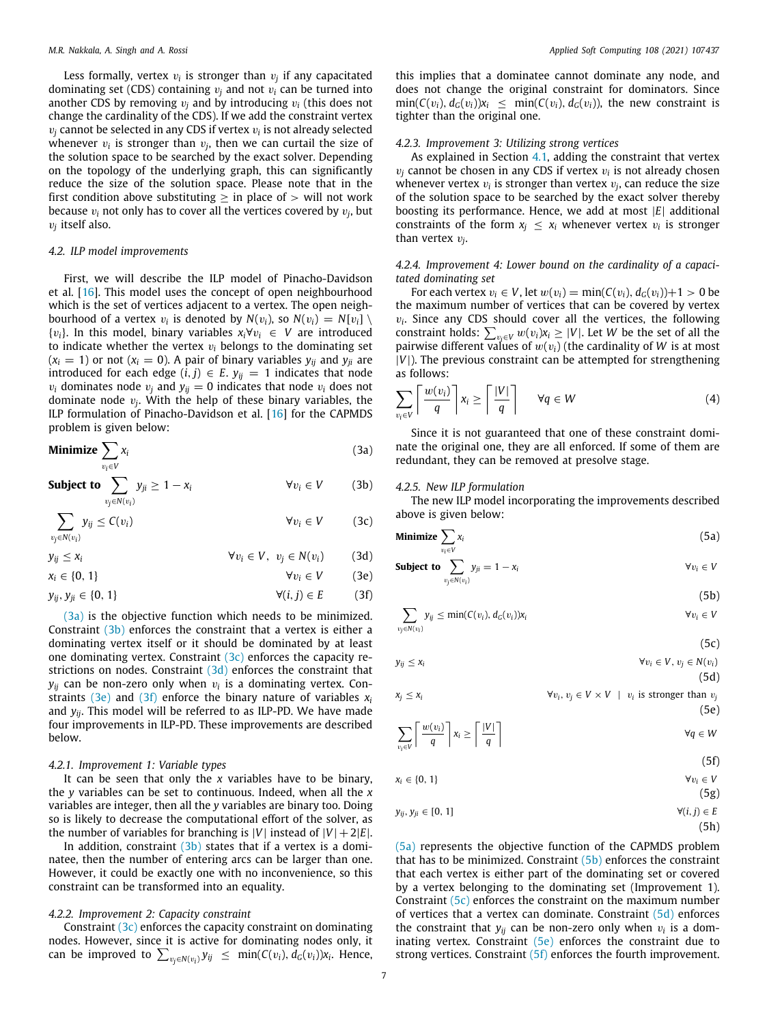Less formally, vertex  $v_i$  is stronger than  $v_j$  if any capacitated dominating set (CDS) containing  $v_i$  and not  $v_i$  can be turned into another CDS by removing  $v_i$  and by introducing  $v_i$  (this does not change the cardinality of the CDS). If we add the constraint vertex  $v_j$  cannot be selected in any CDS if vertex  $v_i$  is not already selected whenever  $v_i$  is stronger than  $v_j$ , then we can curtail the size of the solution space to be searched by the exact solver. Depending on the topology of the underlying graph, this can significantly reduce the size of the solution space. Please note that in the first condition above substituting  $\geq$  in place of  $>$  will not work because  $v_i$  not only has to cover all the vertices covered by  $v_j$ , but v*j* itself also.

#### *4.2. ILP model improvements*

First, we will describe the ILP model of Pinacho-Davidson et al. [\[16\]](#page-18-10). This model uses the concept of open neighbourhood which is the set of vertices adjacent to a vertex. The open neighbourhood of a vertex  $v_i$  is denoted by  $N(v_i)$ , so  $N(v_i) = N[v_i] \setminus$ {v*i*}. In this model, binary variables *xi*∀v*<sup>i</sup>* ∈ *V* are introduced to indicate whether the vertex  $v_i$  belongs to the dominating set  $(x_i = 1)$  or not  $(x_i = 0)$ . A pair of binary variables  $y_{ij}$  and  $y_{ji}$  are introduced for each edge  $(i, j) \in E$ .  $y_{ij} = 1$  indicates that node  $v_i$  dominates node  $v_i$  and  $y_{ii} = 0$  indicates that node  $v_i$  does not dominate node v*<sup>j</sup>* . With the help of these binary variables, the ILP formulation of Pinacho-Davidson et al. [[16](#page-18-10)] for the CAPMDS problem is given below:

**Minimize** 
$$
\sum_{v_i \in V} x_i
$$
 (3a)

**Subject to** ∑  $v_j ∈ N(v_i)$  $y_{ji} \ge 1 - x_i$   $\forall v_i \in V$  (3b)

$$
\sum_{v_j \in N(v_i)} y_{ij} \le C(v_i) \qquad \forall v_i \in V \qquad (3c)
$$

 $y_{ij} \le x_i$   $\forall v_i \in V, v_j \in N(v_i)$  (3d)

$$
x_i \in \{0, 1\} \qquad \forall v_i \in V \qquad (3e)
$$

$$
y_{ij}, y_{ji} \in \{0, 1\} \qquad \qquad \forall (i, j) \in E \qquad (3f)
$$

([3a\)](#page-6-0) is the objective function which needs to be minimized. Constraint ([3b\)](#page-6-1) enforces the constraint that a vertex is either a dominating vertex itself or it should be dominated by at least one dominating vertex. Constraint  $(3c)$  enforces the capacity restrictions on nodes. Constraint ([3d](#page-6-3)) enforces the constraint that  $y_{ij}$  can be non-zero only when  $v_i$  is a dominating vertex. Con-straints [\(3e\)](#page-6-4) and [\(3f\)](#page-6-5) enforce the binary nature of variables  $x_i$ and *yij*. This model will be referred to as ILP-PD. We have made four improvements in ILP-PD. These improvements are described below.

## *4.2.1. Improvement 1: Variable types*

It can be seen that only the *x* variables have to be binary, the *y* variables can be set to continuous. Indeed, when all the *x* variables are integer, then all the *y* variables are binary too. Doing so is likely to decrease the computational effort of the solver, as the number of variables for branching is  $|V|$  instead of  $|V| + 2|E|$ .

In addition, constraint  $(3b)$  states that if a vertex is a dominatee, then the number of entering arcs can be larger than one. However, it could be exactly one with no inconvenience, so this constraint can be transformed into an equality.

## *4.2.2. Improvement 2: Capacity constraint*

Constraint ([3c](#page-6-2)) enforces the capacity constraint on dominating nodes. However, since it is active for dominating nodes only, it can be improved to  $\sum_{v_j \in N(v_i)} y_{ij} \le \min(C(v_i), d_G(v_i))$ *x<sub>i</sub>*. Hence,

this implies that a dominatee cannot dominate any node, and does not change the original constraint for dominators. Since  $\min(C(v_i), d_G(v_i))x_i \leq \min(C(v_i), d_G(v_i))$ , the new constraint is tighter than the original one.

## *4.2.3. Improvement 3: Utilizing strong vertices*

As explained in Section [4.1,](#page-5-4) adding the constraint that vertex  $v_j$  cannot be chosen in any CDS if vertex  $v_i$  is not already chosen whenever vertex  $v_i$  is stronger than vertex  $v_j$ , can reduce the size of the solution space to be searched by the exact solver thereby boosting its performance. Hence, we add at most |*E*| additional constraints of the form  $x_j \leq x_i$  whenever vertex  $v_i$  is stronger than vertex v*<sup>j</sup>* .

## *4.2.4. Improvement 4: Lower bound on the cardinality of a capacitated dominating set*

For each vertex  $v_i \in V$ , let  $w(v_i) = \min(C(v_i), d_G(v_i)) + 1 > 0$  be the maximum number of vertices that can be covered by vertex  $v_i$ . Since any CDS should cover all the vertices, the following constraint holds:  $\sum_{v_i \in V} w(v_i) x_i \geq |V|$ . Let *W* be the set of all the pairwise different values of  $w(v_i)$  (the cardinality of *W* is at most |*V*|). The previous constraint can be attempted for strengthening as follows:

$$
\sum_{v_i \in V} \left\lceil \frac{w(v_i)}{q} \right\rceil x_i \ge \left\lceil \frac{|V|}{q} \right\rceil \quad \forall q \in W \tag{4}
$$

<span id="page-6-0"></span>Since it is not guaranteed that one of these constraint dominate the original one, they are all enforced. If some of them are redundant, they can be removed at presolve stage.

## <span id="page-6-1"></span>*4.2.5. New ILP formulation*

The new ILP model incorporating the improvements described above is given below:

<span id="page-6-2"></span>**Minimize** 
$$
\sum_{v_i \in V} x_i
$$
 (5a)

<span id="page-6-4"></span><span id="page-6-3"></span>**Subject to** 
$$
\sum_{v_j \in N(v_i)} y_{ji} = 1 - x_i \qquad \forall v_i \in V
$$

<span id="page-6-8"></span><span id="page-6-7"></span><span id="page-6-6"></span>
$$
(5b)
$$

<span id="page-6-5"></span>
$$
\sum_{v_j \in N(v_i)} y_{ij} \le \min(C(v_i), d_G(v_i))x_i \qquad \forall v_i \in V
$$

$$
\forall v \in V \quad v \in N(v)
$$
\n
$$
\forall v \in V \quad v \in N(v)
$$

$$
\forall v_i \in V, v_j \in N(v_i)
$$
\n
$$
\forall v_i \in V, v_j \in N(v_i)
$$
\n(5d)

$$
\forall v_i, v_j \in V \times V \mid v_i \text{ is stronger than } v_j
$$
\n
$$
(5e)
$$

$$
\sum_{v_i \in V} \left\lceil \frac{w(v_i)}{q} \right\rceil x_i \ge \left\lceil \frac{|V|}{q} \right\rceil \qquad \forall q \in W
$$

<span id="page-6-11"></span><span id="page-6-10"></span><span id="page-6-9"></span>
$$
(5f)
$$

$$
x_i \in \{0, 1\} \qquad \forall v_i \in V
$$

<span id="page-6-12"></span>
$$
(5g)
$$

$$
y_{ij}, y_{ji} \in [0, 1] \qquad \qquad \forall (i, j) \in E
$$

<span id="page-6-13"></span>
$$
(5h)
$$

([5a\)](#page-6-6) represents the objective function of the CAPMDS problem that has to be minimized. Constraint  $(5b)$  $(5b)$  $(5b)$  enforces the constraint that each vertex is either part of the dominating set or covered by a vertex belonging to the dominating set (Improvement 1). Constraint [\(5c\)](#page-6-8) enforces the constraint on the maximum number of vertices that a vertex can dominate. Constraint  $(5d)$  $(5d)$  enforces the constraint that  $y_{ij}$  can be non-zero only when  $v_i$  is a dominating vertex. Constraint  $(5e)$  $(5e)$  enforces the constraint due to strong vertices. Constraint ([5f](#page-6-11)) enforces the fourth improvement.

 $x_j \leq x_i$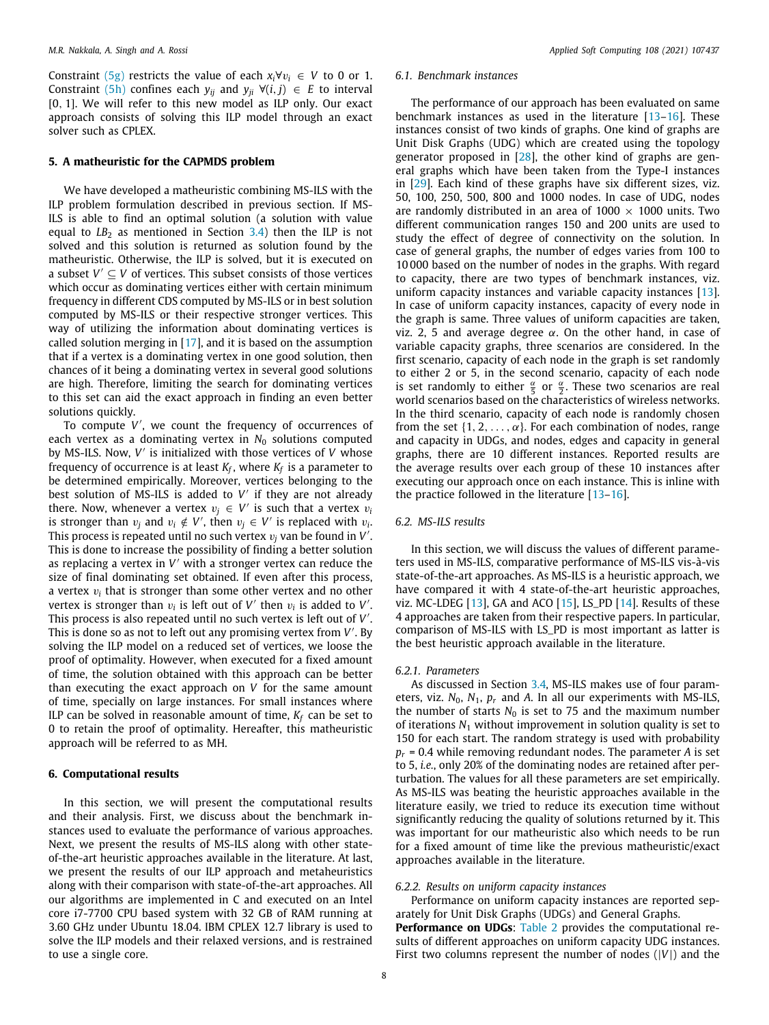Constraint [\(5g](#page-6-12)) restricts the value of each  $x_i \forall v_i \in V$  to 0 or 1. Constraint [\(5h](#page-6-13)) confines each  $y_{ii}$  and  $y_{ii} \forall (i, j) \in E$  to interval [0, 1]. We will refer to this new model as ILP only. Our exact approach consists of solving this ILP model through an exact solver such as CPLEX.

## **5. A matheuristic for the CAPMDS problem**

<span id="page-7-0"></span>We have developed a matheuristic combining MS-ILS with the ILP problem formulation described in previous section. If MS-ILS is able to find an optimal solution (a solution with value equal to  $LB_2$  as mentioned in Section  $3.4$ ) then the ILP is not solved and this solution is returned as solution found by the matheuristic. Otherwise, the ILP is solved, but it is executed on a subset  $V' \subseteq V$  of vertices. This subset consists of those vertices which occur as dominating vertices either with certain minimum frequency in different CDS computed by MS-ILS or in best solution computed by MS-ILS or their respective stronger vertices. This way of utilizing the information about dominating vertices is called solution merging in  $[17]$ , and it is based on the assumption that if a vertex is a dominating vertex in one good solution, then chances of it being a dominating vertex in several good solutions are high. Therefore, limiting the search for dominating vertices to this set can aid the exact approach in finding an even better solutions quickly.

To compute *V* ′ , we count the frequency of occurrences of each vertex as a dominating vertex in  $N_0$  solutions computed by MS-ILS. Now, V' is initialized with those vertices of V whose frequency of occurrence is at least *K<sup>f</sup>* , where *K<sup>f</sup>* is a parameter to be determined empirically. Moreover, vertices belonging to the best solution of MS-ILS is added to V' if they are not already there. Now, whenever a vertex  $v_j \in V'$  is such that a vertex  $v_j$ is stronger than  $v_j$  and  $v_i \notin V'$ , then  $v_j \in V'$  is replaced with  $v_i$ . This process is repeated until no such vertex  $v_j$  van be found in  $V'$ . This is done to increase the possibility of finding a better solution as replacing a vertex in *V* ′ with a stronger vertex can reduce the size of final dominating set obtained. If even after this process, a vertex v*<sup>i</sup>* that is stronger than some other vertex and no other vertex is stronger than  $v_i$  is left out of  $V'$  then  $v_i$  is added to  $V'$ . This process is also repeated until no such vertex is left out of *V* ′ . This is done so as not to left out any promising vertex from V'. By solving the ILP model on a reduced set of vertices, we loose the proof of optimality. However, when executed for a fixed amount of time, the solution obtained with this approach can be better than executing the exact approach on *V* for the same amount of time, specially on large instances. For small instances where ILP can be solved in reasonable amount of time,  $K_f$  can be set to 0 to retain the proof of optimality. Hereafter, this matheuristic approach will be referred to as MH.

## **6. Computational results**

<span id="page-7-1"></span>In this section, we will present the computational results and their analysis. First, we discuss about the benchmark instances used to evaluate the performance of various approaches. Next, we present the results of MS-ILS along with other stateof-the-art heuristic approaches available in the literature. At last, we present the results of our ILP approach and metaheuristics along with their comparison with state-of-the-art approaches. All our algorithms are implemented in C and executed on an Intel core i7-7700 CPU based system with 32 GB of RAM running at 3.60 GHz under Ubuntu 18.04. IBM CPLEX 12.7 library is used to solve the ILP models and their relaxed versions, and is restrained to use a single core.

## *6.1. Benchmark instances*

The performance of our approach has been evaluated on same benchmark instances as used in the literature [\[13](#page-18-7)[–16](#page-18-10)]. These instances consist of two kinds of graphs. One kind of graphs are Unit Disk Graphs (UDG) which are created using the topology generator proposed in [\[28\]](#page-18-22), the other kind of graphs are general graphs which have been taken from the Type-I instances in [[29](#page-18-23)]. Each kind of these graphs have six different sizes, viz. 50, 100, 250, 500, 800 and 1000 nodes. In case of UDG, nodes are randomly distributed in an area of  $1000 \times 1000$  units. Two different communication ranges 150 and 200 units are used to study the effect of degree of connectivity on the solution. In case of general graphs, the number of edges varies from 100 to 10 000 based on the number of nodes in the graphs. With regard to capacity, there are two types of benchmark instances, viz. uniform capacity instances and variable capacity instances [\[13\]](#page-18-7). In case of uniform capacity instances, capacity of every node in the graph is same. Three values of uniform capacities are taken, viz. 2, 5 and average degree  $α$ . On the other hand, in case of variable capacity graphs, three scenarios are considered. In the first scenario, capacity of each node in the graph is set randomly to either 2 or 5, in the second scenario, capacity of each node is set randomly to either  $\frac{\alpha}{5}$  or  $\frac{\alpha}{2}$ . These two scenarios are real world scenarios based on the characteristics of wireless networks. In the third scenario, capacity of each node is randomly chosen from the set  $\{1, 2, \ldots, \alpha\}$ . For each combination of nodes, range and capacity in UDGs, and nodes, edges and capacity in general graphs, there are 10 different instances. Reported results are the average results over each group of these 10 instances after executing our approach once on each instance. This is inline with the practice followed in the literature  $[13-16]$  $[13-16]$  $[13-16]$ .

## *6.2. MS-ILS results*

In this section, we will discuss the values of different parameters used in MS-ILS, comparative performance of MS-ILS vis-à-vis state-of-the-art approaches. As MS-ILS is a heuristic approach, we have compared it with 4 state-of-the-art heuristic approaches, viz. MC-LDEG [\[13](#page-18-7)], GA and ACO [\[15\]](#page-18-9), LS\_PD [\[14\]](#page-18-8). Results of these 4 approaches are taken from their respective papers. In particular, comparison of MS-ILS with LS\_PD is most important as latter is the best heuristic approach available in the literature.

## *6.2.1. Parameters*

<span id="page-7-2"></span>As discussed in Section [3.4,](#page-5-5) MS-ILS makes use of four parameters, viz.  $N_0$ ,  $N_1$ ,  $p_r$  and A. In all our experiments with MS-ILS, the number of starts  $N_0$  is set to 75 and the maximum number of iterations *N*<sup>1</sup> without improvement in solution quality is set to 150 for each start. The random strategy is used with probability  $p_r$  = 0.4 while removing redundant nodes. The parameter *A* is set to 5, *i.e.*, only 20% of the dominating nodes are retained after perturbation. The values for all these parameters are set empirically. As MS-ILS was beating the heuristic approaches available in the literature easily, we tried to reduce its execution time without significantly reducing the quality of solutions returned by it. This was important for our matheuristic also which needs to be run for a fixed amount of time like the previous matheuristic/exact approaches available in the literature.

## *6.2.2. Results on uniform capacity instances*

Performance on uniform capacity instances are reported separately for Unit Disk Graphs (UDGs) and General Graphs.

**Performance on UDGs**: [Table](#page-8-0) [2](#page-8-0) provides the computational results of different approaches on uniform capacity UDG instances. First two columns represent the number of nodes (|*V*|) and the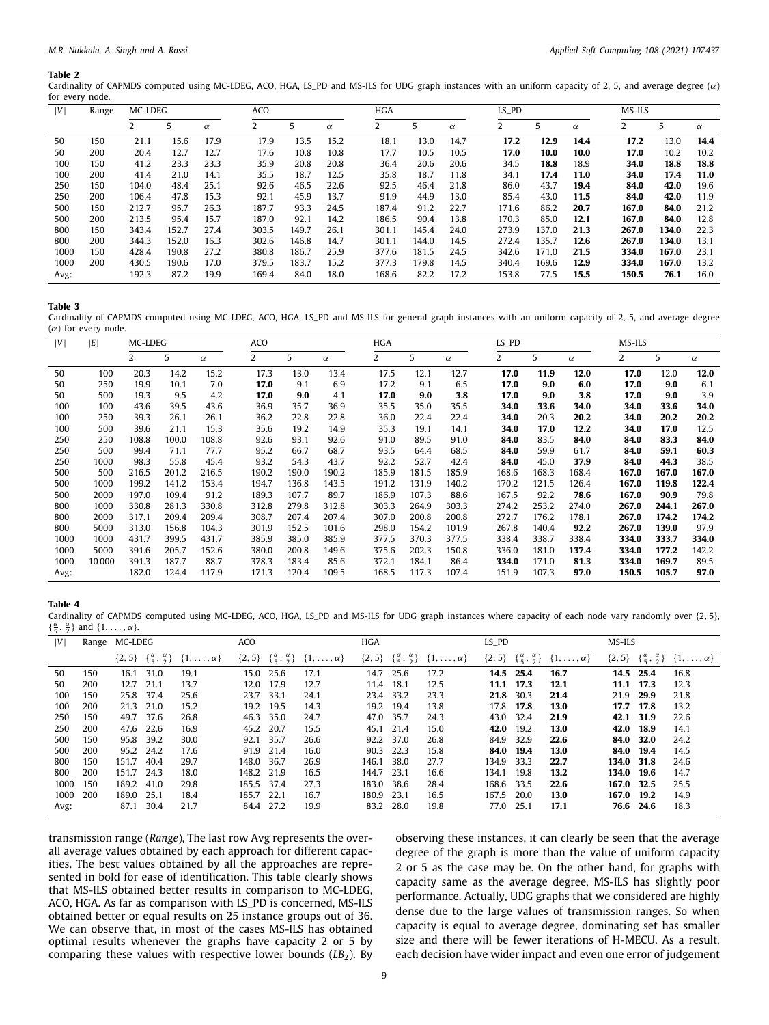<span id="page-8-0"></span>Cardinality of CAPMDS computed using MC-LDEG, ACO, HGA, LS\_PD and MS-ILS for UDG graph instances with an uniform capacity of 2, 5, and average degree  $(\alpha)$ for every node.

| IV   | Range | MC-LDEG |       |          | ACO   |       |          | <b>HGA</b> |       |       |          | LS_PD |   |       |          | MS-ILS |       |          |
|------|-------|---------|-------|----------|-------|-------|----------|------------|-------|-------|----------|-------|---|-------|----------|--------|-------|----------|
|      |       |         |       | $\alpha$ |       |       | $\alpha$ |            |       |       | $\alpha$ |       | 5 |       | $\alpha$ |        |       | $\alpha$ |
| 50   | 150   | 21.1    | 15.6  | 17.9     | 17.9  | 13.5  | 15.2     |            | 18.1  | 13.0  | 14.7     | 17.2  |   | 12.9  | 14.4     | 17.2   | 13.0  | 14.4     |
| 50   | 200   | 20.4    | 12.7  | 12.7     | 17.6  | 10.8  | 10.8     |            | 17.7  | 10.5  | 10.5     | 17.0  |   | 10.0  | 10.0     | 17.0   | 10.2  | 10.2     |
| 100  | 150   | 41.2    | 23.3  | 23.3     | 35.9  | 20.8  | 20.8     |            | 36.4  | 20.6  | 20.6     | 34.5  |   | 18.8  | 18.9     | 34.0   | 18.8  | 18.8     |
| 100  | 200   | 41.4    | 21.0  | 14.1     | 35.5  | 18.7  | 12.5     |            | 35.8  | 18.7  | 11.8     | 34.1  |   | 17.4  | 11.0     | 34.0   | 17.4  | 11.0     |
| 250  | 150   | 104.0   | 48.4  | 25.1     | 92.6  | 46.5  | 22.6     |            | 92.5  | 46.4  | 21.8     | 86.0  |   | 43.7  | 19.4     | 84.0   | 42.0  | 19.6     |
| 250  | 200   | 106.4   | 47.8  | 15.3     | 92.1  | 45.9  | 13.7     |            | 91.9  | 44.9  | 13.0     | 85.4  |   | 43.0  | 11.5     | 84.0   | 42.0  | 11.9     |
| 500  | 150   | 212.7   | 95.7  | 26.3     | 187.7 | 93.3  | 24.5     |            | 187.4 | 91.2  | 22.7     | 171.6 |   | 86.2  | 20.7     | 167.0  | 84.0  | 21.2     |
| 500  | 200   | 213.5   | 95.4  | 15.7     | 187.0 | 92.1  | 14.2     |            | 186.5 | 90.4  | 13.8     | 170.3 |   | 85.0  | 12.1     | 167.0  | 84.0  | 12.8     |
| 800  | 150   | 343.4   | 152.7 | 27.4     | 303.5 | 149.7 | 26.1     |            | 301.1 | 145.4 | 24.0     | 273.9 |   | 137.0 | 21.3     | 267.0  | 134.0 | 22.3     |
| 800  | 200   | 344.3   | 152.0 | 16.3     | 302.6 | 146.8 | 14.7     |            | 301.1 | 144.0 | 14.5     | 272.4 |   | 135.7 | 12.6     | 267.0  | 134.0 | 13.1     |
| 1000 | 150   | 428.4   | 190.8 | 27.2     | 380.8 | 186.7 | 25.9     |            | 377.6 | 181.5 | 24.5     | 342.6 |   | 171.0 | 21.5     | 334.0  | 167.0 | 23.1     |
| 1000 | 200   | 430.5   | 190.6 | 17.0     | 379.5 | 183.7 | 15.2     |            | 377.3 | 179.8 | 14.5     | 340.4 |   | 169.6 | 12.9     | 334.0  | 167.0 | 13.2     |
| Avg: |       | 192.3   | 87.2  | 19.9     | 169.4 | 84.0  | 18.0     |            | 168.6 | 82.2  | 17.2     | 153.8 |   | 77.5  | 15.5     | 150.5  | 76.1  | 16.0     |

#### **Table 3**

<span id="page-8-1"></span>Cardinality of CAPMDS computed using MC-LDEG, ACO, HGA, LS\_PD and MS-ILS for general graph instances with an uniform capacity of 2, 5, and average degree  $(\alpha)$  for every node.

| V    | E     | MC-LDEG        |       |          | ACO   |       |          | HGA   |       |          | LS_PD |       |          | MS-ILS |       |          |
|------|-------|----------------|-------|----------|-------|-------|----------|-------|-------|----------|-------|-------|----------|--------|-------|----------|
|      |       | $\overline{2}$ | 5     | $\alpha$ | 2     | 5     | $\alpha$ | 2     | 5     | $\alpha$ | 2     | 5     | $\alpha$ |        | 5.    | $\alpha$ |
| 50   | 100   | 20.3           | 14.2  | 15.2     | 17.3  | 13.0  | 13.4     | 17.5  | 12.1  | 12.7     | 17.0  | 11.9  | 12.0     | 17.0   | 12.0  | 12.0     |
| 50   | 250   | 19.9           | 10.1  | 7.0      | 17.0  | 9.1   | 6.9      | 17.2  | 9.1   | 6.5      | 17.0  | 9.0   | 6.0      | 17.0   | 9.0   | 6.1      |
| 50   | 500   | 19.3           | 9.5   | 4.2      | 17.0  | 9.0   | 4.1      | 17.0  | 9.0   | 3.8      | 17.0  | 9.0   | 3.8      | 17.0   | 9.0   | 3.9      |
| 100  | 100   | 43.6           | 39.5  | 43.6     | 36.9  | 35.7  | 36.9     | 35.5  | 35.0  | 35.5     | 34.0  | 33.6  | 34.0     | 34.0   | 33.6  | 34.0     |
| 100  | 250   | 39.3           | 26.1  | 26.1     | 36.2  | 22.8  | 22.8     | 36.0  | 22.4  | 22.4     | 34.0  | 20.3  | 20.2     | 34.0   | 20.2  | 20.2     |
| 100  | 500   | 39.6           | 21.1  | 15.3     | 35.6  | 19.2  | 14.9     | 35.3  | 19.1  | 14.1     | 34.0  | 17.0  | 12.2     | 34.0   | 17.0  | 12.5     |
| 250  | 250   | 108.8          | 100.0 | 108.8    | 92.6  | 93.1  | 92.6     | 91.0  | 89.5  | 91.0     | 84.0  | 83.5  | 84.0     | 84.0   | 83.3  | 84.0     |
| 250  | 500   | 99.4           | 71.1  | 77.7     | 95.2  | 66.7  | 68.7     | 93.5  | 64.4  | 68.5     | 84.0  | 59.9  | 61.7     | 84.0   | 59.1  | 60.3     |
| 250  | 1000  | 98.3           | 55.8  | 45.4     | 93.2  | 54.3  | 43.7     | 92.2  | 52.7  | 42.4     | 84.0  | 45.0  | 37.9     | 84.0   | 44.3  | 38.5     |
| 500  | 500   | 216.5          | 201.2 | 216.5    | 190.2 | 190.0 | 190.2    | 185.9 | 181.5 | 185.9    | 168.6 | 168.3 | 168.4    | 167.0  | 167.0 | 167.0    |
| 500  | 1000  | 199.2          | 141.2 | 153.4    | 194.7 | 136.8 | 143.5    | 191.2 | 131.9 | 140.2    | 170.2 | 121.5 | 126.4    | 167.0  | 119.8 | 122.4    |
| 500  | 2000  | 197.0          | 109.4 | 91.2     | 189.3 | 107.7 | 89.7     | 186.9 | 107.3 | 88.6     | 167.5 | 92.2  | 78.6     | 167.0  | 90.9  | 79.8     |
| 800  | 1000  | 330.8          | 281.3 | 330.8    | 312.8 | 279.8 | 312.8    | 303.3 | 264.9 | 303.3    | 274.2 | 253.2 | 274.0    | 267.0  | 244.1 | 267.0    |
| 800  | 2000  | 317.1          | 209.4 | 209.4    | 308.7 | 207.4 | 207.4    | 307.0 | 200.8 | 200.8    | 272.7 | 176.2 | 178.1    | 267.0  | 174.2 | 174.2    |
| 800  | 5000  | 313.0          | 156.8 | 104.3    | 301.9 | 152.5 | 101.6    | 298.0 | 154.2 | 101.9    | 267.8 | 140.4 | 92.2     | 267.0  | 139.0 | 97.9     |
| 1000 | 1000  | 431.7          | 399.5 | 431.7    | 385.9 | 385.0 | 385.9    | 377.5 | 370.3 | 377.5    | 338.4 | 338.7 | 338.4    | 334.0  | 333.7 | 334.0    |
| 1000 | 5000  | 391.6          | 205.7 | 152.6    | 380.0 | 200.8 | 149.6    | 375.6 | 202.3 | 150.8    | 336.0 | 181.0 | 137.4    | 334.0  | 177.2 | 142.2    |
| 1000 | 10000 | 391.3          | 187.7 | 88.7     | 378.3 | 183.4 | 85.6     | 372.1 | 184.1 | 86.4     | 334.0 | 171.0 | 81.3     | 334.0  | 169.7 | 89.5     |
| Avg: |       | 182.0          | 124.4 | 117.9    | 171.3 | 120.4 | 109.5    | 168.5 | 117.3 | 107.4    | 151.9 | 107.3 | 97.0     | 150.5  | 105.7 | 97.0     |

## **Table 4**

<span id="page-8-2"></span>Cardinality of CAPMDS computed using MC-LDEG, ACO, HGA, LS\_PD and MS-ILS for UDG graph instances where capacity of each node vary randomly over {2, 5},  $\{\frac{\alpha}{5}, \frac{\alpha}{2}\}\$  and  $\{1, \ldots, \alpha\}.$ 

| V    | Range | MC-LDEG    |                                           |                       | ACO        |                                                     |                       | <b>HGA</b> |                                                     |                       | LS_PD      |                                                     |                       | MS-ILS     |                                                     |                       |
|------|-------|------------|-------------------------------------------|-----------------------|------------|-----------------------------------------------------|-----------------------|------------|-----------------------------------------------------|-----------------------|------------|-----------------------------------------------------|-----------------------|------------|-----------------------------------------------------|-----------------------|
|      |       | $\{2, 5\}$ | $\{\frac{\alpha}{5}, \frac{\alpha}{2}\}\$ | $\{1,\ldots,\alpha\}$ |            | $\{2, 5\}$ $\{\frac{\alpha}{5}, \frac{\alpha}{2}\}$ | $\{1,\ldots,\alpha\}$ |            | $\{2, 5\}$ $\{\frac{\alpha}{5}, \frac{\alpha}{2}\}$ | $\{1,\ldots,\alpha\}$ |            | $\{2, 5\}$ $\{\frac{\alpha}{5}, \frac{\alpha}{2}\}$ | $\{1,\ldots,\alpha\}$ |            | $\{2, 5\}$ $\{\frac{\alpha}{5}, \frac{\alpha}{2}\}$ | $\{1,\ldots,\alpha\}$ |
| 50   | 150   | 16.1       | 31.0                                      | 19.1                  | 15.0       | 25.6                                                | 17.1                  | 14.7       | 25.6                                                | 17.2                  |            | 14.5 25.4                                           | 16.7                  |            | 14.5 25.4                                           | 16.8                  |
| 50   | 200   | 12.7       | 21.1                                      | 13.7                  | 12.0       | 17.9                                                | 12.7                  | 11.4       | 18.1                                                | 12.5                  |            | 11.1 17.3                                           | 12.1                  | 11.1       | 17.3                                                | 12.3                  |
| 100  | 150   | 25.8 37.4  |                                           | 25.6                  | 23.7 33.1  |                                                     | 24.1                  |            | 23.4 33.2                                           | 23.3                  |            | 21.8 30.3                                           | 21.4                  | 21.9 29.9  |                                                     | 21.8                  |
| 100  | 200   | 21.3 21.0  |                                           | 15.2                  | 19.2       | 19.5                                                | 14.3                  |            | 19.2 19.4                                           | 13.8                  |            | 17.8 17.8                                           | 13.0                  | 17.7       | 17.8                                                | 13.2                  |
| 250  | 150   | 49.7       | 37.6                                      | 26.8                  | 46.3       | 35.0                                                | 24.7                  | 47.0       | 35.7                                                | 24.3                  | 43.0       | 32.4                                                | 21.9                  | 42.1       | 31.9                                                | 22.6                  |
| 250  | 200   | 47.6 22.6  |                                           | 16.9                  | 45.2 20.7  |                                                     | 15.5                  |            | 45.1 21.4                                           | 15.0                  | 42.0       | 19.2                                                | 13.0                  | 42.0 18.9  |                                                     | 14.1                  |
| 500  | 150   | 95.8       | 39.2                                      | 30.0                  | 92.1       | 35.7                                                | 26.6                  |            | 92.2 37.0                                           | 26.8                  | 84.9       | 32.9                                                | 22.6                  | 84.0       | 32.0                                                | 24.2                  |
| 500  | 200   | 95.2 24.2  |                                           | 17.6                  |            | 91.9 21.4                                           | 16.0                  | 90.3       | 22.3                                                | 15.8                  | 84.0       | 19.4                                                | 13.0                  | 84.0       | 19.4                                                | 14.5                  |
| 800  | 150   | 151.7      | 40.4                                      | 29.7                  | 148.0      | 36.7                                                | 26.9                  | 146.1      | 38.0                                                | 27.7                  | 134.9 33.3 |                                                     | 22.7                  | 134.0 31.8 |                                                     | 24.6                  |
| 800  | 200   | 151.7 24.3 |                                           | 18.0                  | 148.2 21.9 |                                                     | 16.5                  | 144.7 23.1 |                                                     | 16.6                  | 134.1      | 19.8                                                | 13.2                  | 134.0      | 19.6                                                | 14.7                  |
| 1000 | 150   | 189.2 41.0 |                                           | 29.8                  | 185.5 37.4 |                                                     | 27.3                  | 183.0      | 38.6                                                | 28.4                  | 168.6      | 33.5                                                | 22.6                  | 167.0 32.5 |                                                     | 25.5                  |
| 1000 | 200   | 189.0      | 25.1                                      | 18.4                  | 185.7 22.1 |                                                     | 16.7                  | 180.9      | 23.1                                                | 16.5                  | 167.5 20.0 |                                                     | 13.0                  | 167.0 19.2 |                                                     | 14.9                  |
| Avg: |       | 87.1       | 30.4                                      | 21.7                  | 84.4       | 27.2                                                | 19.9                  | 83.2       | 28.0                                                | 19.8                  | 77.0       | 25.1                                                | 17.1                  |            | 76.6 24.6                                           | 18.3                  |

transmission range (*Range*), The last row Avg represents the overall average values obtained by each approach for different capacities. The best values obtained by all the approaches are represented in bold for ease of identification. This table clearly shows that MS-ILS obtained better results in comparison to MC-LDEG, ACO, HGA. As far as comparison with LS\_PD is concerned, MS-ILS obtained better or equal results on 25 instance groups out of 36. We can observe that, in most of the cases MS-ILS has obtained optimal results whenever the graphs have capacity 2 or 5 by comparing these values with respective lower bounds (*LB*<sub>2</sub>). By observing these instances, it can clearly be seen that the average degree of the graph is more than the value of uniform capacity 2 or 5 as the case may be. On the other hand, for graphs with capacity same as the average degree, MS-ILS has slightly poor performance. Actually, UDG graphs that we considered are highly dense due to the large values of transmission ranges. So when capacity is equal to average degree, dominating set has smaller size and there will be fewer iterations of H-MECU. As a result, each decision have wider impact and even one error of judgement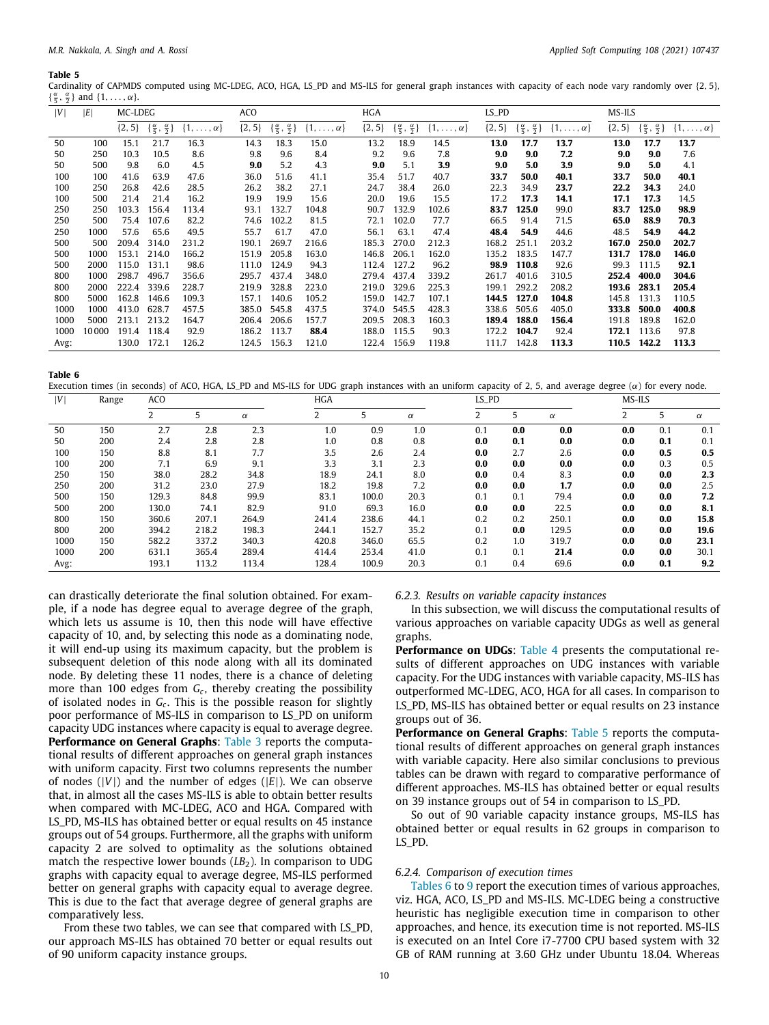<span id="page-9-0"></span>Cardinality of CAPMDS computed using MC-LDEG, ACO, HGA, LS\_PD and MS-ILS for general graph instances with capacity of each node vary randomly over {2, 5},  $\{\frac{\alpha}{5}, \frac{\alpha}{2}\}\$  and  $\{1, \ldots, \alpha\}.$ 

| V    | E     | MC-LDEG    |                                          |                       | ACO        |                                          |                       | <b>HGA</b> |                                          |                       | LS_PD      |       |                                                                   | MS-ILS     |                                          |                       |
|------|-------|------------|------------------------------------------|-----------------------|------------|------------------------------------------|-----------------------|------------|------------------------------------------|-----------------------|------------|-------|-------------------------------------------------------------------|------------|------------------------------------------|-----------------------|
|      |       | $\{2, 5\}$ | $\{\frac{\alpha}{5}, \frac{\alpha}{2}\}$ | $\{1,\ldots,\alpha\}$ | $\{2, 5\}$ | $\{\frac{\alpha}{5}, \frac{\alpha}{2}\}$ | $\{1,\ldots,\alpha\}$ | $\{2, 5\}$ | $\{\frac{\alpha}{5}, \frac{\alpha}{2}\}$ | $\{1,\ldots,\alpha\}$ | $\{2, 5\}$ |       | $\{\frac{\alpha}{5}, \frac{\alpha}{2}\}\$ $\{1, \ldots, \alpha\}$ | $\{2, 5\}$ | $\{\frac{\alpha}{5}, \frac{\alpha}{2}\}$ | $\{1,\ldots,\alpha\}$ |
| 50   | 100   | 15.1       | 21.7                                     | 16.3                  | 14.3       | 18.3                                     | 15.0                  | 13.2       | 18.9                                     | 14.5                  | 13.0       | 17.7  | 13.7                                                              | 13.0       | 17.7                                     | 13.7                  |
| 50   | 250   | 10.3       | 10.5                                     | 8.6                   | 9.8        | 9.6                                      | 8.4                   | 9.2        | 9.6                                      | 7.8                   | 9.0        | 9.0   | 7.2                                                               | 9.0        | 9.0                                      | 7.6                   |
| 50   | 500   | 9.8        | 6.0                                      | 4.5                   | 9.0        | 5.2                                      | 4.3                   | 9.0        | 5.1                                      | 3.9                   | 9.0        | 5.0   | 3.9                                                               | 9.0        | 5.0                                      | 4.1                   |
| 100  | 100   | 41.6       | 63.9                                     | 47.6                  | 36.0       | 51.6                                     | 41.1                  | 35.4       | 51.7                                     | 40.7                  | 33.7       | 50.0  | 40.1                                                              | 33.7       | 50.0                                     | 40.1                  |
| 100  | 250   | 26.8       | 42.6                                     | 28.5                  | 26.2       | 38.2                                     | 27.1                  | 24.7       | 38.4                                     | 26.0                  | 22.3       | 34.9  | 23.7                                                              | 22.2       | 34.3                                     | 24.0                  |
| 100  | 500   | 21.4       | 21.4                                     | 16.2                  | 19.9       | 19.9                                     | 15.6                  | 20.0       | 19.6                                     | 15.5                  | 17.2       | 17.3  | 14.1                                                              | 17.1       | 17.3                                     | 14.5                  |
| 250  | 250   | 103.3      | 156.4                                    | 113.4                 | 93.1       | 132.7                                    | 104.8                 | 90.7       | 132.9                                    | 102.6                 | 83.7       | 125.0 | 99.0                                                              | 83.7       | 125.0                                    | 98.9                  |
| 250  | 500   | 75.4       | 107.6                                    | 82.2                  | 74.6       | 102.2                                    | 81.5                  | 72.1       | 102.0                                    | 77.7                  | 66.5       | 91.4  | 71.5                                                              | 65.0       | 88.9                                     | 70.3                  |
| 250  | 1000  | 57.6       | 65.6                                     | 49.5                  | 55.7       | 61.7                                     | 47.0                  | 56.1       | 63.1                                     | 47.4                  | 48.4       | 54.9  | 44.6                                                              | 48.5       | 54.9                                     | 44.2                  |
| 500  | 500   | 209.4      | 314.0                                    | 231.2                 | 190.1      | 269.7                                    | 216.6                 | 185.3      | 270.0                                    | 212.3                 | 168.2      | 251.1 | 203.2                                                             | 167.0      | 250.0                                    | 202.7                 |
| 500  | 1000  | 153.1      | 214.0                                    | 166.2                 | 151.9      | 205.8                                    | 163.0                 | 146.8      | 206.1                                    | 162.0                 | 135.2      | 183.5 | 147.7                                                             | 131.7      | 178.0                                    | 146.0                 |
| 500  | 2000  | 115.0      | 131.1                                    | 98.6                  | 111.0      | 124.9                                    | 94.3                  | 112.4      | 127.2                                    | 96.2                  | 98.9       | 110.8 | 92.6                                                              | 99.3       | 111.5                                    | 92.1                  |
| 800  | 1000  | 298.7      | 496.7                                    | 356.6                 | 295.7      | 437.4                                    | 348.0                 | 279.4      | 437.4                                    | 339.2                 | 261.7      | 401.6 | 310.5                                                             | 252.4      | 400.0                                    | 304.6                 |
| 800  | 2000  | 222.4      | 339.6                                    | 228.7                 | 219.9      | 328.8                                    | 223.0                 | 219.0      | 329.6                                    | 225.3                 | 199.1      | 292.2 | 208.2                                                             | 193.6      | 283.1                                    | 205.4                 |
| 800  | 5000  | 162.8      | 146.6                                    | 109.3                 | 157.1      | 140.6                                    | 105.2                 | 159.0      | 142.7                                    | 107.1                 | 144.5      | 127.0 | 104.8                                                             | 145.8      | 131.3                                    | 110.5                 |
| 1000 | 1000  | 413.0      | 628.7                                    | 457.5                 | 385.0      | 545.8                                    | 437.5                 | 374.0      | 545.5                                    | 428.3                 | 338.6      | 505.6 | 405.0                                                             | 333.8      | 500.0                                    | 400.8                 |
| 1000 | 5000  | 213.1      | 213.2                                    | 164.7                 | 206.4      | 206.6                                    | 157.7                 | 209.5      | 208.3                                    | 160.3                 | 189.4      | 188.0 | 156.4                                                             | 191.8      | 189.8                                    | 162.0                 |
| 1000 | 10000 | 191.4      | 118.4                                    | 92.9                  | 186.2      | 113.7                                    | 88.4                  | 188.0      | 115.5                                    | 90.3                  | 172.2      | 104.7 | 92.4                                                              | 172.1      | 113.6                                    | 97.8                  |
| Avg: |       | 130.0      | 172.1                                    | 126.2                 | 124.5      | 156.3                                    | 121.0                 | 122.4      | 156.9                                    | 119.8                 | 111.7      | 142.8 | 113.3                                                             | 110.5      | 142.2                                    | 113.3                 |

**Table 6**

<span id="page-9-1"></span>Execution times (in seconds) of ACO, HGA, LS\_PD and MS-ILS for UDG graph instances with an uniform capacity of 2, 5, and average degree  $(\alpha)$  for every node.

| V    | Range | ACO   |       |          | HGA   |       |          | LS_PD |     |          | MS-ILS                      |     |          |
|------|-------|-------|-------|----------|-------|-------|----------|-------|-----|----------|-----------------------------|-----|----------|
|      |       |       | 5     | $\alpha$ |       | 5     | $\alpha$ | 2     | 5   | $\alpha$ | $\mathcal{L}_{\mathcal{L}}$ | 5   | $\alpha$ |
| 50   | 150   | 2.7   | 2.8   | 2.3      | 1.0   | 0.9   | 1.0      | 0.1   | 0.0 | 0.0      | 0.0                         | 0.1 | 0.1      |
| 50   | 200   | 2.4   | 2.8   | 2.8      | 1.0   | 0.8   | 0.8      | 0.0   | 0.1 | 0.0      | 0.0                         | 0.1 | 0.1      |
| 100  | 150   | 8.8   | 8.1   | 7.7      | 3.5   | 2.6   | 2.4      | 0.0   | 2.7 | 2.6      | 0.0                         | 0.5 | 0.5      |
| 100  | 200   | 7.1   | 6.9   | 9.1      | 3.3   | 3.1   | 2.3      | 0.0   | 0.0 | 0.0      | 0.0                         | 0.3 | 0.5      |
| 250  | 150   | 38.0  | 28.2  | 34.8     | 18.9  | 24.1  | 8.0      | 0.0   | 0.4 | 8.3      | 0.0                         | 0.0 | 2.3      |
| 250  | 200   | 31.2  | 23.0  | 27.9     | 18.2  | 19.8  | 7.2      | 0.0   | 0.0 | 1.7      | 0.0                         | 0.0 | 2.5      |
| 500  | 150   | 129.3 | 84.8  | 99.9     | 83.1  | 100.0 | 20.3     | 0.1   | 0.1 | 79.4     | 0.0                         | 0.0 | 7.2      |
| 500  | 200   | 130.0 | 74.1  | 82.9     | 91.0  | 69.3  | 16.0     | 0.0   | 0.0 | 22.5     | 0.0                         | 0.0 | 8.1      |
| 800  | 150   | 360.6 | 207.1 | 264.9    | 241.4 | 238.6 | 44.1     | 0.2   | 0.2 | 250.1    | 0.0                         | 0.0 | 15.8     |
| 800  | 200   | 394.2 | 218.2 | 198.3    | 244.1 | 152.7 | 35.2     | 0.1   | 0.0 | 129.5    | 0.0                         | 0.0 | 19.6     |
| 1000 | 150   | 582.2 | 337.2 | 340.3    | 420.8 | 346.0 | 65.5     | 0.2   | 1.0 | 319.7    | 0.0                         | 0.0 | 23.1     |
| 1000 | 200   | 631.1 | 365.4 | 289.4    | 414.4 | 253.4 | 41.0     | 0.1   | 0.1 | 21.4     | 0.0                         | 0.0 | 30.1     |
| Avg: |       | 193.1 | 113.2 | 113.4    | 128.4 | 100.9 | 20.3     | 0.1   | 0.4 | 69.6     | 0.0                         | 0.1 | 9.2      |

can drastically deteriorate the final solution obtained. For example, if a node has degree equal to average degree of the graph, which lets us assume is 10, then this node will have effective capacity of 10, and, by selecting this node as a dominating node, it will end-up using its maximum capacity, but the problem is subsequent deletion of this node along with all its dominated node. By deleting these 11 nodes, there is a chance of deleting more than 100 edges from *G<sup>c</sup>* , thereby creating the possibility of isolated nodes in *G<sup>c</sup>* . This is the possible reason for slightly poor performance of MS-ILS in comparison to LS\_PD on uniform capacity UDG instances where capacity is equal to average degree. **Performance on General Graphs:** [Table](#page-8-1) [3](#page-8-1) reports the computational results of different approaches on general graph instances with uniform capacity. First two columns represents the number of nodes  $(|V|)$  and the number of edges  $(|E|)$ . We can observe that, in almost all the cases MS-ILS is able to obtain better results when compared with MC-LDEG, ACO and HGA. Compared with LS\_PD, MS-ILS has obtained better or equal results on 45 instance groups out of 54 groups. Furthermore, all the graphs with uniform capacity 2 are solved to optimality as the solutions obtained match the respective lower bounds (*LB*<sub>2</sub>). In comparison to UDG graphs with capacity equal to average degree, MS-ILS performed better on general graphs with capacity equal to average degree. This is due to the fact that average degree of general graphs are comparatively less.

From these two tables, we can see that compared with LS\_PD, our approach MS-ILS has obtained 70 better or equal results out of 90 uniform capacity instance groups.

*6.2.3. Results on variable capacity instances*

In this subsection, we will discuss the computational results of various approaches on variable capacity UDGs as well as general graphs.

**Performance on UDGs**: [Table](#page-8-2) [4](#page-8-2) presents the computational results of different approaches on UDG instances with variable capacity. For the UDG instances with variable capacity, MS-ILS has outperformed MC-LDEG, ACO, HGA for all cases. In comparison to LS\_PD, MS-ILS has obtained better or equal results on 23 instance groups out of 36.

**Performance on General Graphs:** [Table](#page-9-0) [5](#page-9-0) reports the computational results of different approaches on general graph instances with variable capacity. Here also similar conclusions to previous tables can be drawn with regard to comparative performance of different approaches. MS-ILS has obtained better or equal results on 39 instance groups out of 54 in comparison to LS\_PD.

So out of 90 variable capacity instance groups, MS-ILS has obtained better or equal results in 62 groups in comparison to LS\_PD.

## *6.2.4. Comparison of execution times*

[Tables](#page-9-1) [6](#page-9-1) to [9](#page-10-0) report the execution times of various approaches, viz. HGA, ACO, LS\_PD and MS-ILS. MC-LDEG being a constructive heuristic has negligible execution time in comparison to other approaches, and hence, its execution time is not reported. MS-ILS is executed on an Intel Core i7-7700 CPU based system with 32 GB of RAM running at 3.60 GHz under Ubuntu 18.04. Whereas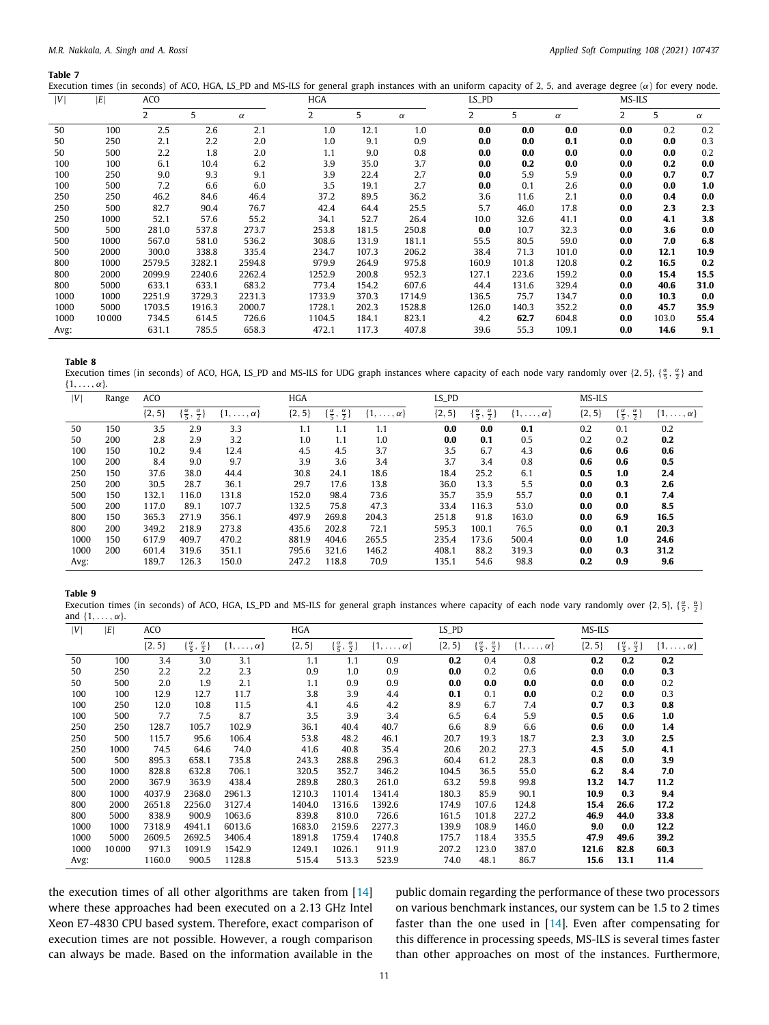Execution times (in seconds) of ACO, HGA, LS\_PD and MS-ILS for general graph instances with an uniform capacity of 2, 5, and average degree  $(\alpha)$  for every node.

| V    | ΙE    | AC <sub>O</sub> |        |          | <b>HGA</b>     |       |          | $LS_PD$ |       |          | MS-ILS         |       |          |
|------|-------|-----------------|--------|----------|----------------|-------|----------|---------|-------|----------|----------------|-------|----------|
|      |       | 2               | 5      | $\alpha$ | $\overline{2}$ | 5     | $\alpha$ | 2       | 5     | $\alpha$ | $\overline{2}$ | 5     | $\alpha$ |
| 50   | 100   | 2.5             | 2.6    | 2.1      | 1.0            | 12.1  | 1.0      | 0.0     | 0.0   | 0.0      | 0.0            | 0.2   | 0.2      |
| 50   | 250   | 2.1             | 2.2    | 2.0      | 1.0            | 9.1   | 0.9      | 0.0     | 0.0   | 0.1      | 0.0            | 0.0   | 0.3      |
| 50   | 500   | 2.2             | 1.8    | 2.0      | 1,1            | 9.0   | 0.8      | 0.0     | 0.0   | 0.0      | 0.0            | 0.0   | 0.2      |
| 100  | 100   | 6.1             | 10.4   | 6.2      | 3.9            | 35.0  | 3.7      | 0.0     | 0.2   | 0.0      | 0.0            | 0.2   | 0.0      |
| 100  | 250   | 9.0             | 9.3    | 9.1      | 3.9            | 22.4  | 2.7      | 0.0     | 5.9   | 5.9      | 0.0            | 0.7   | 0.7      |
| 100  | 500   | 7.2             | 6.6    | 6.0      | 3.5            | 19.1  | 2.7      | 0.0     | 0.1   | 2.6      | 0.0            | 0.0   | 1.0      |
| 250  | 250   | 46.2            | 84.6   | 46.4     | 37.2           | 89.5  | 36.2     | 3.6     | 11.6  | 2.1      | 0.0            | 0.4   | 0.0      |
| 250  | 500   | 82.7            | 90.4   | 76.7     | 42.4           | 64.4  | 25.5     | 5.7     | 46.0  | 17.8     | 0.0            | 2.3   | 2.3      |
| 250  | 1000  | 52.1            | 57.6   | 55.2     | 34.1           | 52.7  | 26.4     | 10.0    | 32.6  | 41.1     | 0.0            | 4.1   | 3.8      |
| 500  | 500   | 281.0           | 537.8  | 273.7    | 253.8          | 181.5 | 250.8    | 0.0     | 10.7  | 32.3     | 0.0            | 3.6   | 0.0      |
| 500  | 1000  | 567.0           | 581.0  | 536.2    | 308.6          | 131.9 | 181.1    | 55.5    | 80.5  | 59.0     | 0.0            | 7.0   | 6.8      |
| 500  | 2000  | 300.0           | 338.8  | 335.4    | 234.7          | 107.3 | 206.2    | 38.4    | 71.3  | 101.0    | 0.0            | 12.1  | 10.9     |
| 800  | 1000  | 2579.5          | 3282.1 | 2594.8   | 979.9          | 264.9 | 975.8    | 160.9   | 101.8 | 120.8    | 0.2            | 16.5  | 0.2      |
| 800  | 2000  | 2099.9          | 2240.6 | 2262.4   | 1252.9         | 200.8 | 952.3    | 127.1   | 223.6 | 159.2    | 0.0            | 15.4  | 15.5     |
| 800  | 5000  | 633.1           | 633.1  | 683.2    | 773.4          | 154.2 | 607.6    | 44.4    | 131.6 | 329.4    | 0.0            | 40.6  | 31.0     |
| 1000 | 1000  | 2251.9          | 3729.3 | 2231.3   | 1733.9         | 370.3 | 1714.9   | 136.5   | 75.7  | 134.7    | 0.0            | 10.3  | 0.0      |
| 1000 | 5000  | 1703.5          | 1916.3 | 2000.7   | 1728.1         | 202.3 | 1528.8   | 126.0   | 140.3 | 352.2    | 0.0            | 45.7  | 35.9     |
| 1000 | 10000 | 734.5           | 614.5  | 726.6    | 1104.5         | 184.1 | 823.1    | 4.2     | 62.7  | 604.8    | 0.0            | 103.0 | 55.4     |
| Avg: |       | 631.1           | 785.5  | 658.3    | 472.1          | 117.3 | 407.8    | 39.6    | 55.3  | 109.1    | 0.0            | 14.6  | 9.1      |

**Table 8**

Execution times (in seconds) of ACO, HGA, LS\_PD and MS-ILS for UDG graph instances where capacity of each node vary randomly over  $\{2, 5\}$ ,  $\{\frac{\alpha}{5}, \frac{\alpha}{2}\}$  and  $\{1, \ldots, \alpha\}$ .

| V    | Range | ACO        |                                                   |                       | HGA        |                                         |                       | LS_PD      |                                          |                       | MS-ILS     |                                          |                       |
|------|-------|------------|---------------------------------------------------|-----------------------|------------|-----------------------------------------|-----------------------|------------|------------------------------------------|-----------------------|------------|------------------------------------------|-----------------------|
|      |       | $\{2, 5\}$ | $\left[\frac{\alpha}{5}, \frac{\alpha}{2}\right]$ | $\{1,\ldots,\alpha\}$ | $\{2, 5\}$ | $\{\frac{\alpha}{5},\frac{\alpha}{2}\}$ | $\{1,\ldots,\alpha\}$ | $\{2, 5\}$ | $\{\frac{\alpha}{5}, \frac{\alpha}{2}\}$ | $\{1,\ldots,\alpha\}$ | $\{2, 5\}$ | $\{\frac{\alpha}{5}, \frac{\alpha}{2}\}$ | $\{1,\ldots,\alpha\}$ |
| 50   | 150   | 3.5        | 2.9                                               | 3.3                   | 1.1        | 1.1                                     | 1.1                   | 0.0        | 0.0                                      | 0.1                   | 0.2        | 0.1                                      | 0.2                   |
| 50   | 200   | 2.8        | 2.9                                               | 3.2                   | 1.0        | 1.1                                     | 1.0                   | 0.0        | 0.1                                      | 0.5                   | 0.2        | 0.2                                      | 0.2                   |
| 100  | 150   | 10.2       | 9.4                                               | 12.4                  | 4.5        | 4.5                                     | 3.7                   | 3.5        | 6.7                                      | 4.3                   | 0.6        | 0.6                                      | 0.6                   |
| 100  | 200   | 8.4        | 9.0                                               | 9.7                   | 3.9        | 3.6                                     | 3.4                   | 3.7        | 3.4                                      | 0.8                   | 0.6        | 0.6                                      | 0.5                   |
| 250  | 150   | 37.6       | 38.0                                              | 44.4                  | 30.8       | 24.1                                    | 18.6                  | 18.4       | 25.2                                     | 6.1                   | 0.5        | 1.0                                      | 2.4                   |
| 250  | 200   | 30.5       | 28.7                                              | 36.1                  | 29.7       | 17.6                                    | 13.8                  | 36.0       | 13.3                                     | 5.5                   | 0.0        | 0.3                                      | 2.6                   |
| 500  | 150   | 132.1      | 116.0                                             | 131.8                 | 152.0      | 98.4                                    | 73.6                  | 35.7       | 35.9                                     | 55.7                  | 0.0        | 0.1                                      | 7.4                   |
| 500  | 200   | 117.0      | 89.1                                              | 107.7                 | 132.5      | 75.8                                    | 47.3                  | 33.4       | 116.3                                    | 53.0                  | 0.0        | 0.0                                      | 8.5                   |
| 800  | 150   | 365.3      | 271.9                                             | 356.1                 | 497.9      | 269.8                                   | 204.3                 | 251.8      | 91.8                                     | 163.0                 | 0.0        | 6.9                                      | 16.5                  |
| 800  | 200   | 349.2      | 218.9                                             | 273.8                 | 435.6      | 202.8                                   | 72.1                  | 595.3      | 100.1                                    | 76.5                  | 0.0        | 0.1                                      | 20.3                  |
| 1000 | 150   | 617.9      | 409.7                                             | 470.2                 | 881.9      | 404.6                                   | 265.5                 | 235.4      | 173.6                                    | 500.4                 | 0.0        | 1.0                                      | 24.6                  |
| 1000 | 200   | 601.4      | 319.6                                             | 351.1                 | 795.6      | 321.6                                   | 146.2                 | 408.1      | 88.2                                     | 319.3                 | 0.0        | 0.3                                      | 31.2                  |
| Avg: |       | 189.7      | 126.3                                             | 150.0                 | 247.2      | 118.8                                   | 70.9                  | 135.1      | 54.6                                     | 98.8                  | 0.2        | 0.9                                      | 9.6                   |

## **Table 9**

<span id="page-10-0"></span>Execution times (in seconds) of ACO, HGA, LS\_PD and MS-ILS for general graph instances where capacity of each node vary randomly over  $\{2, 5\}$ ,  $\{\frac{\alpha}{5}, \frac{\alpha}{2}\}$ and  $\{1, \ldots, \alpha\}$ 

| V    | E     | ACO        |                                          |                       | HGA      |                                          |                       | LS_PD    |                                          |                       | MS-ILS   |                                          |                       |
|------|-------|------------|------------------------------------------|-----------------------|----------|------------------------------------------|-----------------------|----------|------------------------------------------|-----------------------|----------|------------------------------------------|-----------------------|
|      |       | $\{2, 5\}$ | $\{\frac{\alpha}{5}, \frac{\alpha}{2}\}$ | $\{1,\ldots,\alpha\}$ | ${2, 5}$ | $\{\frac{\alpha}{5}, \frac{\alpha}{2}\}$ | $\{1,\ldots,\alpha\}$ | ${2, 5}$ | $\{\frac{\alpha}{5}, \frac{\alpha}{2}\}$ | $\{1,\ldots,\alpha\}$ | ${2, 5}$ | $\{\frac{\alpha}{5}, \frac{\alpha}{2}\}$ | $\{1,\ldots,\alpha\}$ |
| 50   | 100   | 3.4        | 3.0                                      | 3.1                   | 1.1      | 1.1                                      | 0.9                   | 0.2      | 0.4                                      | 0.8                   | 0.2      | 0.2                                      | 0.2                   |
| 50   | 250   | 2.2        | 2.2                                      | 2.3                   | 0.9      | 1.0                                      | 0.9                   | 0.0      | 0.2                                      | 0.6                   | 0.0      | 0.0                                      | 0.3                   |
| 50   | 500   | 2.0        | 1.9                                      | 2.1                   | 1.1      | 0.9                                      | 0.9                   | 0.0      | 0.0                                      | 0.0                   | 0.0      | 0.0                                      | 0.2                   |
| 100  | 100   | 12.9       | 12.7                                     | 11.7                  | 3.8      | 3.9                                      | 4.4                   | 0.1      | 0.1                                      | 0.0                   | 0.2      | 0.0                                      | 0.3                   |
| 100  | 250   | 12.0       | 10.8                                     | 11.5                  | 4.1      | 4.6                                      | 4.2                   | 8.9      | 6.7                                      | 7.4                   | 0.7      | 0.3                                      | 0.8                   |
| 100  | 500   | 7.7        | 7.5                                      | 8.7                   | 3.5      | 3.9                                      | 3.4                   | 6.5      | 6.4                                      | 5.9                   | 0.5      | 0.6                                      | 1.0                   |
| 250  | 250   | 128.7      | 105.7                                    | 102.9                 | 36.1     | 40.4                                     | 40.7                  | 6.6      | 8.9                                      | 6.6                   | 0.6      | 0.0                                      | 1.4                   |
| 250  | 500   | 115.7      | 95.6                                     | 106.4                 | 53.8     | 48.2                                     | 46.1                  | 20.7     | 19.3                                     | 18.7                  | 2.3      | 3.0                                      | $2.5\,$               |
| 250  | 1000  | 74.5       | 64.6                                     | 74.0                  | 41.6     | 40.8                                     | 35.4                  | 20.6     | 20.2                                     | 27.3                  | 4.5      | 5.0                                      | 4.1                   |
| 500  | 500   | 895.3      | 658.1                                    | 735.8                 | 243.3    | 288.8                                    | 296.3                 | 60.4     | 61.2                                     | 28.3                  | 0.8      | 0.0                                      | 3.9                   |
| 500  | 1000  | 828.8      | 632.8                                    | 706.1                 | 320.5    | 352.7                                    | 346.2                 | 104.5    | 36.5                                     | 55.0                  | 6.2      | 8.4                                      | 7.0                   |
| 500  | 2000  | 367.9      | 363.9                                    | 438.4                 | 289.8    | 280.3                                    | 261.0                 | 63.2     | 59.8                                     | 99.8                  | 13.2     | 14.7                                     | 11.2                  |
| 800  | 1000  | 4037.9     | 2368.0                                   | 2961.3                | 1210.3   | 1101.4                                   | 1341.4                | 180.3    | 85.9                                     | 90.1                  | 10.9     | 0.3                                      | 9.4                   |
| 800  | 2000  | 2651.8     | 2256.0                                   | 3127.4                | 1404.0   | 1316.6                                   | 1392.6                | 174.9    | 107.6                                    | 124.8                 | 15.4     | 26.6                                     | 17.2                  |
| 800  | 5000  | 838.9      | 900.9                                    | 1063.6                | 839.8    | 810.0                                    | 726.6                 | 161.5    | 101.8                                    | 227.2                 | 46.9     | 44.0                                     | 33.8                  |
| 1000 | 1000  | 7318.9     | 4941.1                                   | 6013.6                | 1683.0   | 2159.6                                   | 2277.3                | 139.9    | 108.9                                    | 146.0                 | 9.0      | 0.0                                      | 12.2                  |
| 1000 | 5000  | 2609.5     | 2692.5                                   | 3406.4                | 1891.8   | 1759.4                                   | 1740.8                | 175.7    | 118.4                                    | 335.5                 | 47.9     | 49.6                                     | 39.2                  |
| 1000 | 10000 | 971.3      | 1091.9                                   | 1542.9                | 1249.1   | 1026.1                                   | 911.9                 | 207.2    | 123.0                                    | 387.0                 | 121.6    | 82.8                                     | 60.3                  |
| Avg: |       | 1160.0     | 900.5                                    | 1128.8                | 515.4    | 513.3                                    | 523.9                 | 74.0     | 48.1                                     | 86.7                  | 15.6     | 13.1                                     | 11.4                  |

the execution times of all other algorithms are taken from [\[14\]](#page-18-8) where these approaches had been executed on a 2.13 GHz Intel Xeon E7-4830 CPU based system. Therefore, exact comparison of execution times are not possible. However, a rough comparison can always be made. Based on the information available in the

public domain regarding the performance of these two processors on various benchmark instances, our system can be 1.5 to 2 times faster than the one used in [\[14](#page-18-8)]. Even after compensating for this difference in processing speeds, MS-ILS is several times faster than other approaches on most of the instances. Furthermore,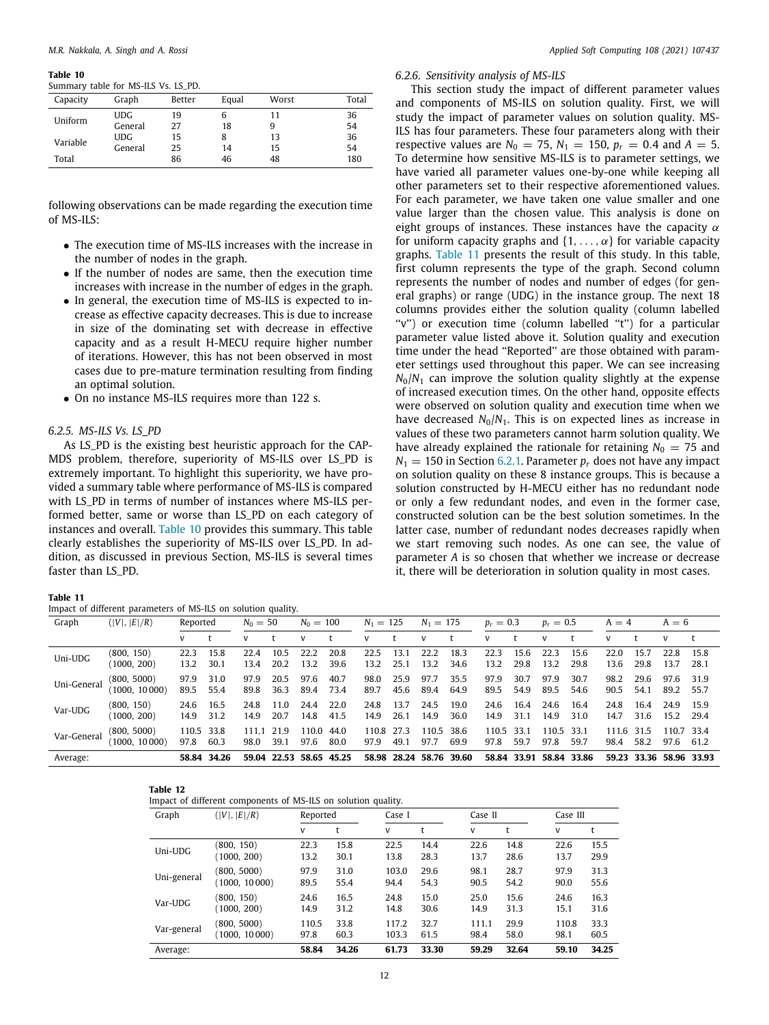<span id="page-11-0"></span>Summary table for MS-ILS Vs. LS\_PD.

| Capacity | Graph      | Better | Equal | Worst | Total |
|----------|------------|--------|-------|-------|-------|
| Uniform  | <b>UDG</b> | 19     |       | 11    | 36    |
|          | General    | 27     | 18    | 9     | 54    |
| Variable | <b>UDG</b> | 15     |       | 13    | 36    |
|          | General    | 25     | 14    | 15    | 54    |
| Total    |            | 86     | 46    | 48    | 180   |
|          |            |        |       |       |       |

following observations can be made regarding the execution time of MS-ILS:

- The execution time of MS-ILS increases with the increase in the number of nodes in the graph.
- If the number of nodes are same, then the execution time increases with increase in the number of edges in the graph.
- In general, the execution time of MS-ILS is expected to increase as effective capacity decreases. This is due to increase in size of the dominating set with decrease in effective capacity and as a result H-MECU require higher number of iterations. However, this has not been observed in most cases due to pre-mature termination resulting from finding an optimal solution.
- On no instance MS-ILS requires more than 122 s.

## *6.2.5. MS-ILS Vs. LS\_PD*

As LS\_PD is the existing best heuristic approach for the CAP-MDS problem, therefore, superiority of MS-ILS over LS\_PD is extremely important. To highlight this superiority, we have provided a summary table where performance of MS-ILS is compared with LS\_PD in terms of number of instances where MS-ILS performed better, same or worse than LS\_PD on each category of instances and overall. [Table](#page-11-0) [10](#page-11-0) provides this summary. This table clearly establishes the superiority of MS-ILS over LS\_PD. In addition, as discussed in previous Section, MS-ILS is several times faster than LS\_PD.

| ıa<br>۱<br>ı<br>n<br>ı |
|------------------------|
|------------------------|

<span id="page-11-1"></span>Impact of different parameters of MS-ILS on solution quality.

#### *6.2.6. Sensitivity analysis of MS-ILS*

This section study the impact of different parameter values and components of MS-ILS on solution quality. First, we will study the impact of parameter values on solution quality. MS-ILS has four parameters. These four parameters along with their respective values are  $N_0 = 75$ ,  $N_1 = 150$ ,  $p_r = 0.4$  and  $A = 5$ . To determine how sensitive MS-ILS is to parameter settings, we have varied all parameter values one-by-one while keeping all other parameters set to their respective aforementioned values. For each parameter, we have taken one value smaller and one value larger than the chosen value. This analysis is done on eight groups of instances. These instances have the capacity  $\alpha$ for uniform capacity graphs and  $\{1, \ldots, \alpha\}$  for variable capacity graphs. [Table](#page-11-1) [11](#page-11-1) presents the result of this study. In this table, first column represents the type of the graph. Second column represents the number of nodes and number of edges (for general graphs) or range (UDG) in the instance group. The next 18 columns provides either the solution quality (column labelled "v") or execution time (column labelled "t") for a particular parameter value listed above it. Solution quality and execution time under the head ''Reported'' are those obtained with parameter settings used throughout this paper. We can see increasing  $N_0/N_1$  can improve the solution quality slightly at the expense of increased execution times. On the other hand, opposite effects were observed on solution quality and execution time when we have decreased  $N_0/N_1$ . This is on expected lines as increase in values of these two parameters cannot harm solution quality. We have already explained the rationale for retaining  $N_0 = 75$  and  $N_1 = 150$  in Section [6.2.1.](#page-7-2) Parameter  $p_r$  does not have any impact on solution quality on these 8 instance groups. This is because a solution constructed by H-MECU either has no redundant node or only a few redundant nodes, and even in the former case, constructed solution can be the best solution sometimes. In the latter case, number of redundant nodes decreases rapidly when we start removing such nodes. As one can see, the value of parameter *A* is so chosen that whether we increase or decrease it, there will be deterioration in solution quality in most cases.

| Graph       | ( V ,  E /R)               | Reported           |              | $N_0 = 50$    |              | $N_0 = 100$   |              | $N_1 = 125$   |              | $N_1 = 175$   |              | $p_r = 0.3$   |              | $p_r = 0.5$   |              | $A = 4$       |              | $A = 6$       |              |
|-------------|----------------------------|--------------------|--------------|---------------|--------------|---------------|--------------|---------------|--------------|---------------|--------------|---------------|--------------|---------------|--------------|---------------|--------------|---------------|--------------|
|             |                            | V                  |              |               |              | V             |              |               |              | V             |              | v             |              | v             |              | V             |              | V             |              |
| Uni-UDG     | (800, 150)<br>(1000, 200)  | 22.3<br>13.2       | 15.8<br>30.1 | 22.4<br>13.4  | 10.5<br>20.2 | 22.2<br>13.2  | 20.8<br>39.6 | 22.5<br>13.2  | 13.1<br>25.1 | 22.2<br>13.2  | 18.3<br>34.6 | 22.3<br>13.2  | 15.6<br>29.8 | 22.3<br>13.2  | 15.6<br>29.8 | 22.0<br>13.6  | 15.7<br>29.8 | 22.8<br>13.7  | 15.8<br>28.1 |
| Uni-General | (800, 5000)<br>1000, 10000 | 97.9<br>89.5       | 31.0<br>55.4 | 97.9<br>89.8  | 20.5<br>36.3 | 97.6<br>89.4  | 40.7<br>73.4 | 98.0<br>89.7  | 25.9<br>45.6 | 97.7<br>89.4  | 35.5<br>64.9 | 97.9<br>89.5  | 30.7<br>54.9 | 97.9<br>89.5  | 30.7<br>54.6 | 98.2<br>90.5  | 29.6<br>54.1 | 97.6<br>89.2  | 31.9<br>55.7 |
| Var-UDG     | (800, 150)<br>(1000, 200)  | 24.6<br>14.9       | 16.5<br>31.2 | 24.8<br>14.9  | 11.0<br>20.7 | 24.4<br>14.8  | 22.0<br>41.5 | 24.8<br>14.9  | 13.7<br>26.1 | 24.5<br>14.9  | 19.0<br>36.0 | 24.6<br>14.9  | 16.4<br>31.1 | 24.6<br>14.9  | 16.4<br>31.0 | 24.8<br>14.7  | 16.4<br>31.6 | 24.9<br>15.2  | 15.9<br>29.4 |
| Var-General | (800, 5000)<br>1000, 10000 | 110.5 33.8<br>97.8 | 60.3         | 111.1<br>98.0 | 21.9<br>39.1 | 110.0<br>97.6 | 44.0<br>80.0 | 110.8<br>97.9 | 27.3<br>49.1 | 110.5<br>97.7 | 38.6<br>69.9 | 110.5<br>97.8 | 33.1<br>59.7 | 110.5<br>97.8 | 33.1<br>59.7 | 111.6<br>98.4 | 31.5<br>58.2 | 110.7<br>97.6 | 33.4<br>61.2 |
| Average:    |                            | 58.84              | 34.26        | 59.04         | 22.53        | 58.65         | 45.25        | 58.98         | 28.24        | 58.76         | 39.60        | 58.84         | 33.91        | 58.84         | 33.86        |               | 59.23 33.36  | 58.96 33.93   |              |

| . .<br>٧ |  |
|----------|--|
|----------|--|

<span id="page-11-2"></span>Impact of different components of MS-ILS on solution quality.

| Graph       | ( V ,  E /R)  | Reported |       | Case I |       | Case II |       | Case III |       |
|-------------|---------------|----------|-------|--------|-------|---------|-------|----------|-------|
|             |               | v        |       | v      | t     | v       |       | v        |       |
| Uni-UDG     | (800, 150)    | 22.3     | 15.8  | 22.5   | 14.4  | 22.6    | 14.8  | 22.6     | 15.5  |
|             | (1000, 200)   | 13.2     | 30.1  | 13.8   | 28.3  | 13.7    | 28.6  | 13.7     | 29.9  |
| Uni-general | (800, 5000)   | 97.9     | 31.0  | 103.0  | 29.6  | 98.1    | 28.7  | 97.9     | 31.3  |
|             | (1000, 10000) | 89.5     | 55.4  | 94.4   | 54.3  | 90.5    | 54.2  | 90.0     | 55.6  |
| Var-UDG     | (800, 150)    | 24.6     | 16.5  | 24.8   | 15.0  | 25.0    | 15.6  | 24.6     | 16.3  |
|             | (1000, 200)   | 14.9     | 31.2  | 14.8   | 30.6  | 14.9    | 31.3  | 15.1     | 31.6  |
| Var-general | (800, 5000)   | 110.5    | 33.8  | 117.2  | 32.7  | 111.1   | 29.9  | 110.8    | 33.3  |
|             | (1000, 10000) | 97.8     | 60.3  | 103.3  | 61.5  | 98.4    | 58.0  | 98.1     | 60.5  |
| Average:    |               | 58.84    | 34.26 | 61.73  | 33.30 | 59.29   | 32.64 | 59.10    | 34.25 |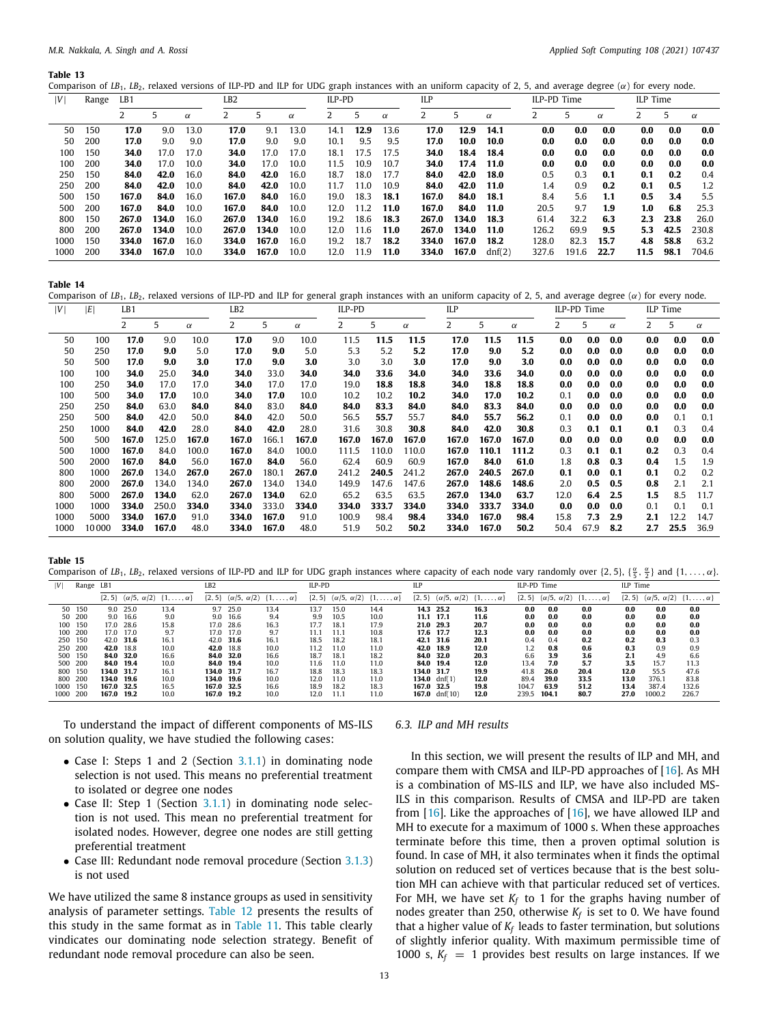<span id="page-12-0"></span>Comparison of *LB*<sub>1</sub>, *LB*<sub>2</sub>, relaxed versions of ILP-PD and ILP for UDG graph instances with an uniform capacity of 2, 5, and average degree ( $\alpha$ ) for every node.

| V    | Range | LB1   |       |          | LB2   |       |          | ILP-PD |      |          | ILP   |       |          | ILP-PD Time |       |          | ILP Time |      |       |
|------|-------|-------|-------|----------|-------|-------|----------|--------|------|----------|-------|-------|----------|-------------|-------|----------|----------|------|-------|
|      |       |       |       | $\alpha$ |       |       | $\alpha$ |        | 5    | $\alpha$ |       |       | $\alpha$ |             |       | $\alpha$ |          |      | α     |
| 50   | 150   | 17.0  | 9.0   | 13.0     | 17.0  | 9.1   | 13.0     | 14.1   | 12.9 | 13.6     | 17.0  | 12.9  | 14.1     | 0.0         | 0.0   | 0.0      | 0.0      | 0.0  | 0.0   |
| 50   | 200   | 17.0  | 9.0   | 9.0      | 17.0  | 9.0   | 9.0      | 10.1   | 9.5  | 9.5      | 17.0  | 10.0  | 10.0     | 0.0         | 0.0   | 0.0      | 0.0      | 0.0  | 0.0   |
| 100  | 150   | 34.0  | 17.0  | 17.0     | 34.0  | 17.0  | 17.0     | 18.1   | 17.5 | 17.5     | 34.0  | 18.4  | 18.4     | 0.0         | 0.0   | 0.0      | 0.0      | 0.0  | 0.0   |
| 100  | 200   | 34.0  | 17.0  | 10.0     | 34.0  | 17.0  | 10.0     | 11.5   | 10.9 | 10.7     | 34.0  | 17.4  | 11.0     | 0.0         | 0.0   | 0.0      | 0.0      | 0.0  | 0.0   |
| 250  | 150   | 84.0  | 42.0  | 16.0     | 84.0  | 42.0  | 16.0     | 18.7   | 18.0 | 17.7     | 84.0  | 42.0  | 18.0     | 0.5         | 0.3   | 0.1      | 0.1      | 0.2  | 0.4   |
| 250  | 200   | 84.0  | 42.0  | 10.0     | 84.0  | 42.0  | 10.0     | 11.7   | 11.0 | 10.9     | 84.0  | 42.0  | 11.0     | 1.4         | 0.9   | 0.2      | 0.1      | 0.5  | 1.2   |
| 500  | 150   | 167.0 | 84.0  | 16.0     | 167.0 | 84.0  | 16.0     | 19.0   | 18.3 | 18.1     | 167.0 | 84.0  | 18.1     | 8.4         | 5.6   | 1.1      | 0.5      | 3.4  | 5.5   |
| 500  | 200   | 167.0 | 84.0  | 10.0     | 167.0 | 84.0  | 10.0     | 12.0   | 11.2 | 11.0     | 167.0 | 84.0  | 11.0     | 20.5        | 9.7   | 1.9      | 1.0      | 6.8  | 25.3  |
| 800  | 150   | 267.0 | 134.0 | 16.0     | 267.0 | 134.0 | 16.0     | 19.2   | 18.6 | 18.3     | 267.0 | 134.0 | 18.3     | 61.4        | 32.2  | 6.3      | 2.3      | 23.8 | 26.0  |
| 800  | 200   | 267.0 | 134.0 | 10.0     | 267.0 | 134.0 | 10.0     | 12.0   | 11.6 | 11.0     | 267.0 | 134.0 | 11.0     | 126.2       | 69.9  | 9.5      | 5.3      | 42.5 | 230.8 |
| 1000 | 150   | 334.0 | 167.0 | 16.0     | 334.0 | 167.0 | 16.0     | 19.2   | 18.7 | 18.2     | 334.0 | 167.0 | 18.2     | 128.0       | 82.3  | 15.7     | 4.8      | 58.8 | 63.2  |
| 1000 | 200   | 334.0 | 167.0 | 10.0     | 334.0 | 167.0 | 10.0     | 12.0   | 11.9 | 11.0     | 334.0 | 167.0 | dnf(2)   | 327.6       | 191.6 | 22.7     | 11.5     | 98.1 | 704.6 |

**Table 14**

<span id="page-12-1"></span>Comparison of *LB*<sub>1</sub>, *LB*<sub>2</sub>, relaxed versions of ILP-PD and ILP for general graph instances with an uniform capacity of 2, 5, and average degree ( $\alpha$ ) for every node.

| V    | ΙE    | LB1   |       |          | LB2   |       |          | ILP-PD |       |          | ILP   |       |          |      | ILP-PD Time |          |     | ILP Time |          |
|------|-------|-------|-------|----------|-------|-------|----------|--------|-------|----------|-------|-------|----------|------|-------------|----------|-----|----------|----------|
|      |       |       | 5     | $\alpha$ |       | 5     | $\alpha$ |        | 5     | $\alpha$ | 2     | 5     | $\alpha$ |      | 5           | $\alpha$ |     | 5        | $\alpha$ |
| 50   | 100   | 17.0  | 9.0   | 10.0     | 17.0  | 9.0   | 10.0     | 11.5   | 11.5  | 11.5     | 17.0  | 11.5  | 11.5     | 0.0  | 0.0         | 0.0      | 0.0 | 0.0      | 0.0      |
| 50   | 250   | 17.0  | 9.0   | 5.0      | 17.0  | 9.0   | 5.0      | 5.3    | 5.2   | 5.2      | 17.0  | 9.0   | 5.2      | 0.0  | 0.0         | 0.0      | 0.0 | 0.0      | 0.0      |
| 50   | 500   | 17.0  | 9.0   | 3.0      | 17.0  | 9.0   | 3.0      | 3.0    | 3.0   | 3.0      | 17.0  | 9.0   | 3.0      | 0.0  | 0.0         | 0.0      | 0.0 | 0.0      | 0.0      |
| 100  | 100   | 34.0  | 25.0  | 34.0     | 34.0  | 33.0  | 34.0     | 34.0   | 33.6  | 34.0     | 34.0  | 33.6  | 34.0     | 0.0  | 0.0         | 0.0      | 0.0 | 0.0      | 0.0      |
| 100  | 250   | 34.0  | 17.0  | 17.0     | 34.0  | 17.0  | 17.0     | 19.0   | 18.8  | 18.8     | 34.0  | 18.8  | 18.8     | 0.0  | 0.0         | 0.0      | 0.0 | 0.0      | 0.0      |
| 100  | 500   | 34.0  | 17.0  | 10.0     | 34.0  | 17.0  | 10.0     | 10.2   | 10.2  | 10.2     | 34.0  | 17.0  | 10.2     | 0.1  | 0.0         | 0.0      | 0.0 | 0.0      | 0.0      |
| 250  | 250   | 84.0  | 63.0  | 84.0     | 84.0  | 83.0  | 84.0     | 84.0   | 83.3  | 84.0     | 84.0  | 83.3  | 84.0     | 0.0  | 0.0         | 0.0      | 0.0 | 0.0      | 0.0      |
| 250  | 500   | 84.0  | 42.0  | 50.0     | 84.0  | 42.0  | 50.0     | 56.5   | 55.7  | 55.7     | 84.0  | 55.7  | 56.2     | 0.1  | 0.0         | 0.0      | 0.0 | 0.1      | 0.1      |
| 250  | 1000  | 84.0  | 42.0  | 28.0     | 84.0  | 42.0  | 28.0     | 31.6   | 30.8  | 30.8     | 84.0  | 42.0  | 30.8     | 0.3  | 0.1         | 0.1      | 0.1 | 0.3      | 0.4      |
| 500  | 500   | 167.0 | 125.0 | 167.0    | 167.0 | 166.1 | 167.0    | 167.0  | 167.0 | 167.0    | 167.0 | 167.0 | 167.0    | 0.0  | 0.0         | 0.0      | 0.0 | 0.0      | 0.0      |
| 500  | 1000  | 167.0 | 84.0  | 100.0    | 167.0 | 84.0  | 100.0    | 111.5  | 110.0 | 110.0    | 167.0 | 110.1 | 111.2    | 0.3  | 0.1         | 0.1      | 0.2 | 0.3      | 0.4      |
| 500  | 2000  | 167.0 | 84.0  | 56.0     | 167.0 | 84.0  | 56.0     | 62.4   | 60.9  | 60.9     | 167.0 | 84.0  | 61.0     | 1.8  | 0.8         | 0.3      | 0.4 | 1.5      | 1.9      |
| 800  | 1000  | 267.0 | 134.0 | 267.0    | 267.0 | 180.1 | 267.0    | 241.2  | 240.5 | 241.2    | 267.0 | 240.5 | 267.0    | 0.1  | 0.0         | 0.1      | 0.1 | 0.2      | 0.2      |
| 800  | 2000  | 267.0 | 134.0 | 134.0    | 267.0 | 134.0 | 134.0    | 149.9  | 147.6 | 147.6    | 267.0 | 148.6 | 148.6    | 2.0  | 0.5         | 0.5      | 0.8 | 2.1      | 2.1      |
| 800  | 5000  | 267.0 | 134.0 | 62.0     | 267.0 | 134.0 | 62.0     | 65.2   | 63.5  | 63.5     | 267.0 | 134.0 | 63.7     | 12.0 | 6.4         | 2.5      | 1.5 | 8.5      | 11.7     |
| 1000 | 1000  | 334.0 | 250.0 | 334.0    | 334.0 | 333.0 | 334.0    | 334.0  | 333.7 | 334.0    | 334.0 | 333.7 | 334.0    | 0.0  | 0.0         | 0.0      | 0.1 | 0.1      | 0.1      |
| 1000 | 5000  | 334.0 | 167.0 | 91.0     | 334.0 | 167.0 | 91.0     | 100.9  | 98.4  | 98.4     | 334.0 | 167.0 | 98.4     | 15.8 | 7.3         | 2.9      | 2.1 | 12.2     | 14.7     |
| 1000 | 10000 | 334.0 | 167.0 | 48.0     | 334.0 | 167.0 | 48.0     | 51.9   | 50.2  | 50.2     | 334.0 | 167.0 | 50.2     | 50.4 | 67.9        | 8.2      | 2.7 | 25.5     | 36.9     |

**Table 15**

<span id="page-12-2"></span>Comparison of LB<sub>1</sub>, LB<sub>2</sub>, relaxed versions of ILP-PD and ILP for UDG graph instances where capacity of each node vary randomly over {2, 5}, { $\frac{\alpha}{5}$ ,  $\frac{\alpha}{2}$ } and {1, . . . ,  $\alpha$ }.

|          |           |            |                        |                       |                 |                        |                       |            |                        |                       |            |                        |                       |             |                        |                       |            | $\sim$                 |                       |
|----------|-----------|------------|------------------------|-----------------------|-----------------|------------------------|-----------------------|------------|------------------------|-----------------------|------------|------------------------|-----------------------|-------------|------------------------|-----------------------|------------|------------------------|-----------------------|
| V        | Range LB1 |            |                        |                       | LB <sub>2</sub> |                        |                       | ILP-PD     |                        |                       | <b>ILP</b> |                        |                       | ILP-PD Time |                        |                       | ILP Time   |                        |                       |
|          |           | $\{2, 5\}$ | $(\alpha/5, \alpha/2)$ | $\{1,\ldots,\alpha\}$ | $\{2, 5\}$      | $(\alpha/5, \alpha/2)$ | $\{1,\ldots,\alpha\}$ | $\{2, 5\}$ | $(\alpha/5, \alpha/2)$ | $\{1,\ldots,\alpha\}$ | $\{2, 5\}$ | $(\alpha/5, \alpha/2)$ | $\{1,\ldots,\alpha\}$ | $\{2, 5\}$  | $(\alpha/5, \alpha/2)$ | $\{1,\ldots,\alpha\}$ | $\{2, 5\}$ | $(\alpha/5, \alpha/2)$ | $\{1,\ldots,\alpha\}$ |
|          | 50 150    |            | 9.0 25.0               | 13.4                  |                 | 9.7 25.0               | 13.4                  | 13.7       | 15.0                   | 14.4                  |            | 14.3 25.2              | 16.3                  | 0.0         | 0.0                    | 0.0                   | 0.0        | 0.0                    | 0.0                   |
|          | 50 200    |            | 9.0 16.6               | 9.0                   |                 | 9.0 16.6               | 9.4                   | 9.9        | 10.5                   | 10.0                  | 11.1 17.1  |                        | 11.6                  | 0.0         | 0.0                    | 0.0                   | 0.0        | 0.0                    | 0.0                   |
|          | 100 150   |            | 17.0 28.6              | 15.8                  |                 | 17.0 28.6              | 16.3                  | 17.7       | 18.1                   | 17.9                  | 21.0 29.3  |                        | 20.7                  | 0.0         | 0.0                    | 0.0                   | 0.0        | 0.0                    | 0.0                   |
|          | 100 200   |            | 17.0 17.0              | 9.7                   |                 | 17.0 17.0              | 9.7                   | 11.1       | 11.1                   | 10.8                  | 17.6 17.7  |                        | 12.3                  | 0.0         | 0.0                    | 0.0                   | 0.0        | 0.0                    | 0.0                   |
|          | 250 150   |            | 42.0 31.6              | 16.1                  |                 | 42.0 31.6              | 16.1                  | 18.5       | 18.2                   | 18.1                  |            | 42.1 31.6              | 20.1                  | 0.4         | 0.4                    | 0.2                   | 0.2        | 0.3                    | 0.3                   |
|          | 250 200   | 42.0 18.8  |                        | 10.0                  |                 | 42.0 18.8              | 10.0                  | 11.2       | 11.0                   | 11.0                  | 42.0 18.9  |                        | 12.0                  |             | 0.8                    | 0.6                   | 0.3        | 0.9                    | 0.9                   |
|          | 500 150   |            | 84.0 32.0              | 16.6                  |                 | 84.0 32.0              | 16.6                  | 18.7       | 18.1                   | 18.2                  | 84.0 32.0  |                        | 20.3                  | 6.6         | 3.9                    | 3.6                   | 2.1        | 4.9                    | 6.6                   |
|          | 500 200   | 84.0 19.4  |                        | 10.0                  |                 | 84.0 19.4              | 10.0                  | 11.6       | 11.0                   | 11.0                  | 84.0 19.4  |                        | 12.0                  | 13.4        | 7.0                    | 5.7                   | 3.5        | 15.7                   | 11.3                  |
|          | 800 150   | 134.0 31.7 |                        | 16.1                  | 134.0 31.7      |                        | 16.7                  | 18.8       | 18.3                   | 18.3                  | 134.0 31.7 |                        | 19.9                  | 41.8        | 26.0                   | 20.4                  | 12.0       | 55.5                   | 47.6                  |
|          | 800 200   | 134.0 19.6 |                        | 10.0                  | 134.0 19.6      |                        | 10.0                  | 12.0       | 11.0                   | 11.0                  |            | 134.0 $dnf(1)$         | 12.0                  | 89.4        | 39.0                   | 33.5                  | 13.0       | 376.1                  | 83.8                  |
| 1000 150 |           | 167.0 32.5 |                        | 16.5                  | 167.0 32.5      |                        | 16.6                  | 18.9       | 18.2                   | 18.3                  | 167.0 32.5 |                        | 19.8                  | 104.7       | 63.9                   | 51.2                  | 13.4       | 387.4                  | 132.6                 |
| 1000 200 |           | 167.0      | 19.2                   | 10.0                  | 167.0 19.2      |                        | 10.0                  | 12.0       | 11.1                   | 11.0                  |            | 167.0 $dnf(10)$        | 12.0                  | 239.5       | 104.1                  | 80.7                  | 27.0       | 1000.2                 | 226.7                 |

To understand the impact of different components of MS-ILS on solution quality, we have studied the following cases:

- Case I: Steps 1 and 2 (Section [3.1.1\)](#page-2-2) in dominating node selection is not used. This means no preferential treatment to isolated or degree one nodes
- Case II: Step 1 (Section [3.1.1\)](#page-2-2) in dominating node selection is not used. This mean no preferential treatment for isolated nodes. However, degree one nodes are still getting preferential treatment
- Case III: Redundant node removal procedure (Section [3.1.3\)](#page-3-0) is not used

We have utilized the same 8 instance groups as used in sensitivity analysis of parameter settings. [Table](#page-11-2) [12](#page-11-2) presents the results of this study in the same format as in [Table](#page-11-1) [11.](#page-11-1) This table clearly vindicates our dominating node selection strategy. Benefit of redundant node removal procedure can also be seen.

## *6.3. ILP and MH results*

In this section, we will present the results of ILP and MH, and compare them with CMSA and ILP-PD approaches of [[16](#page-18-10)]. As MH is a combination of MS-ILS and ILP, we have also included MS-ILS in this comparison. Results of CMSA and ILP-PD are taken from [\[16\]](#page-18-10). Like the approaches of [[16](#page-18-10)], we have allowed ILP and MH to execute for a maximum of 1000 s. When these approaches terminate before this time, then a proven optimal solution is found. In case of MH, it also terminates when it finds the optimal solution on reduced set of vertices because that is the best solution MH can achieve with that particular reduced set of vertices. For MH, we have set  $K_f$  to 1 for the graphs having number of nodes greater than 250, otherwise *K<sup>f</sup>* is set to 0. We have found that a higher value of *K<sup>f</sup>* leads to faster termination, but solutions of slightly inferior quality. With maximum permissible time of 1000 s,  $K_f = 1$  provides best results on large instances. If we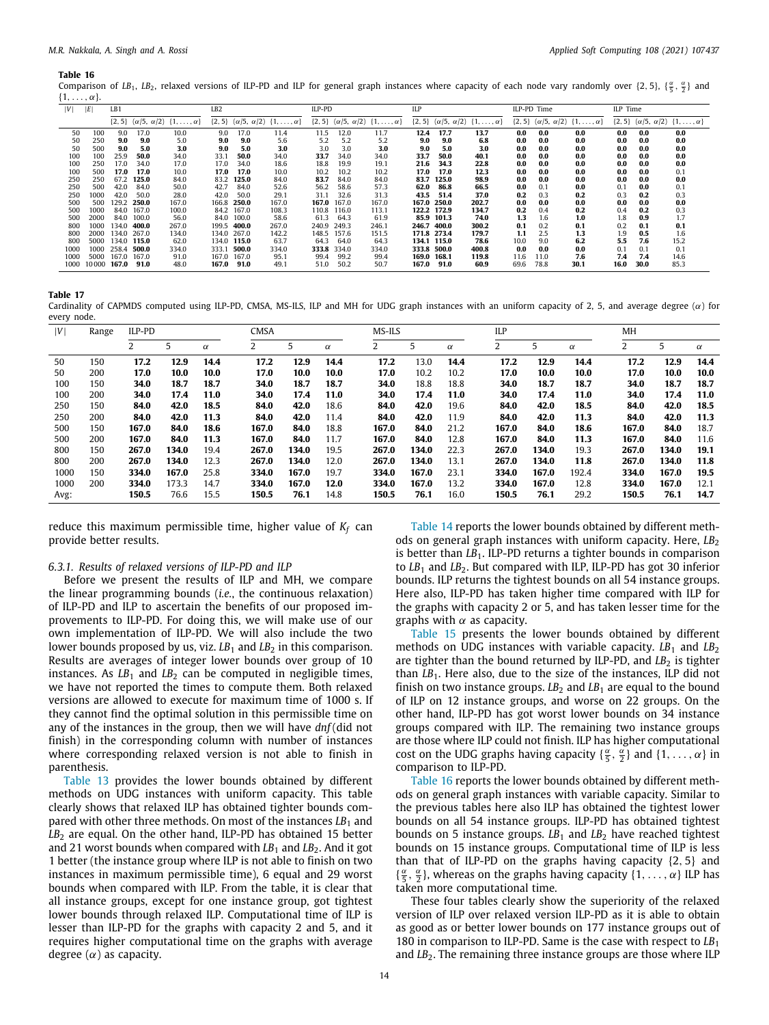<span id="page-13-0"></span>Comparison of LB<sub>1</sub>, LB<sub>2</sub>, relaxed versions of ILP-PD and ILP for general graph instances where capacity of each node vary randomly over {2, 5}, { $\frac{\alpha}{5},\frac{\alpha}{2}$ } and  $\{1, \ldots, \alpha\}.$ 

| V    | E     | LB1         |       |                                                           | LB <sub>2</sub> |             |                                                           | ILP-PD      |             |                                                           | ILP         |             |                                                           |      | ILP-PD Time |                                                             | ILP Time |      |                                                           |
|------|-------|-------------|-------|-----------------------------------------------------------|-----------------|-------------|-----------------------------------------------------------|-------------|-------------|-----------------------------------------------------------|-------------|-------------|-----------------------------------------------------------|------|-------------|-------------------------------------------------------------|----------|------|-----------------------------------------------------------|
|      |       |             |       | $\{2, 5\}$ $(\alpha/5, \alpha/2)$ $\{1, \ldots, \alpha\}$ |                 |             | $\{2, 5\}$ $(\alpha/5, \alpha/2)$ $\{1, \ldots, \alpha\}$ |             |             | $\{2, 5\}$ $(\alpha/5, \alpha/2)$ $\{1, \ldots, \alpha\}$ |             |             | $\{2, 5\}$ $(\alpha/5, \alpha/2)$ $\{1, \ldots, \alpha\}$ |      |             | $\{2, 5\}$ ( $\alpha/5, \alpha/2$ ) $\{1, \ldots, \alpha\}$ |          |      | $\{2, 5\}$ $(\alpha/5, \alpha/2)$ $\{1, \ldots, \alpha\}$ |
| 50   | 100   | 9.0         | 17.0  | 10.0                                                      | 9.0             | 17.0        | 11.4                                                      | 11.5        | 12.0        | 11.7                                                      | 12.4        | 17.7        | 13.7                                                      | 0.0  | 0.0         | 0.0                                                         | 0.0      | 0.0  | 0.0                                                       |
| 50   | 250   | 9.0         | 9.0   | 5.0                                                       | 9.0             | 9.0         | 5.6                                                       | 5.2         | 5.2         | 5.2                                                       | 9.0         | 9.0         | 6.8                                                       | 0.0  | 0.0         | 0.0                                                         | 0.0      | 0.0  | 0.0                                                       |
| 50   | 500   | 9.0         | 5.0   | 3.0                                                       | 9.0             | 5.0         | 3.0                                                       | 3.0         | 3.0         | 3.0                                                       | 9.0         | 5.0         | 3.0                                                       | 0.0  | 0.0         | 0.0                                                         | 0.0      | 0.0  | 0.0                                                       |
| 100  | 100   | 25.9        | 50.0  | 34.0                                                      | 33.1            | 50.0        | 34.0                                                      | 33.7        | 34.0        | 34.0                                                      | 33.7        | 50.0        | 40.1                                                      | 0.0  | 0.0         | 0.0                                                         | 0.0      | 0.0  | 0.0                                                       |
| 100  | 250   | 17.0        | 34.0  | 17.0                                                      | 17.0            | 34.0        | 18.6                                                      | 18.8        | 19.9        | 19.1                                                      | 21.6        | 34.3        | 22.8                                                      | 0.0  | 0.0         | 0.0                                                         | 0.0      | 0.0  | 0.0                                                       |
| 100  | 500   | 17.0        | 17.0  | 10.0                                                      | 17.0            | 17.0        | 10.0                                                      | 10.2        | 10.2        | 10.2                                                      | 17.0        | 17.0        | 12.3                                                      | 0.0  | 0.0         | 0.0                                                         | 0.0      | 0.0  | 0.1                                                       |
| 250  | 250   | 67.2        | 125.0 | 84.0                                                      |                 | 83.2 125.0  | 84.0                                                      | 83.7        | 84.0        | 84.0                                                      |             | 83.7 125.0  | 98.9                                                      | 0.0  | 0.0         | 0.0                                                         | 0.0      | 0.0  | 0.0                                                       |
| 250  | 500   | 42.0        | 84.0  | 50.0                                                      | 42.7            | 84.0        | 52.6                                                      | 56.2        | 58.6        | 57.3                                                      | 62.0        | 86.8        | 66.5                                                      | 0.0  | 0.1         | 0.0                                                         | 0.1      | 0.0  | 0.1                                                       |
| 250  | 1000  | 42.0        | 50.0  | 28.0                                                      | 42.0            | 50.0        | 29.1                                                      | 31.1        | 32.6        | 31.3                                                      | 43.5        | 51.4        | 37.0                                                      | 0.2  | 0.3         | 0.2                                                         | 0.3      | 0.2  | 0.3                                                       |
| 500  | 500   | 129.2       | 250.0 | 167.0                                                     |                 | 166.8 250.0 | 167.0                                                     |             | 167.0 167.0 | 167.0                                                     |             | 167.0 250.0 | 202.7                                                     | 0.0  | 0.0         | 0.0                                                         | 0.0      | 0.0  | 0.0                                                       |
| 500  | 1000  | 84.0        | 167.0 | 100.0                                                     |                 | 84.2 167.0  | 108.3                                                     |             | 110.8 116.0 | 113.1                                                     | 122.2 172.9 |             | 134.7                                                     | 0.2  | 0.4         | 0.2                                                         | 0.4      | 0.2  | 0.3                                                       |
| 500  | 2000  | 84.0        | 100.0 | 56.0                                                      | 84.0            | 100.0       | 58.6                                                      | 61.3        | 64.3        | 61.9                                                      |             | 85.9 101.3  | 74.0                                                      | 1.3  | 1.6         | 1.0                                                         | 1.8      | 0.9  | 1.7                                                       |
| 800  | 1000  | 134.0       | 400.0 | 267.0                                                     |                 | 199.5 400.0 | 267.0                                                     | 240.9 249.3 |             | 246.1                                                     | 246.7 400.0 |             | 300.2                                                     | 0.1  | 0.2         | 0.1                                                         | 0.2      | 0.1  | 0.1                                                       |
| 800  | 2000  | 134.0       | 267.0 | 134.0                                                     |                 | 134.0 267.0 | 142.2                                                     |             | 148.5 157.6 | 151.5                                                     |             | 171.8 273.4 | 179.7                                                     | 1.1  | 2.5         | 1.3                                                         | 1.9      | 0.5  | 1.6                                                       |
| 800  | 5000  | 134.0 115.0 |       | 62.0                                                      |                 | 134.0 115.0 | 63.7                                                      | 64.3        | 64.0        | 64.3                                                      | 134.1 115.0 |             | 78.6                                                      | 10.0 | 9.0         | 6.2                                                         | 5.5      | 7.6  | 15.2                                                      |
| 1000 | 1000  | 258.4 500.0 |       | 334.0                                                     | 333.1           | 500.0       | 334.0                                                     |             | 333.8 334.0 | 334.0                                                     | 333.8 500.0 |             | 400.8                                                     | 0.0  | 0.0         | 0.0                                                         | 0.1      | 0.1  | 0.1                                                       |
| 1000 | 5000  | 167.0       | 167.0 | 91.0                                                      |                 | 167.0 167.0 | 95.1                                                      | 99.4        | 99.2        | 99.4                                                      | 169.0 168.1 |             | 119.8                                                     | 11.6 | 11.0        | 7.6                                                         | 7.4      | 7.4  | 14.6                                                      |
| 1000 | 10000 | 167.0       | 91.0  | 48.0                                                      | 167.0           | 91.0        | 49.1                                                      | 51.0        | 50.2        | 50.7                                                      | 167.0       | 91.0        | 60.9                                                      | 69.6 | 78.8        | 30.1                                                        | 16.0     | 30.0 | 85.3                                                      |

**Table 17**

<span id="page-13-1"></span>Cardinality of CAPMDS computed using ILP-PD, CMSA, MS-ILS, ILP and MH for UDG graph instances with an uniform capacity of 2, 5, and average degree  $(\alpha)$  for every node.

| V    | Range | ILP-PD |       |          | CMSA  |       |          | MS-ILS |       |          | ILP   |       |          | MH    |       |          |
|------|-------|--------|-------|----------|-------|-------|----------|--------|-------|----------|-------|-------|----------|-------|-------|----------|
|      |       |        | 5     | $\alpha$ |       | 5     | $\alpha$ | 2      | 5     | $\alpha$ |       | 5     | $\alpha$ | ۷     | 5     | $\alpha$ |
| 50   | 150   | 17.2   | 12.9  | 14.4     | 17.2  | 12.9  | 14.4     | 17.2   | 13.0  | 14.4     | 17.2  | 12.9  | 14.4     | 17.2  | 12.9  | 14.4     |
| 50   | 200   | 17.0   | 10.0  | 10.0     | 17.0  | 10.0  | 10.0     | 17.0   | 10.2  | 10.2     | 17.0  | 10.0  | 10.0     | 17.0  | 10.0  | 10.0     |
| 100  | 150   | 34.0   | 18.7  | 18.7     | 34.0  | 18.7  | 18.7     | 34.0   | 18.8  | 18.8     | 34.0  | 18.7  | 18.7     | 34.0  | 18.7  | 18.7     |
| 100  | 200   | 34.0   | 17.4  | 11.0     | 34.0  | 17.4  | 11.0     | 34.0   | 17.4  | 11.0     | 34.0  | 17.4  | 11.0     | 34.0  | 17.4  | 11.0     |
| 250  | 150   | 84.0   | 42.0  | 18.5     | 84.0  | 42.0  | 18.6     | 84.0   | 42.0  | 19.6     | 84.0  | 42.0  | 18.5     | 84.0  | 42.0  | 18.5     |
| 250  | 200   | 84.0   | 42.0  | 11.3     | 84.0  | 42.0  | 11.4     | 84.0   | 42.0  | 11.9     | 84.0  | 42.0  | 11.3     | 84.0  | 42.0  | 11.3     |
| 500  | 150   | 167.0  | 84.0  | 18.6     | 167.0 | 84.0  | 18.8     | 167.0  | 84.0  | 21.2     | 167.0 | 84.0  | 18.6     | 167.0 | 84.0  | 18.7     |
| 500  | 200   | 167.0  | 84.0  | 11.3     | 167.0 | 84.0  | 11.7     | 167.0  | 84.0  | 12.8     | 167.0 | 84.0  | 11.3     | 167.0 | 84.0  | 11.6     |
| 800  | 150   | 267.0  | 134.0 | 19.4     | 267.0 | 134.0 | 19.5     | 267.0  | 134.0 | 22.3     | 267.0 | 134.0 | 19.3     | 267.0 | 134.0 | 19.1     |
| 800  | 200   | 267.0  | 134.0 | 12.3     | 267.0 | 134.0 | 12.0     | 267.0  | 134.0 | 13.1     | 267.0 | 134.0 | 11.8     | 267.0 | 134.0 | 11.8     |
| 1000 | 150   | 334.0  | 167.0 | 25.8     | 334.0 | 167.0 | 19.7     | 334.0  | 167.0 | 23.1     | 334.0 | 167.0 | 192.4    | 334.0 | 167.0 | 19.5     |
| 1000 | 200   | 334.0  | 173.3 | 14.7     | 334.0 | 167.0 | 12.0     | 334.0  | 167.0 | 13.2     | 334.0 | 167.0 | 12.8     | 334.0 | 167.0 | 12.1     |
| Avg: |       | 150.5  | 76.6  | 15.5     | 150.5 | 76.1  | 14.8     | 150.5  | 76.1  | 16.0     | 150.5 | 76.1  | 29.2     | 150.5 | 76.1  | 14.7     |

reduce this maximum permissible time, higher value of *K<sup>f</sup>* can provide better results.

## *6.3.1. Results of relaxed versions of ILP-PD and ILP*

Before we present the results of ILP and MH, we compare the linear programming bounds (*i.e.*, the continuous relaxation) of ILP-PD and ILP to ascertain the benefits of our proposed improvements to ILP-PD. For doing this, we will make use of our own implementation of ILP-PD. We will also include the two lower bounds proposed by us, viz.  $LB<sub>1</sub>$  and  $LB<sub>2</sub>$  in this comparison. Results are averages of integer lower bounds over group of 10 instances. As  $LB_1$  and  $LB_2$  can be computed in negligible times, we have not reported the times to compute them. Both relaxed versions are allowed to execute for maximum time of 1000 s. If they cannot find the optimal solution in this permissible time on any of the instances in the group, then we will have *dnf* (did not finish) in the corresponding column with number of instances where corresponding relaxed version is not able to finish in parenthesis.

[Table](#page-12-0) [13](#page-12-0) provides the lower bounds obtained by different methods on UDG instances with uniform capacity. This table clearly shows that relaxed ILP has obtained tighter bounds compared with other three methods. On most of the instances *LB*<sup>1</sup> and LB<sub>2</sub> are equal. On the other hand, ILP-PD has obtained 15 better and 21 worst bounds when compared with *LB*<sub>1</sub> and *LB*<sub>2</sub>. And it got 1 better (the instance group where ILP is not able to finish on two instances in maximum permissible time), 6 equal and 29 worst bounds when compared with ILP. From the table, it is clear that all instance groups, except for one instance group, got tightest lower bounds through relaxed ILP. Computational time of ILP is lesser than ILP-PD for the graphs with capacity 2 and 5, and it requires higher computational time on the graphs with average degree  $(\alpha)$  as capacity.

[Table](#page-12-1) [14](#page-12-1) reports the lower bounds obtained by different methods on general graph instances with uniform capacity. Here, LB<sub>2</sub> is better than *LB*<sub>1</sub>. ILP-PD returns a tighter bounds in comparison to  $LB_1$  and  $LB_2$ . But compared with ILP, ILP-PD has got 30 inferior bounds. ILP returns the tightest bounds on all 54 instance groups. Here also, ILP-PD has taken higher time compared with ILP for the graphs with capacity 2 or 5, and has taken lesser time for the graphs with  $\alpha$  as capacity.

[Table](#page-12-2) [15](#page-12-2) presents the lower bounds obtained by different methods on UDG instances with variable capacity.  $LB_1$  and  $LB_2$ are tighter than the bound returned by ILP-PD, and  $LB<sub>2</sub>$  is tighter than *LB*1. Here also, due to the size of the instances, ILP did not finish on two instance groups.  $LB<sub>2</sub>$  and  $LB<sub>1</sub>$  are equal to the bound of ILP on 12 instance groups, and worse on 22 groups. On the other hand, ILP-PD has got worst lower bounds on 34 instance groups compared with ILP. The remaining two instance groups are those where ILP could not finish. ILP has higher computational cost on the UDG graphs having capacity  $\{\frac{\alpha}{5}, \frac{\alpha}{2}\}\$  and  $\{1, \ldots, \alpha\}\$ in comparison to ILP-PD.

[Table](#page-13-0) [16](#page-13-0) reports the lower bounds obtained by different methods on general graph instances with variable capacity. Similar to the previous tables here also ILP has obtained the tightest lower bounds on all 54 instance groups. ILP-PD has obtained tightest bounds on 5 instance groups. *LB*<sub>1</sub> and *LB*<sub>2</sub> have reached tightest bounds on 15 instance groups. Computational time of ILP is less than that of ILP-PD on the graphs having capacity {2, 5} and  $\{\frac{\alpha}{5}, \frac{\alpha}{2}\}\$ , whereas on the graphs having capacity  $\{1, \ldots, \alpha\}\$ ILP has taken more computational time.

These four tables clearly show the superiority of the relaxed version of ILP over relaxed version ILP-PD as it is able to obtain as good as or better lower bounds on 177 instance groups out of 180 in comparison to ILP-PD. Same is the case with respect to *LB*<sup>1</sup> and *LB*<sub>2</sub>. The remaining three instance groups are those where ILP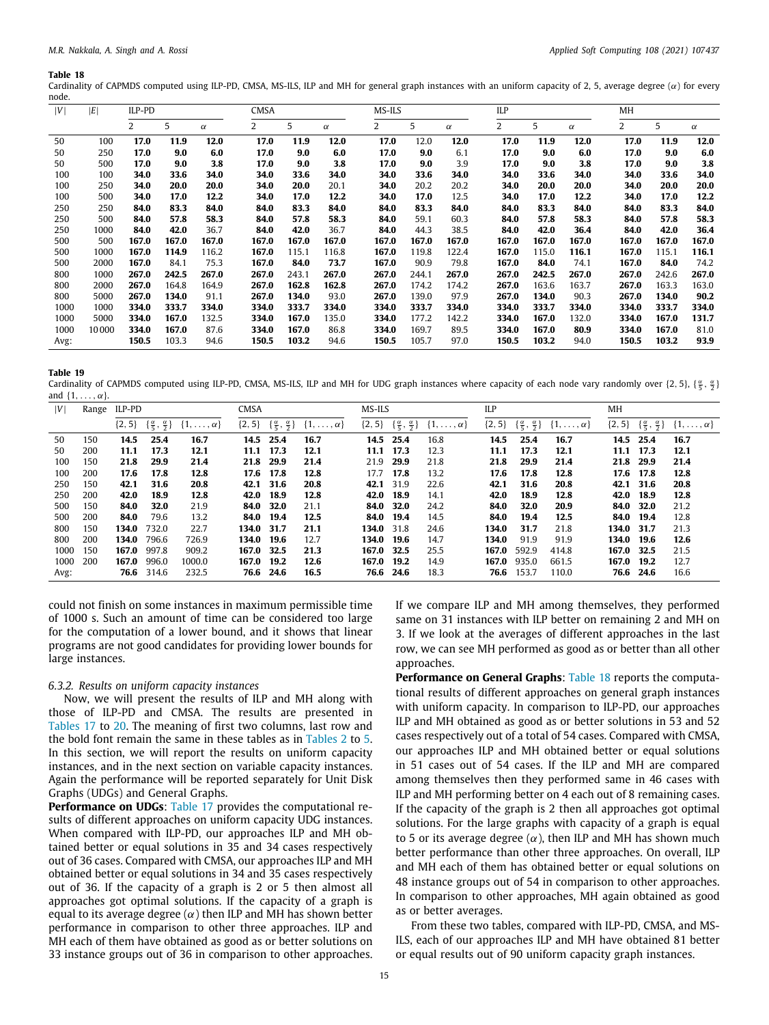<span id="page-14-0"></span>Cardinality of CAPMDS computed using ILP-PD, CMSA, MS-ILS, ILP and MH for general graph instances with an uniform capacity of 2, 5, average degree  $(\alpha)$  for every node.

| V    | E     | ILP-PD         |       |          | CMSA  |       |          | MS-ILS |       |          | ILP   |       |          | МH    |       |          |
|------|-------|----------------|-------|----------|-------|-------|----------|--------|-------|----------|-------|-------|----------|-------|-------|----------|
|      |       | $\overline{2}$ | 5     | $\alpha$ | 2     | 5     | $\alpha$ | 2      | 5     | $\alpha$ | 2     | 5     | $\alpha$ | 2     | 5     | $\alpha$ |
| 50   | 100   | 17.0           | 11.9  | 12.0     | 17.0  | 11.9  | 12.0     | 17.0   | 12.0  | 12.0     | 17.0  | 11.9  | 12.0     | 17.0  | 11.9  | 12.0     |
| 50   | 250   | 17.0           | 9.0   | 6.0      | 17.0  | 9.0   | 6.0      | 17.0   | 9.0   | 6.1      | 17.0  | 9.0   | 6.0      | 17.0  | 9.0   | 6.0      |
| 50   | 500   | 17.0           | 9.0   | 3.8      | 17.0  | 9.0   | 3.8      | 17.0   | 9.0   | 3.9      | 17.0  | 9.0   | 3.8      | 17.0  | 9.0   | 3.8      |
| 100  | 100   | 34.0           | 33.6  | 34.0     | 34.0  | 33.6  | 34.0     | 34.0   | 33.6  | 34.0     | 34.0  | 33.6  | 34.0     | 34.0  | 33.6  | 34.0     |
| 100  | 250   | 34.0           | 20.0  | 20.0     | 34.0  | 20.0  | 20.1     | 34.0   | 20.2  | 20.2     | 34.0  | 20.0  | 20.0     | 34.0  | 20.0  | 20.0     |
| 100  | 500   | 34.0           | 17.0  | 12.2     | 34.0  | 17.0  | 12.2     | 34.0   | 17.0  | 12.5     | 34.0  | 17.0  | 12.2     | 34.0  | 17.0  | 12.2     |
| 250  | 250   | 84.0           | 83.3  | 84.0     | 84.0  | 83.3  | 84.0     | 84.0   | 83.3  | 84.0     | 84.0  | 83.3  | 84.0     | 84.0  | 83.3  | 84.0     |
| 250  | 500   | 84.0           | 57.8  | 58.3     | 84.0  | 57.8  | 58.3     | 84.0   | 59.1  | 60.3     | 84.0  | 57.8  | 58.3     | 84.0  | 57.8  | 58.3     |
| 250  | 1000  | 84.0           | 42.0  | 36.7     | 84.0  | 42.0  | 36.7     | 84.0   | 44.3  | 38.5     | 84.0  | 42.0  | 36.4     | 84.0  | 42.0  | 36.4     |
| 500  | 500   | 167.0          | 167.0 | 167.0    | 167.0 | 167.0 | 167.0    | 167.0  | 167.0 | 167.0    | 167.0 | 167.0 | 167.0    | 167.0 | 167.0 | 167.0    |
| 500  | 1000  | 167.0          | 114.9 | 116.2    | 167.0 | 115.1 | 116.8    | 167.0  | 119.8 | 122.4    | 167.0 | 115.0 | 116.1    | 167.0 | 115.1 | 116.1    |
| 500  | 2000  | 167.0          | 84.1  | 75.3     | 167.0 | 84.0  | 73.7     | 167.0  | 90.9  | 79.8     | 167.0 | 84.0  | 74.1     | 167.0 | 84.0  | 74.2     |
| 800  | 1000  | 267.0          | 242.5 | 267.0    | 267.0 | 243.1 | 267.0    | 267.0  | 244.1 | 267.0    | 267.0 | 242.5 | 267.0    | 267.0 | 242.6 | 267.0    |
| 800  | 2000  | 267.0          | 164.8 | 164.9    | 267.0 | 162.8 | 162.8    | 267.0  | 174.2 | 174.2    | 267.0 | 163.6 | 163.7    | 267.0 | 163.3 | 163.0    |
| 800  | 5000  | 267.0          | 134.0 | 91.1     | 267.0 | 134.0 | 93.0     | 267.0  | 139.0 | 97.9     | 267.0 | 134.0 | 90.3     | 267.0 | 134.0 | 90.2     |
| 1000 | 1000  | 334.0          | 333.7 | 334.0    | 334.0 | 333.7 | 334.0    | 334.0  | 333.7 | 334.0    | 334.0 | 333.7 | 334.0    | 334.0 | 333.7 | 334.0    |
| 1000 | 5000  | 334.0          | 167.0 | 132.5    | 334.0 | 167.0 | 135.0    | 334.0  | 177.2 | 142.2    | 334.0 | 167.0 | 132.0    | 334.0 | 167.0 | 131.7    |
| 1000 | 10000 | 334.0          | 167.0 | 87.6     | 334.0 | 167.0 | 86.8     | 334.0  | 169.7 | 89.5     | 334.0 | 167.0 | 80.9     | 334.0 | 167.0 | 81.0     |
| Avg: |       | 150.5          | 103.3 | 94.6     | 150.5 | 103.2 | 94.6     | 150.5  | 105.7 | 97.0     | 150.5 | 103.2 | 94.0     | 150.5 | 103.2 | 93.9     |

**Table 19**

<span id="page-14-1"></span>Cardinality of CAPMDS computed using ILP-PD, CMSA, MS-ILS, ILP and MH for UDG graph instances where capacity of each node vary randomly over {2, 5}, { $\frac{\alpha}{5}$ ,  $\frac{\alpha}{2}$ } and  $\{1, \ldots, \alpha\}$ .

| V    |     | Range ILP-PD |                                          |                       | <b>CMSA</b> |                                          |                       | MS-ILS     |                                          |                       | ILP        |                                          |                       | MH         |                                          |                       |
|------|-----|--------------|------------------------------------------|-----------------------|-------------|------------------------------------------|-----------------------|------------|------------------------------------------|-----------------------|------------|------------------------------------------|-----------------------|------------|------------------------------------------|-----------------------|
|      |     | $\{2, 5\}$   | $\{\frac{\alpha}{5}, \frac{\alpha}{2}\}$ | $\{1,\ldots,\alpha\}$ | $\{2, 5\}$  | $\{\frac{\alpha}{5}, \frac{\alpha}{2}\}$ | $\{1,\ldots,\alpha\}$ | $\{2, 5\}$ | $\{\frac{\alpha}{5}, \frac{\alpha}{2}\}$ | $\{1,\ldots,\alpha\}$ | $\{2, 5\}$ | $\{\frac{\alpha}{5}, \frac{\alpha}{2}\}$ | $\{1,\ldots,\alpha\}$ | $\{2, 5\}$ | $\{\frac{\alpha}{5}, \frac{\alpha}{2}\}$ | $\{1,\ldots,\alpha\}$ |
| 50   | 150 | 14.5         | 25.4                                     | 16.7                  | 14.5        | 25.4                                     | 16.7                  | 14.5       | 25.4                                     | 16.8                  | 14.5       | 25.4                                     | 16.7                  | 14.5       | 25.4                                     | 16.7                  |
| 50   | 200 | 11.1         | 17.3                                     | 12.1                  | 11.1        | 17.3                                     | 12.1                  | 11.1       | 17.3                                     | 12.3                  | 11.1       | 17.3                                     | 12.1                  | 11.1       | 17.3                                     | 12.1                  |
| 100  | 150 | 21.8         | 29.9                                     | 21.4                  | 21.8        | 29.9                                     | 21.4                  | 21.9       | 29.9                                     | 21.8                  | 21.8       | 29.9                                     | 21.4                  | 21.8       | 29.9                                     | 21.4                  |
| 100  | 200 | 17.6         | 17.8                                     | 12.8                  |             | 17.6 17.8                                | 12.8                  | 17.7       | 17.8                                     | 13.2                  | 17.6       | 17.8                                     | 12.8                  | 17.6       | 17.8                                     | 12.8                  |
| 250  | 150 | 42.1         | 31.6                                     | 20.8                  |             | 42.1 31.6                                | 20.8                  | 42.1       | 31.9                                     | 22.6                  | 42.1       | 31.6                                     | 20.8                  | 42.1       | 31.6                                     | 20.8                  |
| 250  | 200 | 42.0         | 18.9                                     | 12.8                  | 42.0        | 18.9                                     | 12.8                  | 42.0       | 18.9                                     | 14.1                  | 42.0       | 18.9                                     | 12.8                  | 42.0       | 18.9                                     | 12.8                  |
| 500  | 150 | 84.0         | 32.0                                     | 21.9                  | 84.0        | 32.0                                     | 21.1                  | 84.0       | 32.0                                     | 24.2                  | 84.0       | 32.0                                     | 20.9                  | 84.0       | 32.0                                     | 21.2                  |
| 500  | 200 | 84.0         | 79.6                                     | 13.2                  | 84.0        | 19.4                                     | 12.5                  | 84.0       | 19.4                                     | 14.5                  | 84.0       | 19.4                                     | 12.5                  | 84.0       | 19.4                                     | 12.8                  |
| 800  | 150 | 134.0        | 732.0                                    | 22.7                  | 134.0       | 31.7                                     | 21.1                  | 134.0      | 31.8                                     | 24.6                  | 134.0      | 31.7                                     | 21.8                  | 134.0      | 31.7                                     | 21.3                  |
| 800  | 200 | 134.0        | 796.6                                    | 726.9                 | 134.0       | 19.6                                     | 12.7                  | 134.0      | 19.6                                     | 14.7                  | 134.0      | 91.9                                     | 91.9                  | 134.0      | 19.6                                     | 12.6                  |
| 1000 | 150 | 167.0        | 997.8                                    | 909.2                 | 167.0 32.5  |                                          | 21.3                  | 167.0      | 32.5                                     | 25.5                  | 167.0      | 592.9                                    | 414.8                 | 167.0 32.5 |                                          | 21.5                  |
| 1000 | 200 | 167.0        | 996.0                                    | 1000.0                | 167.0       | 19.2                                     | 12.6                  | 167.0      | 19.2                                     | 14.9                  | 167.0      | 935.0                                    | 661.5                 | 167.0      | 19.2                                     | 12.7                  |
| Avg: |     |              | 76.6 314.6                               | 232.5                 |             | 76.6 24.6                                | 16.5                  | 76.6       | 24.6                                     | 18.3                  | 76.6       | 153.7                                    | 110.0                 |            | 76.6 24.6                                | 16.6                  |

could not finish on some instances in maximum permissible time of 1000 s. Such an amount of time can be considered too large for the computation of a lower bound, and it shows that linear programs are not good candidates for providing lower bounds for large instances.

## *6.3.2. Results on uniform capacity instances*

Now, we will present the results of ILP and MH along with those of ILP-PD and CMSA. The results are presented in [Tables](#page-13-1) [17](#page-13-1) to [20.](#page-15-0) The meaning of first two columns, last row and the bold font remain the same in these tables as in [Tables](#page-8-0) [2](#page-8-0) to [5.](#page-9-0) In this section, we will report the results on uniform capacity instances, and in the next section on variable capacity instances. Again the performance will be reported separately for Unit Disk Graphs (UDGs) and General Graphs.

**Performance on UDGs**: [Table](#page-13-1) [17](#page-13-1) provides the computational results of different approaches on uniform capacity UDG instances. When compared with ILP-PD, our approaches ILP and MH obtained better or equal solutions in 35 and 34 cases respectively out of 36 cases. Compared with CMSA, our approaches ILP and MH obtained better or equal solutions in 34 and 35 cases respectively out of 36. If the capacity of a graph is 2 or 5 then almost all approaches got optimal solutions. If the capacity of a graph is equal to its average degree  $(\alpha)$  then ILP and MH has shown better performance in comparison to other three approaches. ILP and MH each of them have obtained as good as or better solutions on 33 instance groups out of 36 in comparison to other approaches. If we compare ILP and MH among themselves, they performed same on 31 instances with ILP better on remaining 2 and MH on 3. If we look at the averages of different approaches in the last row, we can see MH performed as good as or better than all other approaches.

**Performance on General Graphs**: [Table](#page-14-0) [18](#page-14-0) reports the computational results of different approaches on general graph instances with uniform capacity. In comparison to ILP-PD, our approaches ILP and MH obtained as good as or better solutions in 53 and 52 cases respectively out of a total of 54 cases. Compared with CMSA, our approaches ILP and MH obtained better or equal solutions in 51 cases out of 54 cases. If the ILP and MH are compared among themselves then they performed same in 46 cases with ILP and MH performing better on 4 each out of 8 remaining cases. If the capacity of the graph is 2 then all approaches got optimal solutions. For the large graphs with capacity of a graph is equal to 5 or its average degree  $(\alpha)$ , then ILP and MH has shown much better performance than other three approaches. On overall, ILP and MH each of them has obtained better or equal solutions on 48 instance groups out of 54 in comparison to other approaches. In comparison to other approaches, MH again obtained as good as or better averages.

From these two tables, compared with ILP-PD, CMSA, and MS-ILS, each of our approaches ILP and MH have obtained 81 better or equal results out of 90 uniform capacity graph instances.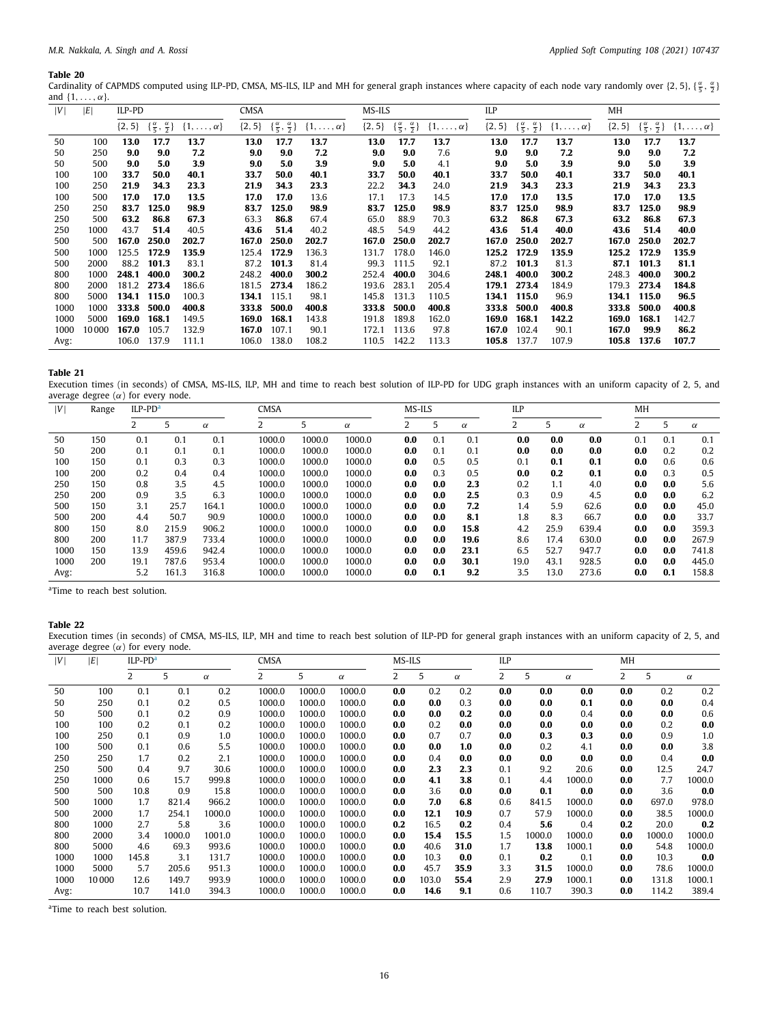<span id="page-15-0"></span>Cardinality of CAPMDS computed using ILP-PD, CMSA, MS-ILS, ILP and MH for general graph instances where capacity of each node vary randomly over {2, 5}, { $\frac{\alpha}{5}$ ,  $\frac{\alpha}{2}$ } and  $\{1, \ldots, \alpha\}$ .

| V    | E     | ILP-PD |                                                      |                       | <b>CMSA</b> |                                          |                       | MS-ILS     |                                          |                       | ILP        |                                          |                       | МH       |                                           |                       |
|------|-------|--------|------------------------------------------------------|-----------------------|-------------|------------------------------------------|-----------------------|------------|------------------------------------------|-----------------------|------------|------------------------------------------|-----------------------|----------|-------------------------------------------|-----------------------|
|      |       |        | $\{2, 5\}$ $\{\frac{\alpha}{5}, \frac{\alpha}{2}\}\$ | $\{1,\ldots,\alpha\}$ | $\{2, 5\}$  | $\{\frac{\alpha}{5}, \frac{\alpha}{2}\}$ | $\{1,\ldots,\alpha\}$ | $\{2, 5\}$ | $\{\frac{\alpha}{5}, \frac{\alpha}{2}\}$ | $\{1,\ldots,\alpha\}$ | $\{2, 5\}$ | $\{\frac{\alpha}{5}, \frac{\alpha}{2}\}$ | $\{1,\ldots,\alpha\}$ | ${2, 5}$ | $\{\frac{\alpha}{5}, \frac{\alpha}{2}\}\$ | $\{1,\ldots,\alpha\}$ |
| 50   | 100   | 13.0   | 17.7                                                 | 13.7                  | 13.0        | 17.7                                     | 13.7                  | 13.0       | 17.7                                     | 13.7                  | 13.0       | 17.7                                     | 13.7                  | 13.0     | 17.7                                      | 13.7                  |
| 50   | 250   | 9.0    | 9.0                                                  | 7.2                   | 9.0         | 9.0                                      | 7.2                   | 9.0        | 9.0                                      | 7.6                   | 9.0        | 9.0                                      | 7.2                   | 9.0      | 9.0                                       | 7.2                   |
| 50   | 500   | 9.0    | 5.0                                                  | 3.9                   | 9.0         | 5.0                                      | 3.9                   | 9.0        | 5.0                                      | 4.1                   | 9.0        | 5.0                                      | 3.9                   | 9.0      | 5.0                                       | 3.9                   |
| 100  | 100   | 33.7   | 50.0                                                 | 40.1                  | 33.7        | 50.0                                     | 40.1                  | 33.7       | 50.0                                     | 40.1                  | 33.7       | 50.0                                     | 40.1                  | 33.7     | 50.0                                      | 40.1                  |
| 100  | 250   | 21.9   | 34.3                                                 | 23.3                  | 21.9        | 34.3                                     | 23.3                  | 22.2       | 34.3                                     | 24.0                  | 21.9       | 34.3                                     | 23.3                  | 21.9     | 34.3                                      | 23.3                  |
| 100  | 500   | 17.0   | 17.0                                                 | 13.5                  | 17.0        | 17.0                                     | 13.6                  | 17.1       | 17.3                                     | 14.5                  | 17.0       | 17.0                                     | 13.5                  | 17.0     | 17.0                                      | 13.5                  |
| 250  | 250   | 83.7   | 125.0                                                | 98.9                  | 83.7        | 125.0                                    | 98.9                  | 83.7       | 125.0                                    | 98.9                  | 83.7       | 125.0                                    | 98.9                  | 83.7     | 125.0                                     | 98.9                  |
| 250  | 500   | 63.2   | 86.8                                                 | 67.3                  | 63.3        | 86.8                                     | 67.4                  | 65.0       | 88.9                                     | 70.3                  | 63.2       | 86.8                                     | 67.3                  | 63.2     | 86.8                                      | 67.3                  |
| 250  | 1000  | 43.7   | 51.4                                                 | 40.5                  | 43.6        | 51.4                                     | 40.2                  | 48.5       | 54.9                                     | 44.2                  | 43.6       | 51.4                                     | 40.0                  | 43.6     | 51.4                                      | 40.0                  |
| 500  | 500   | 167.0  | 250.0                                                | 202.7                 | 167.0       | 250.0                                    | 202.7                 | 167.0      | 250.0                                    | 202.7                 | 167.0      | 250.0                                    | 202.7                 | 167.0    | 250.0                                     | 202.7                 |
| 500  | 1000  | 125.5  | 172.9                                                | 135.9                 | 125.4       | 172.9                                    | 136.3                 | 131.7      | 178.0                                    | 146.0                 | 125.2      | 172.9                                    | 135.9                 | 125.2    | 172.9                                     | 135.9                 |
| 500  | 2000  | 88.2   | 101.3                                                | 83.1                  | 87.2        | 101.3                                    | 81.4                  | 99.3       | 111.5                                    | 92.1                  | 87.2       | 101.3                                    | 81.3                  | 87.1     | 101.3                                     | 81.1                  |
| 800  | 1000  | 248.1  | 400.0                                                | 300.2                 | 248.2       | 400.0                                    | 300.2                 | 252.4      | 400.0                                    | 304.6                 | 248.1      | 400.0                                    | 300.2                 | 248.3    | 400.0                                     | 300.2                 |
| 800  | 2000  | 181.2  | 273.4                                                | 186.6                 | 181.5       | 273.4                                    | 186.2                 | 193.6      | 283.1                                    | 205.4                 | 179.1      | 273.4                                    | 184.9                 | 179.3    | 273.4                                     | 184.8                 |
| 800  | 5000  | 134.1  | 115.0                                                | 100.3                 | 134.1       | 115.1                                    | 98.1                  | 145.8      | 131.3                                    | 110.5                 | 134.1      | 115.0                                    | 96.9                  | 134.1    | 115.0                                     | 96.5                  |
| 1000 | 1000  | 333.8  | 500.0                                                | 400.8                 | 333.8       | 500.0                                    | 400.8                 | 333.8      | 500.0                                    | 400.8                 | 333.8      | 500.0                                    | 400.8                 | 333.8    | 500.0                                     | 400.8                 |
| 1000 | 5000  | 169.0  | 168.1                                                | 149.5                 | 169.0       | 168.1                                    | 143.8                 | 191.8      | 189.8                                    | 162.0                 | 169.0      | 168.1                                    | 142.2                 | 169.0    | 168.1                                     | 142.7                 |
| 1000 | 10000 | 167.0  | 105.7                                                | 132.9                 | 167.0       | 107.1                                    | 90.1                  | 172.1      | 113.6                                    | 97.8                  | 167.0      | 102.4                                    | 90.1                  | 167.0    | 99.9                                      | 86.2                  |
| Avg: |       | 106.0  | 137.9                                                | 111.1                 | 106.0       | 138.0                                    | 108.2                 | 110.5      | 142.2                                    | 113.3                 | 105.8      | 137.7                                    | 107.9                 | 105.8    | 137.6                                     | 107.7                 |

## **Table 21**

<span id="page-15-3"></span>Execution times (in seconds) of CMSA, MS-ILS, ILP, MH and time to reach best solution of ILP-PD for UDG graph instances with an uniform capacity of 2, 5, and average degree  $(\alpha)$  for every node. L

| ۱V۱  | Range | $ILP-PDa$ |       |          | <b>CMSA</b> |        |          |  |     | MS-ILS |          | ILP  | MH   |          |     |     |          |
|------|-------|-----------|-------|----------|-------------|--------|----------|--|-----|--------|----------|------|------|----------|-----|-----|----------|
|      |       |           | 5     | $\alpha$ |             |        | $\alpha$ |  |     |        | $\alpha$ |      | 5    | $\alpha$ |     |     | $\alpha$ |
| 50   | 150   | 0.1       | 0.1   | 0.1      | 1000.0      | 1000.0 | 1000.0   |  | 0.0 | 0.1    | 0.1      | 0.0  | 0.0  | 0.0      | 0.1 | 0.1 | 0.1      |
| 50   | 200   | 0.1       | 0.1   | 0.1      | 1000.0      | 1000.0 | 1000.0   |  | 0.0 | 0.1    | 0.1      | 0.0  | 0.0  | 0.0      | 0.0 | 0.2 | 0.2      |
| 100  | 150   | 0.1       | 0.3   | 0.3      | 1000.0      | 1000.0 | 1000.0   |  | 0.0 | 0.5    | 0.5      | 0.1  | 0.1  | 0.1      | 0.0 | 0.6 | 0.6      |
| 100  | 200   | 0.2       | 0.4   | 0.4      | 1000.0      | 1000.0 | 1000.0   |  | 0.0 | 0.3    | 0.5      | 0.0  | 0.2  | 0.1      | 0.0 | 0.3 | 0.5      |
| 250  | 150   | 0.8       | 3.5   | 4.5      | 1000.0      | 1000.0 | 1000.0   |  | 0.0 | 0.0    | 2.3      | 0.2  | 1.1  | 4.0      | 0.0 | 0.0 | 5.6      |
| 250  | 200   | 0.9       | 3.5   | 6.3      | 1000.0      | 1000.0 | 1000.0   |  | 0.0 | 0.0    | 2.5      | 0.3  | 0.9  | 4.5      | 0.0 | 0.0 | 6.2      |
| 500  | 150   | 3.1       | 25.7  | 164.1    | 1000.0      | 1000.0 | 1000.0   |  | 0.0 | 0.0    | 7.2      | 1.4  | 5.9  | 62.6     | 0.0 | 0.0 | 45.0     |
| 500  | 200   | 4.4       | 50.7  | 90.9     | 1000.0      | 1000.0 | 1000.0   |  | 0.0 | 0.0    | 8.1      | 1.8  | 8.3  | 66.7     | 0.0 | 0.0 | 33.7     |
| 800  | 150   | 8.0       | 215.9 | 906.2    | 1000.0      | 1000.0 | 1000.0   |  | 0.0 | 0.0    | 15.8     | 4.2  | 25.9 | 639.4    | 0.0 | 0.0 | 359.3    |
| 800  | 200   | 11.7      | 387.9 | 733.4    | 1000.0      | 1000.0 | 1000.0   |  | 0.0 | 0.0    | 19.6     | 8.6  | 17.4 | 630.0    | 0.0 | 0.0 | 267.9    |
| 1000 | 150   | 13.9      | 459.6 | 942.4    | 1000.0      | 1000.0 | 1000.0   |  | 0.0 | 0.0    | 23.1     | 6.5  | 52.7 | 947.7    | 0.0 | 0.0 | 741.8    |
| 1000 | 200   | 19.1      | 787.6 | 953.4    | 1000.0      | 1000.0 | 1000.0   |  | 0.0 | 0.0    | 30.1     | 19.0 | 43.1 | 928.5    | 0.0 | 0.0 | 445.0    |
| Avg: |       | 5.2       | 161.3 | 316.8    | 1000.0      | 1000.0 | 1000.0   |  | 0.0 | 0.1    | 9.2      | 3.5  | 13.0 | 273.6    | 0.0 | 0.1 | 158.8    |

<span id="page-15-1"></span><sup>a</sup>Time to reach best solution.

## **Table 22**

Execution times (in seconds) of CMSA, MS-ILS, ILP, MH and time to reach best solution of ILP-PD for general graph instances with an uniform capacity of 2, 5, and average degree  $(\alpha)$  for every node.

| V    | ١E    | ILP-PD <sup>a</sup> |        |          | <b>CMSA</b>    |        |          | MS-ILS |       |          | ILP |        |          | MH  |        |          |  |
|------|-------|---------------------|--------|----------|----------------|--------|----------|--------|-------|----------|-----|--------|----------|-----|--------|----------|--|
|      |       | 2                   | 5      | $\alpha$ | $\overline{2}$ | 5      | $\alpha$ | 2      | 5     | $\alpha$ | 2   | 5      | $\alpha$ | 2   | 5      | $\alpha$ |  |
| 50   | 100   | 0.1                 | 0.1    | 0.2      | 1000.0         | 1000.0 | 1000.0   | 0.0    | 0.2   | 0.2      | 0.0 | 0.0    | 0.0      | 0.0 | 0.2    | 0.2      |  |
| 50   | 250   | 0.1                 | 0.2    | 0.5      | 1000.0         | 1000.0 | 1000.0   | 0.0    | 0.0   | 0.3      | 0.0 | 0.0    | 0.1      | 0.0 | 0.0    | 0.4      |  |
| 50   | 500   | 0.1                 | 0.2    | 0.9      | 1000.0         | 1000.0 | 1000.0   | 0.0    | 0.0   | 0.2      | 0.0 | 0.0    | 0.4      | 0.0 | 0.0    | 0.6      |  |
| 100  | 100   | 0.2                 | 0.1    | 0.2      | 1000.0         | 1000.0 | 1000.0   | 0.0    | 0.2   | 0.0      | 0.0 | 0.0    | 0.0      | 0.0 | 0.2    | 0.0      |  |
| 100  | 250   | 0.1                 | 0.9    | 1.0      | 1000.0         | 1000.0 | 1000.0   | 0.0    | 0.7   | 0.7      | 0.0 | 0.3    | 0.3      | 0.0 | 0.9    | 1.0      |  |
| 100  | 500   | 0.1                 | 0.6    | 5.5      | 1000.0         | 1000.0 | 1000.0   | 0.0    | 0.0   | 1.0      | 0.0 | 0.2    | 4.1      | 0.0 | 0.0    | 3.8      |  |
| 250  | 250   | 1.7                 | 0.2    | 2.1      | 1000.0         | 1000.0 | 1000.0   | 0.0    | 0.4   | 0.0      | 0.0 | 0.0    | 0.0      | 0.0 | 0.4    | 0.0      |  |
| 250  | 500   | 0.4                 | 9.7    | 30.6     | 1000.0         | 1000.0 | 1000.0   | 0.0    | 2.3   | 2.3      | 0.1 | 9.2    | 20.6     | 0.0 | 12.5   | 24.7     |  |
| 250  | 1000  | 0.6                 | 15.7   | 999.8    | 1000.0         | 1000.0 | 1000.0   | 0.0    | 4.1   | 3.8      | 0.1 | 4.4    | 1000.0   | 0.0 | 7.7    | 1000.0   |  |
| 500  | 500   | 10.8                | 0.9    | 15.8     | 1000.0         | 1000.0 | 1000.0   | 0.0    | 3.6   | 0.0      | 0.0 | 0.1    | 0.0      | 0.0 | 3.6    | 0.0      |  |
| 500  | 1000  | 1.7                 | 821.4  | 966.2    | 1000.0         | 1000.0 | 1000.0   | 0.0    | 7.0   | 6.8      | 0.6 | 841.5  | 1000.0   | 0.0 | 697.0  | 978.0    |  |
| 500  | 2000  | 1.7                 | 254.1  | 1000.0   | 1000.0         | 1000.0 | 1000.0   | 0.0    | 12.1  | 10.9     | 0.7 | 57.9   | 1000.0   | 0.0 | 38.5   | 1000.0   |  |
| 800  | 1000  | 2.7                 | 5.8    | 3.6      | 1000.0         | 1000.0 | 1000.0   | 0.2    | 16.5  | 0.2      | 0.4 | 5.6    | 0.4      | 0.2 | 20.0   | 0.2      |  |
| 800  | 2000  | 3.4                 | 1000.0 | 1001.0   | 1000.0         | 1000.0 | 1000.0   | 0.0    | 15.4  | 15.5     | 1.5 | 1000.0 | 1000.0   | 0.0 | 1000.0 | 1000.0   |  |
| 800  | 5000  | 4.6                 | 69.3   | 993.6    | 1000.0         | 1000.0 | 1000.0   | 0.0    | 40.6  | 31.0     | 1.7 | 13.8   | 1000.1   | 0.0 | 54.8   | 1000.0   |  |
| 1000 | 1000  | 145.8               | 3.1    | 131.7    | 1000.0         | 1000.0 | 1000.0   | 0.0    | 10.3  | 0.0      | 0.1 | 0.2    | 0.1      | 0.0 | 10.3   | 0.0      |  |
| 1000 | 5000  | 5.7                 | 205.6  | 951.3    | 1000.0         | 1000.0 | 1000.0   | 0.0    | 45.7  | 35.9     | 3.3 | 31.5   | 1000.0   | 0.0 | 78.6   | 1000.0   |  |
| 1000 | 10000 | 12.6                | 149.7  | 993.9    | 1000.0         | 1000.0 | 1000.0   | 0.0    | 103.0 | 55.4     | 2.9 | 27.9   | 1000.1   | 0.0 | 131.8  | 1000.1   |  |
| Avg: |       | 10.7                | 141.0  | 394.3    | 1000.0         | 1000.0 | 1000.0   | 0.0    | 14.6  | 9.1      | 0.6 | 110.7  | 390.3    | 0.0 | 114.2  | 389.4    |  |

<span id="page-15-2"></span><sup>a</sup>Time to reach best solution.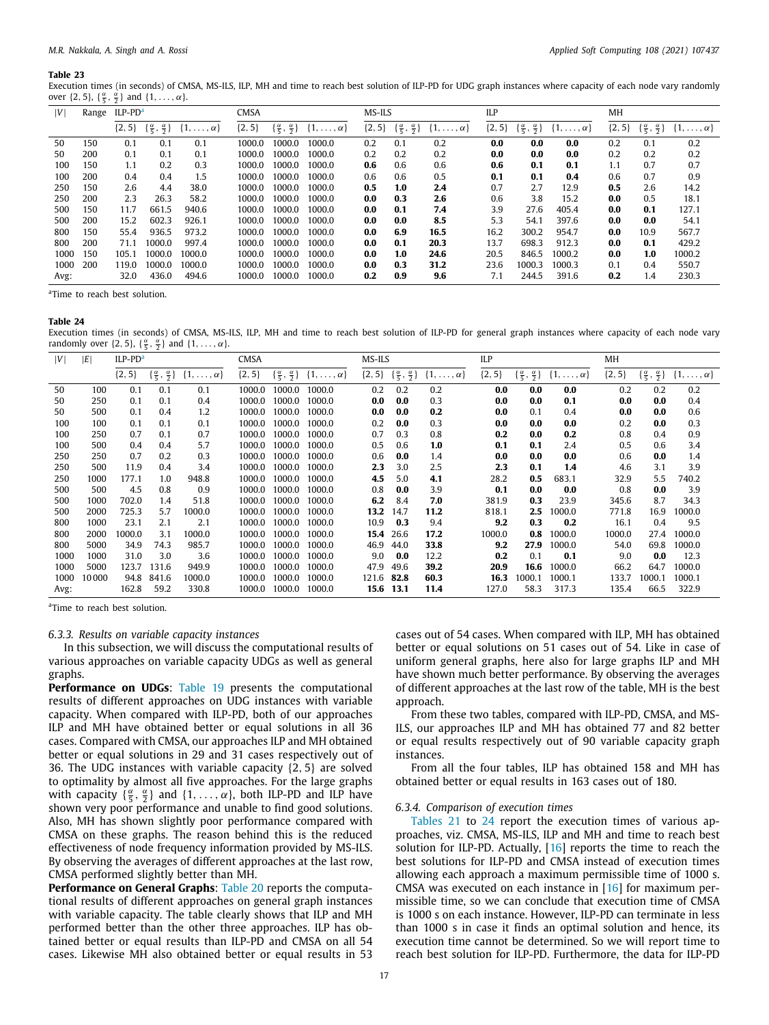Execution times (in seconds) of CMSA, MS-ILS, ILP, MH and time to reach best solution of ILP-PD for UDG graph instances where capacity of each node vary randomly over  $\{2, 5\}$ ,  $\{\frac{\alpha}{5}, \frac{\alpha}{2}\}$  and  $\{1, \ldots, \alpha\}$ .

| V    | Range | $ILP-PDa$  |                                           |                       | <b>CMSA</b> |                                           |                       | MS-ILS     |                                           |                       | ILP        |                                          |                       | MH         |                                          |                       |
|------|-------|------------|-------------------------------------------|-----------------------|-------------|-------------------------------------------|-----------------------|------------|-------------------------------------------|-----------------------|------------|------------------------------------------|-----------------------|------------|------------------------------------------|-----------------------|
|      |       | $\{2, 5\}$ | $\{\frac{\alpha}{5}, \frac{\alpha}{2}\}\$ | $\{1,\ldots,\alpha\}$ | $\{2, 5\}$  | $\{\frac{\alpha}{5}, \frac{\alpha}{2}\}\$ | $\{1,\ldots,\alpha\}$ | $\{2, 5\}$ | $\{\frac{\alpha}{5}, \frac{\alpha}{2}\}\$ | $\{1,\ldots,\alpha\}$ | $\{2, 5\}$ | $\{\frac{\alpha}{5}, \frac{\alpha}{2}\}$ | $\{1,\ldots,\alpha\}$ | $\{2, 5\}$ | $\{\frac{\alpha}{5}, \frac{\alpha}{2}\}$ | $\{1,\ldots,\alpha\}$ |
| 50   | 150   | 0.1        | 0.1                                       | 0.1                   | 1000.0      | 1000.0                                    | 1000.0                | 0.2        | 0.1                                       | 0.2                   | 0.0        | 0.0                                      | 0.0                   | 0.2        | 0.1                                      | 0.2                   |
| 50   | 200   | 0.1        | 0.1                                       | 0.1                   | 1000.0      | 1000.0                                    | 1000.0                | 0.2        | 0.2                                       | 0.2                   | 0.0        | 0.0                                      | 0.0                   | 0.2        | 0.2                                      | 0.2                   |
| 100  | 150   | 1.1        | 0.2                                       | 0.3                   | 1000.0      | 1000.0                                    | 1000.0                | 0.6        | 0.6                                       | 0.6                   | 0.6        | 0.1                                      | 0.1                   | 1.1        | 0.7                                      | 0.7                   |
| 100  | 200   | 0.4        | 0.4                                       | 1.5                   | 1000.0      | 1000.0                                    | 1000.0                | 0.6        | 0.6                                       | 0.5                   | 0.1        | 0.1                                      | 0.4                   | 0.6        | 0.7                                      | 0.9                   |
| 250  | 150   | 2.6        | 4.4                                       | 38.0                  | 1000.0      | 1000.0                                    | 1000.0                | 0.5        | 1.0                                       | 2.4                   | 0.7        | 2.7                                      | 12.9                  | 0.5        | 2.6                                      | 14.2                  |
| 250  | 200   | 2.3        | 26.3                                      | 58.2                  | 1000.0      | 1000.0                                    | 1000.0                | 0.0        | 0.3                                       | 2.6                   | 0.6        | 3.8                                      | 15.2                  | 0.0        | 0.5                                      | 18.1                  |
| 500  | 150   | 11.7       | 661.5                                     | 940.6                 | 1000.0      | 1000.0                                    | 1000.0                | 0.0        | 0.1                                       | 7.4                   | 3.9        | 27.6                                     | 405.4                 | 0.0        | 0.1                                      | 127.1                 |
| 500  | 200   | 15.2       | 602.3                                     | 926.1                 | 1000.0      | 1000.0                                    | 1000.0                | 0.0        | 0.0                                       | 8.5                   | 5.3        | 54.1                                     | 397.6                 | 0.0        | 0.0                                      | 54.1                  |
| 800  | 150   | 55.4       | 936.5                                     | 973.2                 | 1000.0      | 1000.0                                    | 1000.0                | 0.0        | 6.9                                       | 16.5                  | 16.2       | 300.2                                    | 954.7                 | 0.0        | 10.9                                     | 567.7                 |
| 800  | 200   | 71.1       | 1000.0                                    | 997.4                 | 1000.0      | 1000.0                                    | 1000.0                | 0.0        | 0.1                                       | 20.3                  | 13.7       | 698.3                                    | 912.3                 | 0.0        | 0.1                                      | 429.2                 |
| 1000 | 150   | 105.1      | 1000.0                                    | 1000.0                | 1000.0      | 1000.0                                    | 1000.0                | 0.0        | 1.0                                       | 24.6                  | 20.5       | 846.5                                    | 1000.2                | 0.0        | 1.0                                      | 1000.2                |
| 1000 | 200   | 119.0      | 1000.0                                    | 1000.0                | 1000.0      | 1000.0                                    | 1000.0                | 0.0        | 0.3                                       | 31.2                  | 23.6       | 1000.3                                   | 1000.3                | 0.1        | 0.4                                      | 550.7                 |
| Avg: |       | 32.0       | 436.0                                     | 494.6                 | 1000.0      | 1000.0                                    | 1000.0                | 0.2        | 0.9                                       | 9.6                   | 7.1        | 244.5                                    | 391.6                 | 0.2        | 1.4                                      | 230.3                 |

<span id="page-16-0"></span><sup>a</sup>Time to reach best solution.

#### **Table 24**

<span id="page-16-2"></span>Execution times (in seconds) of CMSA, MS-ILS, ILP, MH and time to reach best solution of ILP-PD for general graph instances where capacity of each node vary randomly over  $\{2, 5\}$ ,  $\{\frac{\alpha}{5}, \frac{\alpha}{2}\}$  and  $\{1, \ldots, \alpha\}$ .

| V    | ΙEΙ   | ILP-PD <sup>a</sup> |                                          |                       | CMSA     |                                          |                       | MS-ILS     |                                          |                       | ILP      |        |                                                                   | MH         |                                          |                       |  |
|------|-------|---------------------|------------------------------------------|-----------------------|----------|------------------------------------------|-----------------------|------------|------------------------------------------|-----------------------|----------|--------|-------------------------------------------------------------------|------------|------------------------------------------|-----------------------|--|
|      |       | $\{2, 5\}$          | $\{\frac{\alpha}{5}, \frac{\alpha}{2}\}$ | $\{1,\ldots,\alpha\}$ | ${2, 5}$ | $\{\frac{\alpha}{5}, \frac{\alpha}{2}\}$ | $\{1,\ldots,\alpha\}$ | $\{2, 5\}$ | $\{\frac{\alpha}{5}, \frac{\alpha}{2}\}$ | $\{1,\ldots,\alpha\}$ | ${2, 5}$ |        | $\{\frac{\alpha}{5}, \frac{\alpha}{2}\}\$ $\{1, \ldots, \alpha\}$ | $\{2, 5\}$ | $\{\frac{\alpha}{5}, \frac{\alpha}{2}\}$ | $\{1,\ldots,\alpha\}$ |  |
| 50   | 100   | 0.1                 | 0.1                                      | 0.1                   | 1000.0   | 1000.0                                   | 1000.0                | 0.2        | 0.2                                      | 0.2                   | 0.0      | 0.0    | 0.0                                                               | 0.2        | 0.2                                      | 0.2                   |  |
| 50   | 250   | 0.1                 | 0.1                                      | 0.4                   | 1000.0   | 1000.0                                   | 1000.0                | 0.0        | 0.0                                      | 0.3                   | 0.0      | 0.0    | 0.1                                                               | 0.0        | 0.0                                      | 0.4                   |  |
| 50   | 500   | 0.1                 | 0.4                                      | 1.2                   | 1000.0   | 1000.0                                   | 1000.0                | 0.0        | 0.0                                      | 0.2                   | 0.0      | 0.1    | 0.4                                                               | 0.0        | 0.0                                      | 0.6                   |  |
| 100  | 100   | 0.1                 | 0.1                                      | 0.1                   | 1000.0   | 1000.0                                   | 1000.0                | 0.2        | 0.0                                      | 0.3                   | 0.0      | 0.0    | 0.0                                                               | 0.2        | 0.0                                      | 0.3                   |  |
| 100  | 250   | 0.7                 | 0.1                                      | 0.7                   | 1000.0   | 1000.0                                   | 1000.0                | 0.7        | 0.3                                      | 0.8                   | 0.2      | 0.0    | 0.2                                                               | 0.8        | 0.4                                      | 0.9                   |  |
| 100  | 500   | 0.4                 | 0.4                                      | 5.7                   | 1000.0   | 1000.0                                   | 1000.0                | 0.5        | 0.6                                      | 1.0                   | 0.1      | 0.1    | 2.4                                                               | 0.5        | 0.6                                      | 3.4                   |  |
| 250  | 250   | 0.7                 | 0.2                                      | 0.3                   | 1000.0   | 1000.0                                   | 1000.0                | 0.6        | 0.0                                      | 1.4                   | 0.0      | 0.0    | 0.0                                                               | 0.6        | 0.0                                      | 1.4                   |  |
| 250  | 500   | 11.9                | 0.4                                      | 3.4                   | 1000.0   | 1000.0                                   | 1000.0                | 2.3        | 3.0                                      | 2.5                   | 2.3      | 0.1    | 1.4                                                               | 4.6        | 3.1                                      | 3.9                   |  |
| 250  | 1000  | 177.1               | 1.0                                      | 948.8                 | 1000.0   | 1000.0                                   | 1000.0                | 4.5        | 5.0                                      | 4.1                   | 28.2     | 0.5    | 683.1                                                             | 32.9       | 5.5                                      | 740.2                 |  |
| 500  | 500   | 4.5                 | 0.8                                      | 0.9                   | 1000.0   | 1000.0                                   | 1000.0                | 0.8        | 0.0                                      | 3.9                   | 0.1      | 0.0    | 0.0                                                               | 0.8        | 0.0                                      | 3.9                   |  |
| 500  | 1000  | 702.0               | 1.4                                      | 51.8                  | 1000.0   | 1000.0                                   | 1000.0                | 6.2        | 8.4                                      | 7.0                   | 381.9    | 0.3    | 23.9                                                              | 345.6      | 8.7                                      | 34.3                  |  |
| 500  | 2000  | 725.3               | 5.7                                      | 1000.0                | 1000.0   | 1000.0                                   | 1000.0                | 13.2       | 14.7                                     | 11.2                  | 818.1    | 2.5    | 1000.0                                                            | 771.8      | 16.9                                     | 1000.0                |  |
| 800  | 1000  | 23.1                | 2.1                                      | 2.1                   | 1000.0   | 1000.0                                   | 1000.0                | 10.9       | 0.3                                      | 9.4                   | 9.2      | 0.3    | 0.2                                                               | 16.1       | 0.4                                      | 9.5                   |  |
| 800  | 2000  | 1000.0              | 3.1                                      | 1000.0                | 1000.0   | 1000.0                                   | 1000.0                | 15.4       | 26.6                                     | 17.2                  | 1000.0   | 0.8    | 1000.0                                                            | 1000.0     | 27.4                                     | 1000.0                |  |
| 800  | 5000  | 34.9                | 74.3                                     | 985.7                 | 1000.0   | 1000.0                                   | 1000.0                | 46.9       | 44.0                                     | 33.8                  | 9.2      | 27.9   | 1000.0                                                            | 54.0       | 69.8                                     | 1000.0                |  |
| 1000 | 1000  | 31.0                | 3.0                                      | 3.6                   | 1000.0   | 1000.0                                   | 1000.0                | 9.0        | 0.0                                      | 12.2                  | 0.2      | 0.1    | 0.1                                                               | 9.0        | 0.0                                      | 12.3                  |  |
| 1000 | 5000  | 123.7               | 131.6                                    | 949.9                 | 1000.0   | 1000.0                                   | 1000.0                | 47.9       | 49.6                                     | 39.2                  | 20.9     | 16.6   | 1000.0                                                            | 66.2       | 64.7                                     | 1000.0                |  |
| 1000 | 10000 | 94.8                | 841.6                                    | 1000.0                | 1000.0   | 1000.0                                   | 1000.0                | 121.6      | 82.8                                     | 60.3                  | 16.3     | 1000.1 | 1000.1                                                            | 133.7      | 1000.1                                   | 1000.1                |  |
| Avg: |       | 162.8               | 59.2                                     | 330.8                 | 1000.0   | 1000.0                                   | 1000.0                | 15.6       | 13.1                                     | 11.4                  | 127.0    | 58.3   | 317.3                                                             | 135.4      | 66.5                                     | 322.9                 |  |

<span id="page-16-1"></span><sup>a</sup>Time to reach best solution.

#### *6.3.3. Results on variable capacity instances*

In this subsection, we will discuss the computational results of various approaches on variable capacity UDGs as well as general graphs.

**Performance on UDGs**: [Table](#page-14-1) [19](#page-14-1) presents the computational results of different approaches on UDG instances with variable capacity. When compared with ILP-PD, both of our approaches ILP and MH have obtained better or equal solutions in all 36 cases. Compared with CMSA, our approaches ILP and MH obtained better or equal solutions in 29 and 31 cases respectively out of 36. The UDG instances with variable capacity {2, 5} are solved to optimality by almost all five approaches. For the large graphs with capacity  $\{\frac{\alpha}{5}, \frac{\alpha}{2}\}$  and  $\{1, \ldots, \alpha\}$ , both ILP-PD and ILP have shown very poor performance and unable to find good solutions. Also, MH has shown slightly poor performance compared with CMSA on these graphs. The reason behind this is the reduced effectiveness of node frequency information provided by MS-ILS. By observing the averages of different approaches at the last row, CMSA performed slightly better than MH.

**Performance on General Graphs:** [Table](#page-15-0) [20](#page-15-0) reports the computational results of different approaches on general graph instances with variable capacity. The table clearly shows that ILP and MH performed better than the other three approaches. ILP has obtained better or equal results than ILP-PD and CMSA on all 54 cases. Likewise MH also obtained better or equal results in 53

cases out of 54 cases. When compared with ILP, MH has obtained better or equal solutions on 51 cases out of 54. Like in case of uniform general graphs, here also for large graphs ILP and MH have shown much better performance. By observing the averages of different approaches at the last row of the table, MH is the best approach.

From these two tables, compared with ILP-PD, CMSA, and MS-ILS, our approaches ILP and MH has obtained 77 and 82 better or equal results respectively out of 90 variable capacity graph instances.

From all the four tables, ILP has obtained 158 and MH has obtained better or equal results in 163 cases out of 180.

## *6.3.4. Comparison of execution times*

[Tables](#page-15-3) [21](#page-15-3) to [24](#page-16-2) report the execution times of various approaches, viz. CMSA, MS-ILS, ILP and MH and time to reach best solution for ILP-PD. Actually, [[16](#page-18-10)] reports the time to reach the best solutions for ILP-PD and CMSA instead of execution times allowing each approach a maximum permissible time of 1000 s. CMSA was executed on each instance in [[16](#page-18-10)] for maximum permissible time, so we can conclude that execution time of CMSA is 1000 s on each instance. However, ILP-PD can terminate in less than 1000 s in case it finds an optimal solution and hence, its execution time cannot be determined. So we will report time to reach best solution for ILP-PD. Furthermore, the data for ILP-PD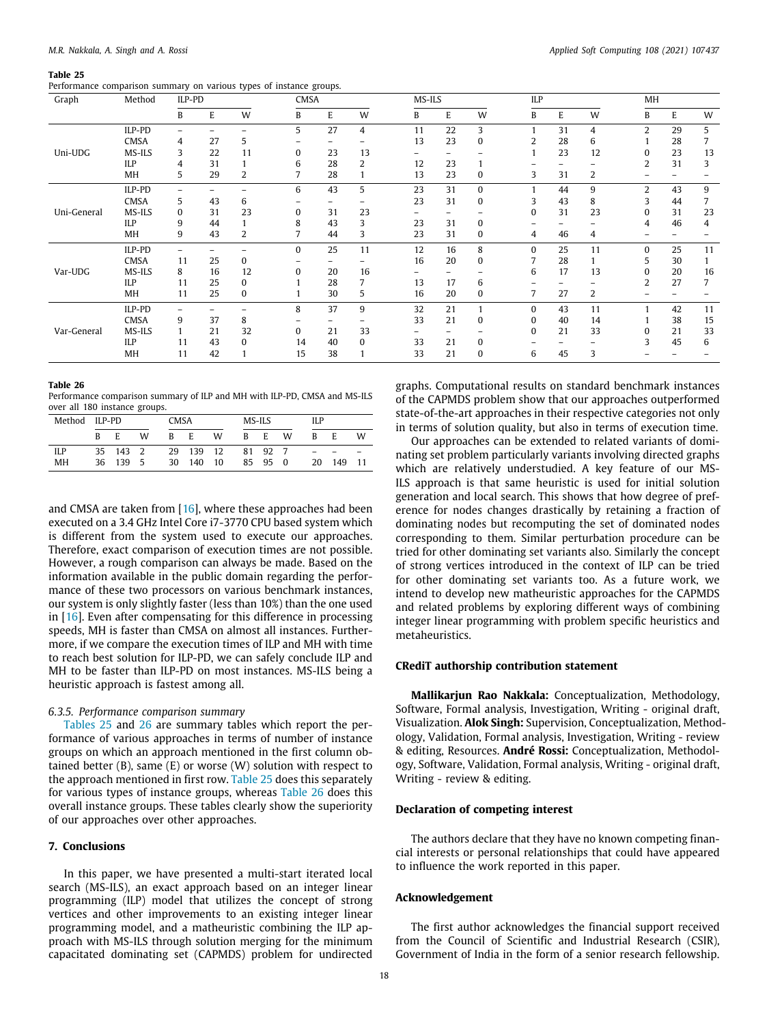<span id="page-17-1"></span>Performance comparison summary on various types of instance groups.

| Graph       | Method      | ILP-PD   |    |    | CMSA     |    |    | MS-ILS |    |          | ILP      |    |    | MH             |    |    |
|-------------|-------------|----------|----|----|----------|----|----|--------|----|----------|----------|----|----|----------------|----|----|
|             |             | B        | E  | W  | B        | E  | W  | B      | E  | W        | B        | E  | W  | B              | E  | W  |
|             | ILP-PD      |          |    |    | 5        | 27 | 4  | 11     | 22 | 3        |          | 31 | 4  | $\overline{2}$ | 29 | 5  |
|             | <b>CMSA</b> | 4        | 27 | 5  |          |    |    | 13     | 23 | $\bf{0}$ | 2        | 28 | 6  |                | 28 |    |
| Uni-UDG     | MS-ILS      | 3        | 22 | 11 | 0        | 23 | 13 |        |    |          |          | 23 | 12 | 0              | 23 | 13 |
|             | ILP         | 4        | 31 |    | 6        | 28 | 2  | 12     | 23 |          |          |    |    |                | 31 | 3  |
|             | MH          | 5        | 29 |    |          | 28 |    | 13     | 23 | 0        | 3        | 31 | 2  |                |    |    |
|             | ILP-PD      |          |    |    | 6        | 43 | 5  | 23     | 31 | $\Omega$ |          | 44 | 9  | $\mathfrak{D}$ | 43 | 9  |
|             | <b>CMSA</b> | 5        | 43 | 6  |          |    |    | 23     | 31 | 0        | 3        | 43 | 8  | 3              | 44 |    |
| Uni-General | MS-ILS      | $\Omega$ | 31 | 23 | $\Omega$ | 31 | 23 |        |    |          | 0        | 31 | 23 | $\Omega$       | 31 | 23 |
|             | ILP         | 9        | 44 |    | 8        | 43 | 3  | 23     | 31 | $\Omega$ |          |    |    | 4              | 46 | 4  |
|             | MH          | 9        | 43 | 2  |          | 44 | 3  | 23     | 31 | 0        | 4        | 46 | 4  |                |    |    |
|             | ILP-PD      |          |    |    | $\Omega$ | 25 | 11 | 12     | 16 | 8        | $\Omega$ | 25 | 11 | $\Omega$       | 25 | 11 |
|             | <b>CMSA</b> | 11       | 25 |    |          |    |    | 16     | 20 | 0        |          | 28 |    | 5              | 30 |    |
| Var-UDG     | MS-ILS      | 8        | 16 | 12 | 0        | 20 | 16 |        |    |          | 6        | 17 | 13 | 0              | 20 | 16 |
|             | ILP         | 11       | 25 |    |          | 28 |    | 13     | 17 | 6        |          |    |    | 2              | 27 |    |
|             | MH          | 11       | 25 | 0  |          | 30 | 5  | 16     | 20 | 0        | 7        | 27 | 2  |                |    |    |
|             | ILP-PD      |          |    |    | 8        | 37 | 9  | 32     | 21 |          | 0        | 43 | 11 |                | 42 | 11 |
|             | <b>CMSA</b> | 9        | 37 | 8  |          |    |    | 33     | 21 | $\Omega$ | 0        | 40 | 14 |                | 38 | 15 |
| Var-General | MS-ILS      |          | 21 | 32 | $\Omega$ | 21 | 33 |        |    |          | 0        | 21 | 33 | 0              | 21 | 33 |
|             | ILP         | 11       | 43 |    | 14       | 40 | 0  | 33     | 21 | 0        |          |    |    |                | 45 | 6  |

MH 11 42 1 15 38 1 33 21 0 6 45 3 – – –

### **Table 26**

<span id="page-17-2"></span>Performance comparison summary of ILP and MH with ILP-PD, CMSA and MS-ILS over all 180 instance groups.

| Method ILP-PD |   |          |     | CMSA |        |    | MS-ILS |         |   | ILP |     |     |  |  |  |
|---------------|---|----------|-----|------|--------|----|--------|---------|---|-----|-----|-----|--|--|--|
|               | R | E        | W   | R    | E      | W  | B      | E       | W | B   | E   | W   |  |  |  |
| ILP           |   | 35 143 2 |     | 29   | 139 12 |    |        | 81 92   |   |     |     |     |  |  |  |
| MH            |   | 36 139   | - 5 | 30   | 140    | 10 |        | 85 95 0 |   | 20  | 149 | -11 |  |  |  |

and CMSA are taken from [\[16\]](#page-18-10), where these approaches had been executed on a 3.4 GHz Intel Core i7-3770 CPU based system which is different from the system used to execute our approaches. Therefore, exact comparison of execution times are not possible. However, a rough comparison can always be made. Based on the information available in the public domain regarding the performance of these two processors on various benchmark instances, our system is only slightly faster (less than 10%) than the one used in [[16](#page-18-10)]. Even after compensating for this difference in processing speeds, MH is faster than CMSA on almost all instances. Furthermore, if we compare the execution times of ILP and MH with time to reach best solution for ILP-PD, we can safely conclude ILP and MH to be faster than ILP-PD on most instances. MS-ILS being a heuristic approach is fastest among all.

## *6.3.5. Performance comparison summary*

[Tables](#page-17-1) [25](#page-17-1) and [26](#page-17-2) are summary tables which report the performance of various approaches in terms of number of instance groups on which an approach mentioned in the first column obtained better (B), same (E) or worse (W) solution with respect to the approach mentioned in first row. [Table](#page-17-1) [25](#page-17-1) does this separately for various types of instance groups, whereas [Table](#page-17-2) [26](#page-17-2) does this overall instance groups. These tables clearly show the superiority of our approaches over other approaches.

## **7. Conclusions**

<span id="page-17-0"></span>In this paper, we have presented a multi-start iterated local search (MS-ILS), an exact approach based on an integer linear programming (ILP) model that utilizes the concept of strong vertices and other improvements to an existing integer linear programming model, and a matheuristic combining the ILP approach with MS-ILS through solution merging for the minimum capacitated dominating set (CAPMDS) problem for undirected

graphs. Computational results on standard benchmark instances of the CAPMDS problem show that our approaches outperformed state-of-the-art approaches in their respective categories not only in terms of solution quality, but also in terms of execution time.

Our approaches can be extended to related variants of dominating set problem particularly variants involving directed graphs which are relatively understudied. A key feature of our MS-ILS approach is that same heuristic is used for initial solution generation and local search. This shows that how degree of preference for nodes changes drastically by retaining a fraction of dominating nodes but recomputing the set of dominated nodes corresponding to them. Similar perturbation procedure can be tried for other dominating set variants also. Similarly the concept of strong vertices introduced in the context of ILP can be tried for other dominating set variants too. As a future work, we intend to develop new matheuristic approaches for the CAPMDS and related problems by exploring different ways of combining integer linear programming with problem specific heuristics and metaheuristics.

## **CRediT authorship contribution statement**

**Mallikarjun Rao Nakkala:** Conceptualization, Methodology, Software, Formal analysis, Investigation, Writing - original draft, Visualization. **Alok Singh:** Supervision, Conceptualization, Methodology, Validation, Formal analysis, Investigation, Writing - review & editing, Resources. **André Rossi:** Conceptualization, Methodology, Software, Validation, Formal analysis, Writing - original draft, Writing - review & editing.

## **Declaration of competing interest**

The authors declare that they have no known competing financial interests or personal relationships that could have appeared to influence the work reported in this paper.

## **Acknowledgement**

The first author acknowledges the financial support received from the Council of Scientific and Industrial Research (CSIR), Government of India in the form of a senior research fellowship.